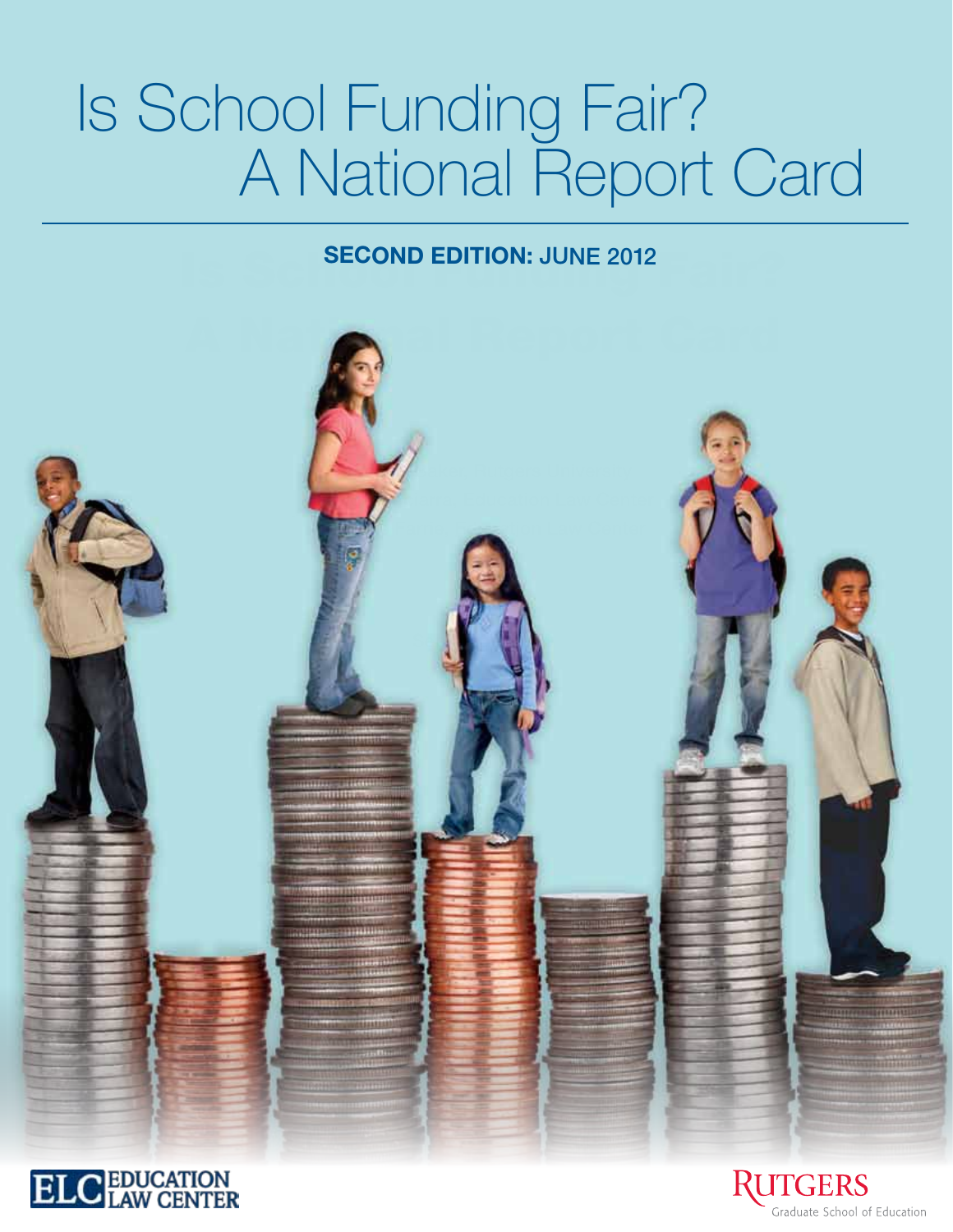# Is School Funding Fair? **A National Report Card**

## **IS SECOND EDITION: JUNE 2012**





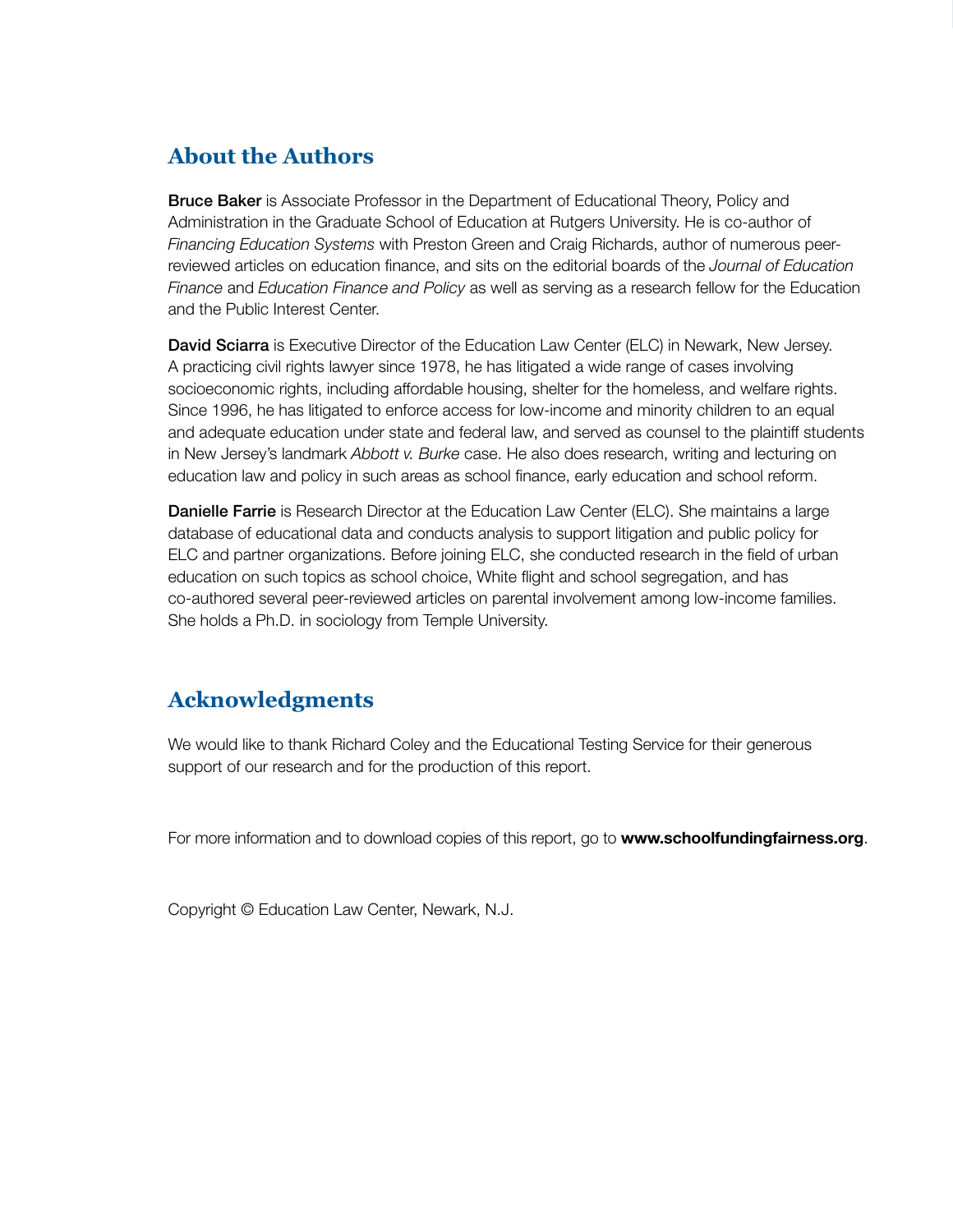### **About the Authors**

**Bruce Baker** is Associate Professor in the Department of Educational Theory, Policy and Administration in the Graduate School of Education at Rutgers University. He is co-author of *Financing Education Systems* with Preston Green and Craig Richards, author of numerous peerreviewed articles on education finance, and sits on the editorial boards of the *Journal of Education Finance* and *Education Finance and Policy* as well as serving as a research fellow for the Education and the Public Interest Center.

David Sciarra is Executive Director of the Education Law Center (ELC) in Newark, New Jersey. A practicing civil rights lawyer since 1978, he has litigated a wide range of cases involving socioeconomic rights, including affordable housing, shelter for the homeless, and welfare rights. Since 1996, he has litigated to enforce access for low-income and minority children to an equal and adequate education under state and federal law, and served as counsel to the plaintiff students in New Jersey's landmark *Abbott v. Burke* case. He also does research, writing and lecturing on education law and policy in such areas as school finance, early education and school reform.

Danielle Farrie is Research Director at the Education Law Center (ELC). She maintains a large database of educational data and conducts analysis to support litigation and public policy for ELC and partner organizations. Before joining ELC, she conducted research in the field of urban education on such topics as school choice, White flight and school segregation, and has co-authored several peer-reviewed articles on parental involvement among low-income families. She holds a Ph.D. in sociology from Temple University.

### **Acknowledgments**

We would like to thank Richard Coley and the Educational Testing Service for their generous support of our research and for the production of this report.

For more information and to download copies of this report, go to www.schoolfundingfairness.org.

Copyright © Education Law Center, Newark, N.J.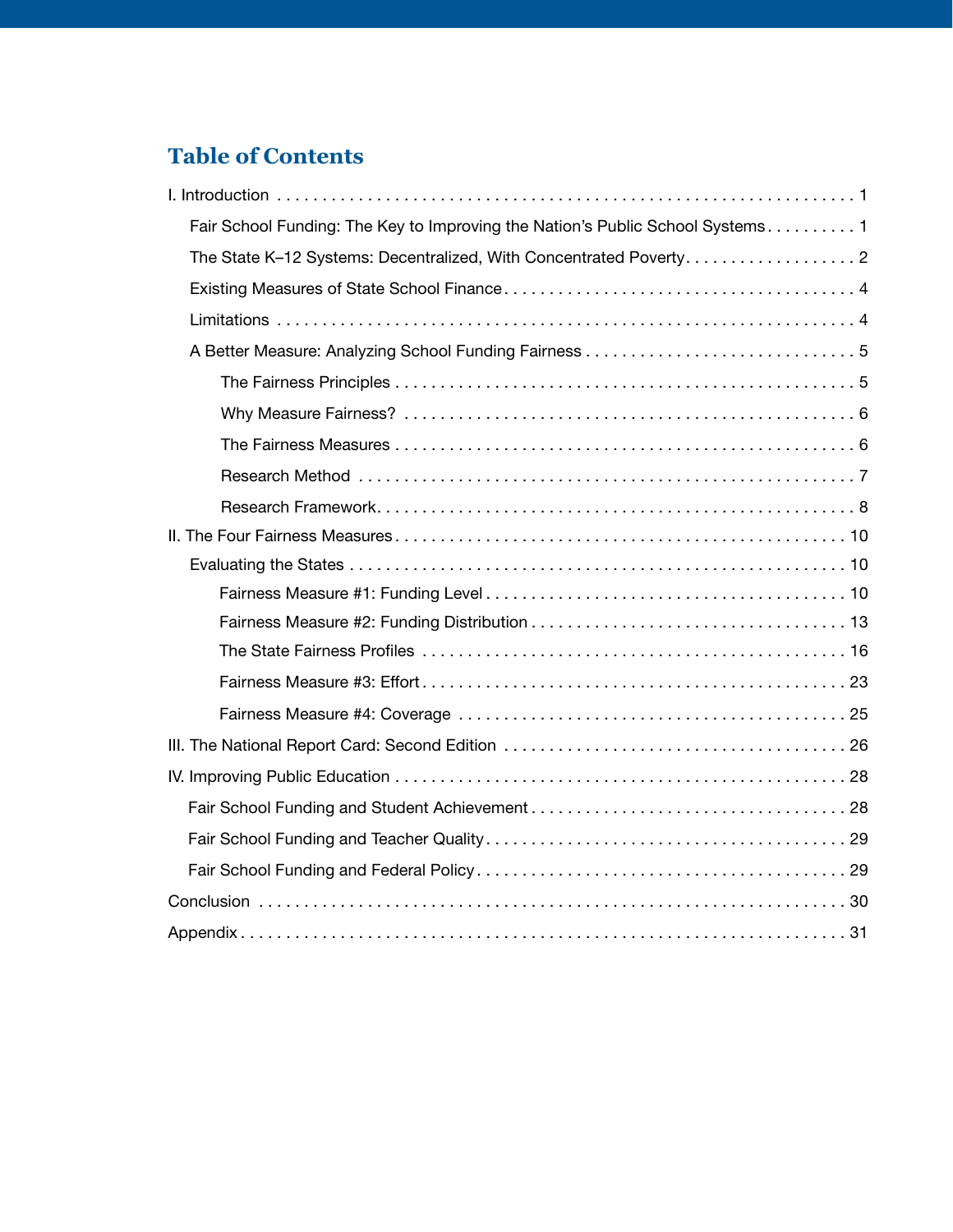## **Table of Contents**

| Fair School Funding: The Key to Improving the Nation's Public School Systems 1 |
|--------------------------------------------------------------------------------|
| The State K-12 Systems: Decentralized, With Concentrated Poverty. 2            |
|                                                                                |
|                                                                                |
|                                                                                |
|                                                                                |
|                                                                                |
|                                                                                |
|                                                                                |
|                                                                                |
|                                                                                |
|                                                                                |
|                                                                                |
|                                                                                |
|                                                                                |
|                                                                                |
|                                                                                |
|                                                                                |
|                                                                                |
|                                                                                |
|                                                                                |
|                                                                                |
|                                                                                |
|                                                                                |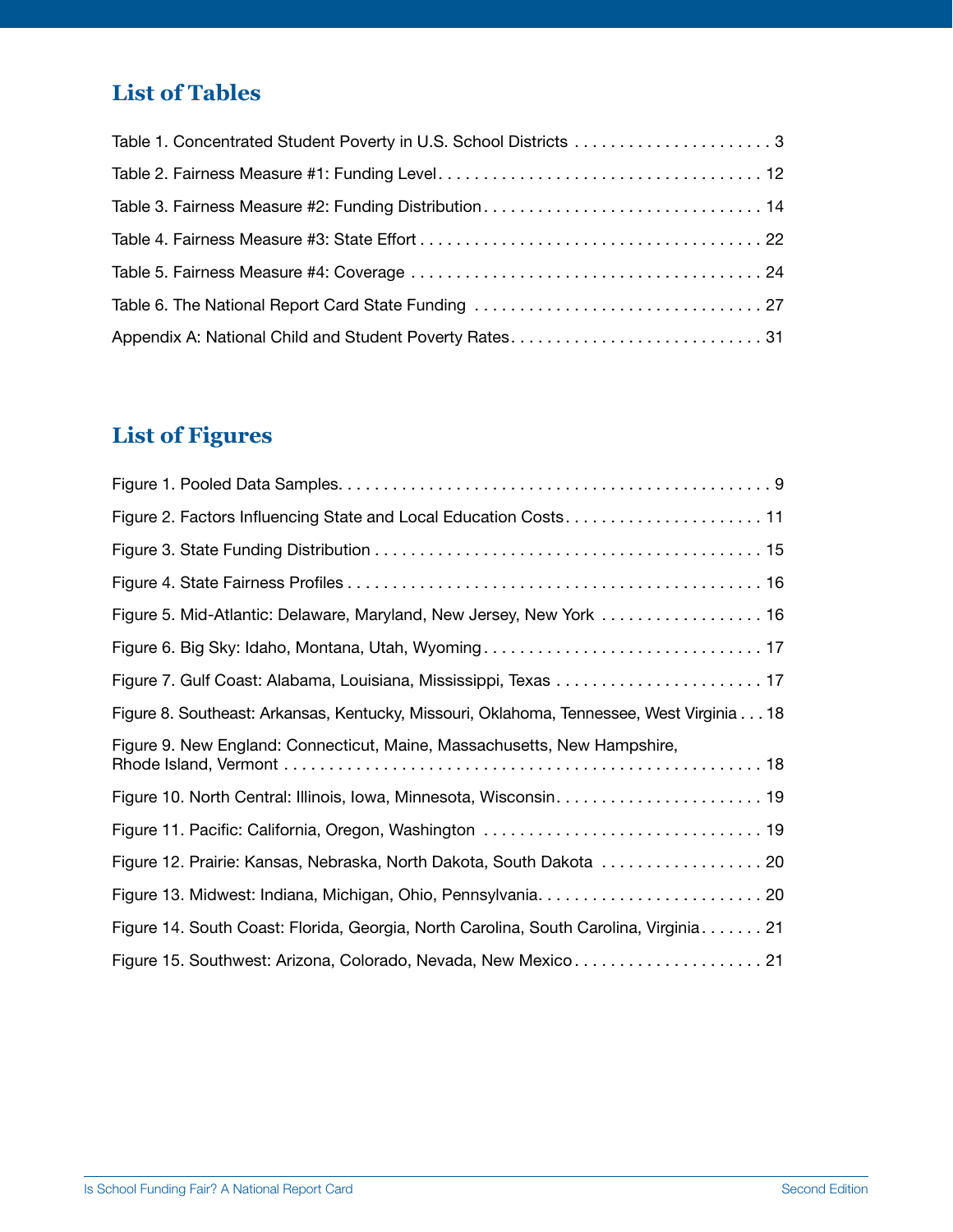## **List of Tables**

## **List of Figures**

| Figure 2. Factors Influencing State and Local Education Costs 11                         |
|------------------------------------------------------------------------------------------|
|                                                                                          |
|                                                                                          |
| Figure 5. Mid-Atlantic: Delaware, Maryland, New Jersey, New York  16                     |
|                                                                                          |
|                                                                                          |
| Figure 8. Southeast: Arkansas, Kentucky, Missouri, Oklahoma, Tennessee, West Virginia 18 |
| Figure 9. New England: Connecticut, Maine, Massachusetts, New Hampshire,                 |
|                                                                                          |
|                                                                                          |
| Figure 12. Prairie: Kansas, Nebraska, North Dakota, South Dakota  20                     |
|                                                                                          |
| Figure 14. South Coast: Florida, Georgia, North Carolina, South Carolina, Virginia. 21   |
|                                                                                          |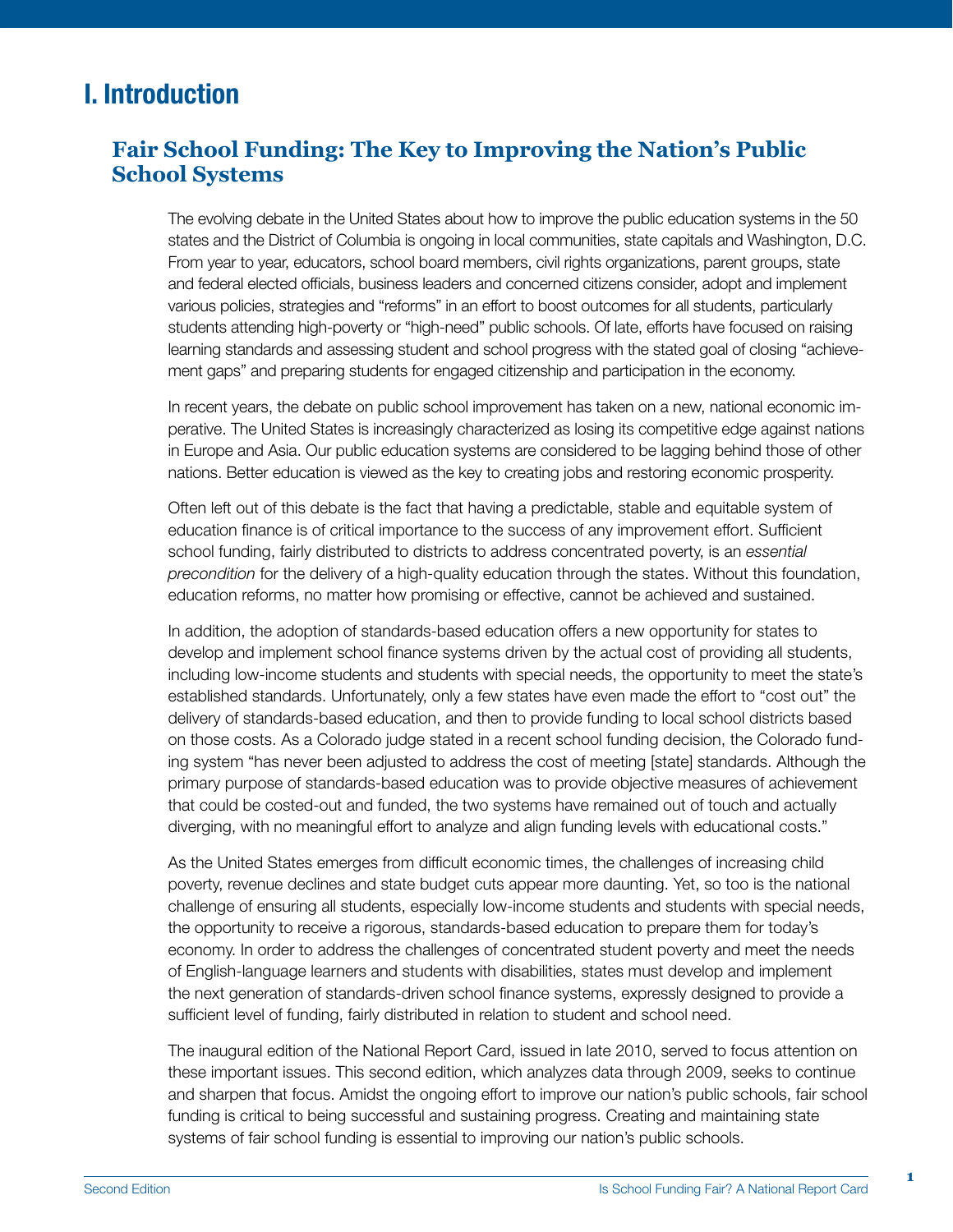## I. Introduction

#### **Fair School Funding: The Key to Improving the Nation's Public School Systems**

The evolving debate in the United States about how to improve the public education systems in the 50 states and the District of Columbia is ongoing in local communities, state capitals and Washington, D.C. From year to year, educators, school board members, civil rights organizations, parent groups, state and federal elected officials, business leaders and concerned citizens consider, adopt and implement various policies, strategies and "reforms" in an effort to boost outcomes for all students, particularly students attending high-poverty or "high-need" public schools. Of late, efforts have focused on raising learning standards and assessing student and school progress with the stated goal of closing "achievement gaps" and preparing students for engaged citizenship and participation in the economy.

In recent years, the debate on public school improvement has taken on a new, national economic imperative. The United States is increasingly characterized as losing its competitive edge against nations in Europe and Asia. Our public education systems are considered to be lagging behind those of other nations. Better education is viewed as the key to creating jobs and restoring economic prosperity.

Often left out of this debate is the fact that having a predictable, stable and equitable system of education finance is of critical importance to the success of any improvement effort. Sufficient school funding, fairly distributed to districts to address concentrated poverty, is an *essential precondition* for the delivery of a high-quality education through the states. Without this foundation, education reforms, no matter how promising or effective, cannot be achieved and sustained.

In addition, the adoption of standards-based education offers a new opportunity for states to develop and implement school finance systems driven by the actual cost of providing all students, including low-income students and students with special needs, the opportunity to meet the state's established standards. Unfortunately, only a few states have even made the effort to "cost out" the delivery of standards-based education, and then to provide funding to local school districts based on those costs. As a Colorado judge stated in a recent school funding decision, the Colorado funding system "has never been adjusted to address the cost of meeting [state] standards. Although the primary purpose of standards-based education was to provide objective measures of achievement that could be costed-out and funded, the two systems have remained out of touch and actually diverging, with no meaningful effort to analyze and align funding levels with educational costs."

As the United States emerges from difficult economic times, the challenges of increasing child poverty, revenue declines and state budget cuts appear more daunting. Yet, so too is the national challenge of ensuring all students, especially low-income students and students with special needs, the opportunity to receive a rigorous, standards-based education to prepare them for today's economy. In order to address the challenges of concentrated student poverty and meet the needs of English-language learners and students with disabilities, states must develop and implement the next generation of standards-driven school finance systems, expressly designed to provide a sufficient level of funding, fairly distributed in relation to student and school need.

The inaugural edition of the National Report Card, issued in late 2010, served to focus attention on these important issues. This second edition, which analyzes data through 2009, seeks to continue and sharpen that focus. Amidst the ongoing effort to improve our nation's public schools, fair school funding is critical to being successful and sustaining progress. Creating and maintaining state systems of fair school funding is essential to improving our nation's public schools.

**1**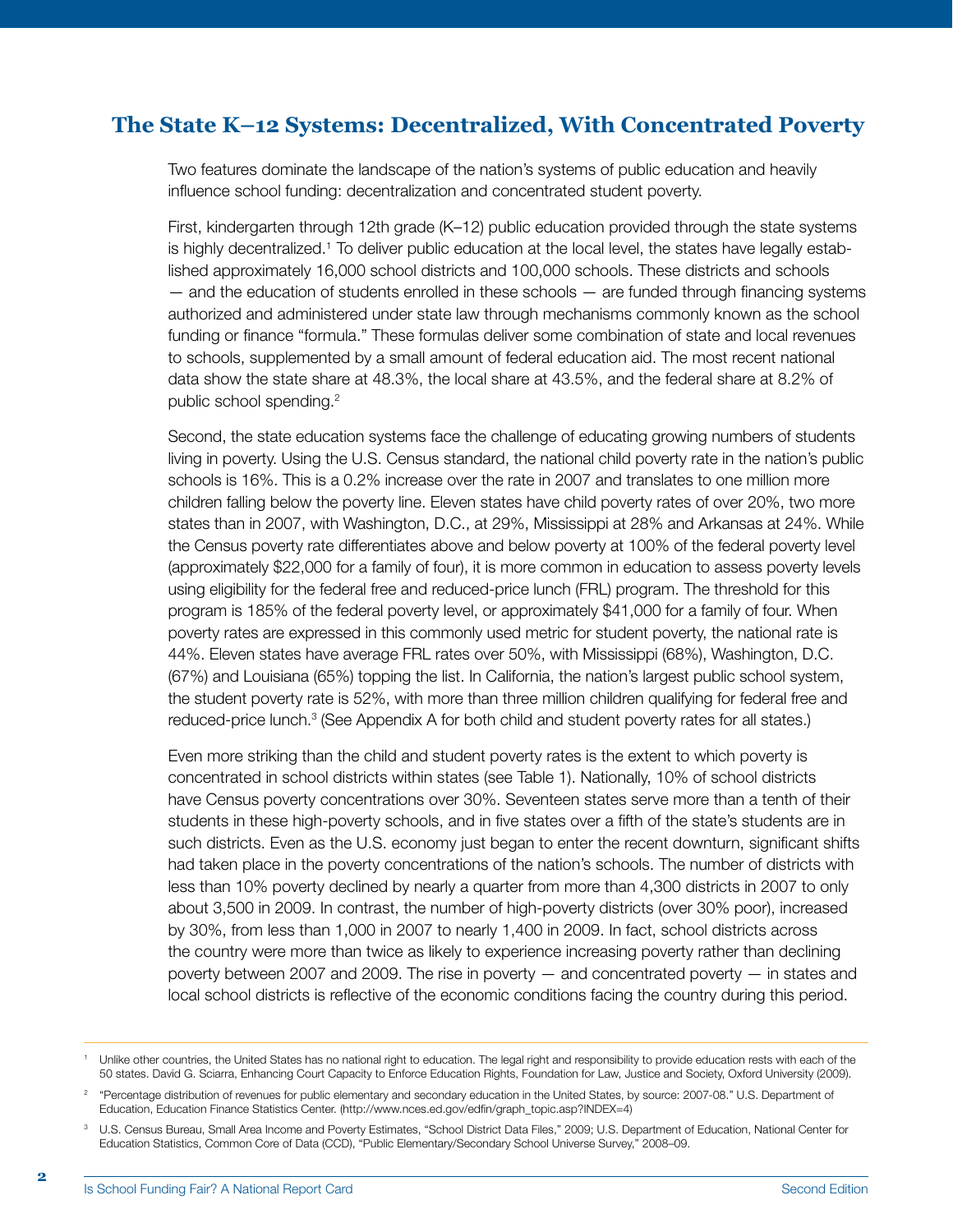#### **The State K–12 Systems: Decentralized, With Concentrated Poverty**

Two features dominate the landscape of the nation's systems of public education and heavily influence school funding: decentralization and concentrated student poverty.

First, kindergarten through 12th grade (K–12) public education provided through the state systems is highly decentralized.<sup>1</sup> To deliver public education at the local level, the states have legally established approximately 16,000 school districts and 100,000 schools. These districts and schools  $-$  and the education of students enrolled in these schools  $-$  are funded through financing systems authorized and administered under state law through mechanisms commonly known as the school funding or finance "formula." These formulas deliver some combination of state and local revenues to schools, supplemented by a small amount of federal education aid. The most recent national data show the state share at 48.3%, the local share at 43.5%, and the federal share at 8.2% of public school spending.<sup>2</sup>

Second, the state education systems face the challenge of educating growing numbers of students living in poverty. Using the U.S. Census standard, the national child poverty rate in the nation's public schools is 16%. This is a 0.2% increase over the rate in 2007 and translates to one million more children falling below the poverty line. Eleven states have child poverty rates of over 20%, two more states than in 2007, with Washington, D.C., at 29%, Mississippi at 28% and Arkansas at 24%. While the Census poverty rate differentiates above and below poverty at 100% of the federal poverty level (approximately \$22,000 for a family of four), it is more common in education to assess poverty levels using eligibility for the federal free and reduced-price lunch (FRL) program. The threshold for this program is 185% of the federal poverty level, or approximately \$41,000 for a family of four. When poverty rates are expressed in this commonly used metric for student poverty, the national rate is 44%. Eleven states have average FRL rates over 50%, with Mississippi (68%), Washington, D.C. (67%) and Louisiana (65%) topping the list. In California, the nation's largest public school system, the student poverty rate is 52%, with more than three million children qualifying for federal free and reduced-price lunch.<sup>3</sup> (See Appendix A for both child and student poverty rates for all states.)

Even more striking than the child and student poverty rates is the extent to which poverty is concentrated in school districts within states (see Table 1). Nationally, 10% of school districts have Census poverty concentrations over 30%. Seventeen states serve more than a tenth of their students in these high-poverty schools, and in five states over a fifth of the state's students are in such districts. Even as the U.S. economy just began to enter the recent downturn, significant shifts had taken place in the poverty concentrations of the nation's schools. The number of districts with less than 10% poverty declined by nearly a quarter from more than 4,300 districts in 2007 to only about 3,500 in 2009. In contrast, the number of high-poverty districts (over 30% poor), increased by 30%, from less than 1,000 in 2007 to nearly 1,400 in 2009. In fact, school districts across the country were more than twice as likely to experience increasing poverty rather than declining poverty between 2007 and 2009. The rise in poverty — and concentrated poverty — in states and local school districts is reflective of the economic conditions facing the country during this period.

Unlike other countries, the United States has no national right to education. The legal right and responsibility to provide education rests with each of the 50 states. David G. Sciarra, Enhancing Court Capacity to Enforce Education Rights, Foundation for Law, Justice and Society, Oxford University (2009).

<sup>&</sup>lt;sup>2</sup> "Percentage distribution of revenues for public elementary and secondary education in the United States, by source: 2007-08." U.S. Department of Education, Education Finance Statistics Center. (http://www.nces.ed.gov/edfin/graph\_topic.asp?INDEX=4)

<sup>3</sup> U.S. Census Bureau, Small Area Income and Poverty Estimates, "School District Data Files," 2009; U.S. Department of Education, National Center for Education Statistics, Common Core of Data (CCD), "Public Elementary/Secondary School Universe Survey," 2008–09.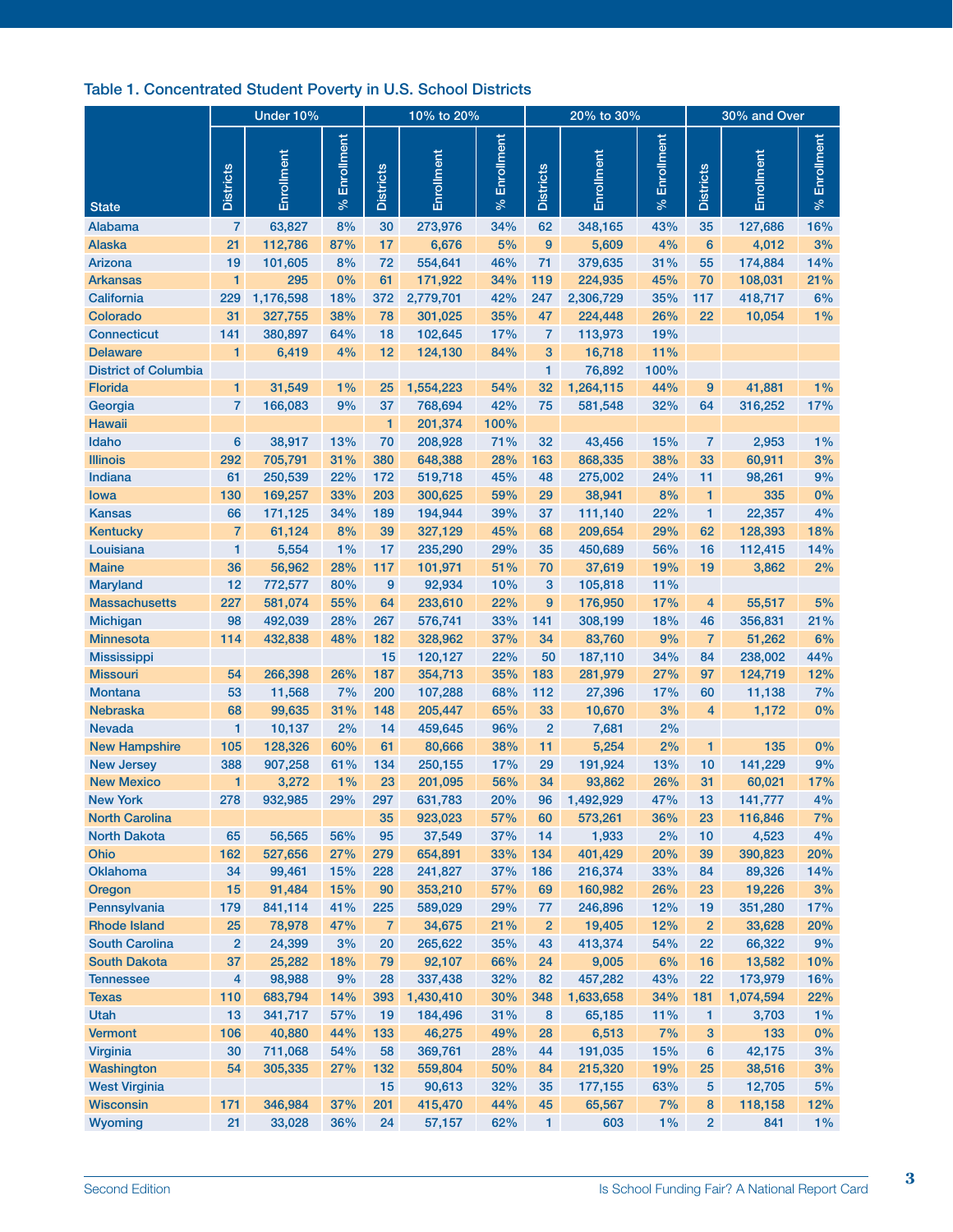#### Table 1. Concentrated Student Poverty in U.S. School Districts

|                             | Under 10%        |                   |                          | 10% to 20%       |                   |                   |                  | 20% to 30%       |                          | 30% and Over     |                  |                          |
|-----------------------------|------------------|-------------------|--------------------------|------------------|-------------------|-------------------|------------------|------------------|--------------------------|------------------|------------------|--------------------------|
| <b>State</b>                | <b>Districts</b> | Enrollment        | Enrollment<br>$\sqrt{6}$ | <b>Districts</b> | Enrollment        | Enrollment<br>್ಗೇ | <b>Districts</b> | Enrollment       | Enrollment<br>$\sqrt{6}$ | <b>Districts</b> | Enrollment       | Enrollment<br>$\sqrt{6}$ |
| Alabama                     | 7                | 63,827            | 8%                       | 30               | 273,976           | 34%               | 62               | 348,165          | 43%                      | 35               | 127,686          | 16%                      |
| <b>Alaska</b>               | 21               | 112,786           | 87%                      | 17               | 6,676             | 5%                | 9                | 5,609            | 4%                       | $6\phantom{1}$   | 4,012            | 3%                       |
| Arizona                     | 19               | 101,605           | 8%                       | 72               | 554,641           | 46%               | 71               | 379,635          | 31%                      | 55               | 174,884          | 14%                      |
| <b>Arkansas</b>             | 1                | 295               | 0%                       | 61               | 171,922           | 34%               | 119              | 224,935          | 45%                      | 70               | 108,031          | 21%                      |
| California                  | 229              | 1,176,598         | 18%                      | 372              | 2,779,701         | 42%               | 247              | 2,306,729        | 35%                      | 117              | 418,717          | 6%                       |
| Colorado                    | 31               | 327,755           | 38%                      | 78               | 301,025           | 35%               | 47               | 224,448          | 26%                      | 22               | 10,054           | $1\%$                    |
| <b>Connecticut</b>          | 141              | 380,897           | 64%                      | 18               | 102,645           | 17%               | 7                | 113,973          | 19%                      |                  |                  |                          |
| <b>Delaware</b>             | 1                | 6,419             | 4%                       | 12               | 124,130           | 84%               | 3                | 16,718           | 11%                      |                  |                  |                          |
| <b>District of Columbia</b> |                  |                   |                          |                  |                   |                   | 1                | 76,892           | 100%                     |                  |                  |                          |
| Florida                     | 1                | 31,549            | 1%                       | 25               | 1,554,223         | 54%               | 32               | 1,264,115        | 44%                      | 9                | 41,881           | $1\%$                    |
| Georgia                     | 7                | 166,083           | 9%                       | 37               | 768,694           | 42%               | 75               | 581,548          | 32%                      | 64               | 316,252          | 17%                      |
| <b>Hawaii</b>               |                  |                   |                          | 1                | 201,374           | 100%              |                  |                  |                          |                  |                  |                          |
| Idaho                       | 6                | 38,917            | 13%                      | 70               | 208,928           | 71%               | 32               | 43,456           | 15%                      | 7                | 2,953            | $1\%$                    |
| <b>Illinois</b>             | 292              | 705,791           | 31%                      | 380              | 648,388           | 28%               | 163              | 868,335          | 38%                      | 33               | 60,911           | 3%                       |
| Indiana                     | 61               | 250,539           | 22%                      | 172              | 519,718           | 45%               | 48               | 275,002          | 24%                      | 11               | 98,261           | 9%                       |
| lowa                        | 130              | 169,257           | 33%                      | 203              | 300,625           | 59%               | 29               | 38,941           | 8%                       | 1                | 335              | 0%                       |
| <b>Kansas</b>               | 66               | 171,125           | 34%                      | 189              | 194,944           | 39%               | 37               | 111,140          | 22%                      | 1                | 22,357           | 4%                       |
| <b>Kentucky</b>             | $\overline{7}$   | 61,124            | 8%                       | 39               | 327,129           | 45%               | 68               | 209,654          | 29%                      | 62               | 128,393          | 18%                      |
| Louisiana                   | 1                | 5,554             | 1%                       | 17               | 235,290           | 29%               | 35               | 450,689          | 56%                      | 16               | 112,415          | 14%                      |
| <b>Maine</b>                | 36               | 56,962            | 28%                      | 117              | 101,971           | 51%               | 70               | 37,619           | 19%                      | 19               | 3,862            | 2%                       |
| <b>Maryland</b>             | 12               | 772,577           | 80%                      | 9                | 92,934            | 10%               | 3                | 105,818          | 11%                      |                  |                  |                          |
| <b>Massachusetts</b>        | 227              | 581,074           | 55%                      | 64               | 233,610           | 22%               | 9                | 176,950          | 17%                      | 4                | 55,517           | 5%                       |
| <b>Michigan</b>             | 98               | 492,039           | 28%                      | 267              | 576,741           | 33%               | 141              | 308,199          | 18%                      | 46               | 356,831          | 21%                      |
| <b>Minnesota</b>            | 114              | 432,838           | 48%                      | 182              | 328,962           | 37%               | 34               | 83,760           | 9%                       | 7                | 51,262           | 6%                       |
| <b>Mississippi</b>          |                  |                   |                          | 15               | 120,127           | 22%               | 50               | 187,110          | 34%                      | 84               | 238,002          | 44%                      |
| <b>Missouri</b>             | 54               | 266,398           | 26%                      | 187              | 354,713           | 35%               | 183              | 281,979          | 27%                      | 97               | 124,719          | 12%                      |
| <b>Montana</b>              | 53               | 11,568            | 7%                       | 200              | 107,288           | 68%               | 112              | 27,396           | 17%                      | 60               | 11,138           | 7%                       |
| <b>Nebraska</b>             | 68               | 99,635            | 31%                      | 148              | 205,447           | 65%               | 33               | 10,670           | 3%                       | 4                | 1,172            | 0%                       |
| <b>Nevada</b>               | 1                | 10,137            | 2%                       | 14               | 459,645           | 96%               | $\overline{2}$   | 7,681            | 2%                       |                  |                  |                          |
| <b>New Hampshire</b>        | 105              | 128,326           | 60%                      | 61               | 80,666            | 38%               | 11               | 5,254            | 2%                       | 1                | 135              | 0%                       |
| <b>New Jersey</b>           | 388              | 907,258           | 61%                      | 134              | 250,155           | 17%               | 29               | 191,924          | 13%                      | 10               | 141,229          | 9%                       |
| <b>New Mexico</b>           | 1                | 3,272             | 1%                       | 23               | 201,095           | 56%               | 34               | 93,862           | 26%                      | 31               | 60,021           | 17%                      |
| <b>New York</b>             | 278              | 932,985           | 29%                      | 297              | 631,783           | 20%               | 96               | 1,492,929        | 47%                      | 13               | 141,777          | 4%                       |
| <b>North Carolina</b>       |                  |                   |                          | 35               | 923,023           | 57%               | 60               | 573,261          | 36%                      | 23               | 116,846          | 7%                       |
| <b>North Dakota</b><br>Ohio | 65<br>162        | 56,565<br>527,656 | 56%<br>27%               | 95               | 37,549<br>654,891 | 37%<br>33%        | 14<br>134        | 1,933<br>401,429 | 2%<br>20%                | 10               | 4,523<br>390,823 | 4%                       |
| <b>Oklahoma</b>             | 34               | 99,461            | 15%                      | 279<br>228       | 241,827           | 37%               | 186              | 216,374          | 33%                      | 39<br>84         | 89,326           | 20%<br>14%               |
| Oregon                      | 15               | 91,484            | 15%                      | 90               | 353,210           | 57%               | 69               | 160,982          | 26%                      | 23               | 19,226           | 3%                       |
| Pennsylvania                | 179              | 841,114           | 41%                      | 225              | 589,029           | 29%               | 77               | 246,896          | 12%                      | 19               | 351,280          | 17%                      |
| <b>Rhode Island</b>         | 25               | 78,978            | 47%                      | $\overline{7}$   | 34,675            | 21%               | $\overline{2}$   | 19,405           | 12%                      | $\overline{2}$   | 33,628           | 20%                      |
| <b>South Carolina</b>       | $\overline{2}$   | 24,399            | 3%                       | 20               | 265,622           | 35%               | 43               | 413,374          | 54%                      | 22               | 66,322           | 9%                       |
| <b>South Dakota</b>         | 37               | 25,282            | 18%                      | 79               | 92,107            | 66%               | 24               | 9,005            | 6%                       | 16               | 13,582           | 10%                      |
| <b>Tennessee</b>            | 4                | 98,988            | 9%                       | 28               | 337,438           | 32%               | 82               | 457,282          | 43%                      | 22               | 173,979          | 16%                      |
| <b>Texas</b>                | 110              | 683,794           | 14%                      | 393              | 1,430,410         | 30%               | 348              | 1,633,658        | 34%                      | 181              | 1,074,594        | 22%                      |
| Utah                        | 13               | 341,717           | 57%                      | 19               | 184,496           | 31%               | 8                | 65,185           | 11%                      | 1                | 3,703            | $1\%$                    |
| <b>Vermont</b>              | 106              | 40,880            | 44%                      | 133              | 46,275            | 49%               | 28               | 6,513            | 7%                       | 3                | 133              | 0%                       |
| Virginia                    | 30               | 711,068           | 54%                      | 58               | 369,761           | 28%               | 44               | 191,035          | 15%                      | 6                | 42,175           | 3%                       |
| Washington                  | 54               | 305,335           | 27%                      | 132              | 559,804           | 50%               | 84               | 215,320          | 19%                      | 25               | 38,516           | 3%                       |
| <b>West Virginia</b>        |                  |                   |                          | 15               | 90,613            | 32%               | 35               | 177,155          | 63%                      | 5                | 12,705           | 5%                       |
| <b>Wisconsin</b>            | 171              | 346,984           | 37%                      | 201              | 415,470           | 44%               | 45               | 65,567           | 7%                       | 8                | 118,158          | 12%                      |
| Wyoming                     | 21               | 33,028            | 36%                      | 24               | 57,157            | 62%               | $\mathbf{1}$     | 603              | 1%                       | $\overline{2}$   | 841              | 1%                       |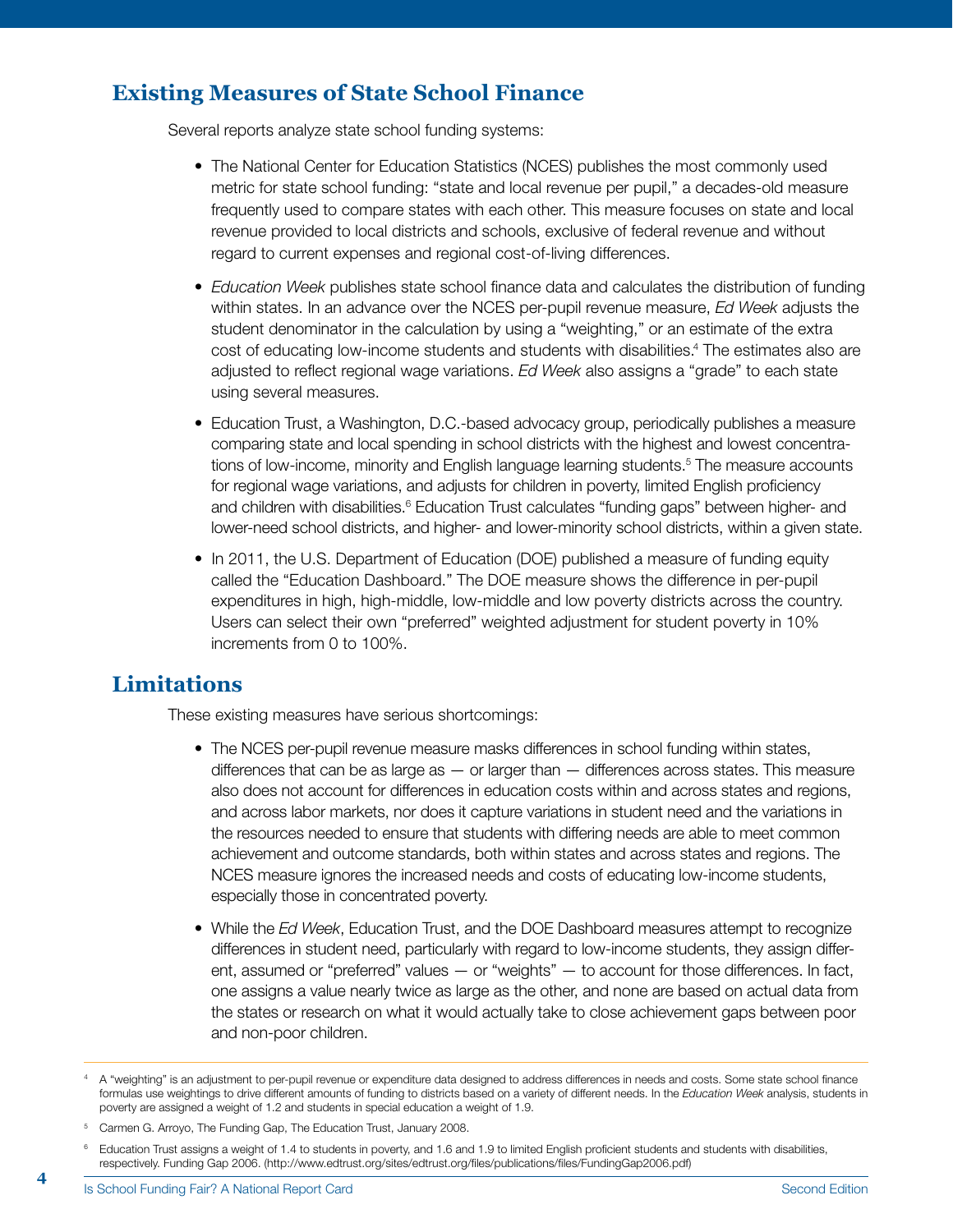## **Existing Measures of State School Finance**

Several reports analyze state school funding systems:

- The National Center for Education Statistics (NCES) publishes the most commonly used metric for state school funding: "state and local revenue per pupil," a decades-old measure frequently used to compare states with each other. This measure focuses on state and local revenue provided to local districts and schools, exclusive of federal revenue and without regard to current expenses and regional cost-of-living differences.
- •  *Education Week* publishes state school finance data and calculates the distribution of funding within states. In an advance over the NCES per-pupil revenue measure, *Ed Week* adjusts the student denominator in the calculation by using a "weighting," or an estimate of the extra cost of educating low-income students and students with disabilities.<sup>4</sup> The estimates also are adjusted to reflect regional wage variations. *Ed Week* also assigns a "grade" to each state using several measures.
- Education Trust, a Washington, D.C.-based advocacy group, periodically publishes a measure comparing state and local spending in school districts with the highest and lowest concentrations of low-income, minority and English language learning students.<sup>5</sup> The measure accounts for regional wage variations, and adjusts for children in poverty, limited English proficiency and children with disabilities.<sup>6</sup> Education Trust calculates "funding gaps" between higher- and lower-need school districts, and higher- and lower-minority school districts, within a given state.
- In 2011, the U.S. Department of Education (DOE) published a measure of funding equity called the "Education Dashboard." The DOE measure shows the difference in per-pupil expenditures in high, high-middle, low-middle and low poverty districts across the country. Users can select their own "preferred" weighted adjustment for student poverty in 10% increments from 0 to 100%.

#### **Limitations**

These existing measures have serious shortcomings:

- The NCES per-pupil revenue measure masks differences in school funding within states, differences that can be as large as — or larger than — differences across states. This measure also does not account for differences in education costs within and across states and regions, and across labor markets, nor does it capture variations in student need and the variations in the resources needed to ensure that students with differing needs are able to meet common achievement and outcome standards, both within states and across states and regions. The NCES measure ignores the increased needs and costs of educating low-income students, especially those in concentrated poverty.
- •  While the *Ed Week*, Education Trust, and the DOE Dashboard measures attempt to recognize differences in student need, particularly with regard to low-income students, they assign different, assumed or "preferred" values — or "weights" — to account for those differences. In fact, one assigns a value nearly twice as large as the other, and none are based on actual data from the states or research on what it would actually take to close achievement gaps between poor and non-poor children.

<sup>4</sup> A "weighting" is an adjustment to per-pupil revenue or expenditure data designed to address differences in needs and costs. Some state school finance formulas use weightings to drive different amounts of funding to districts based on a variety of different needs. In the *Education Week* analysis, students in poverty are assigned a weight of 1.2 and students in special education a weight of 1.9.

<sup>&</sup>lt;sup>5</sup> Carmen G. Arroyo, The Funding Gap, The Education Trust, January 2008.

<sup>6</sup> Education Trust assigns a weight of 1.4 to students in poverty, and 1.6 and 1.9 to limited English proficient students and students with disabilities, respectively. Funding Gap 2006. (http://www.edtrust.org/sites/edtrust.org/files/publications/files/FundingGap2006.pdf)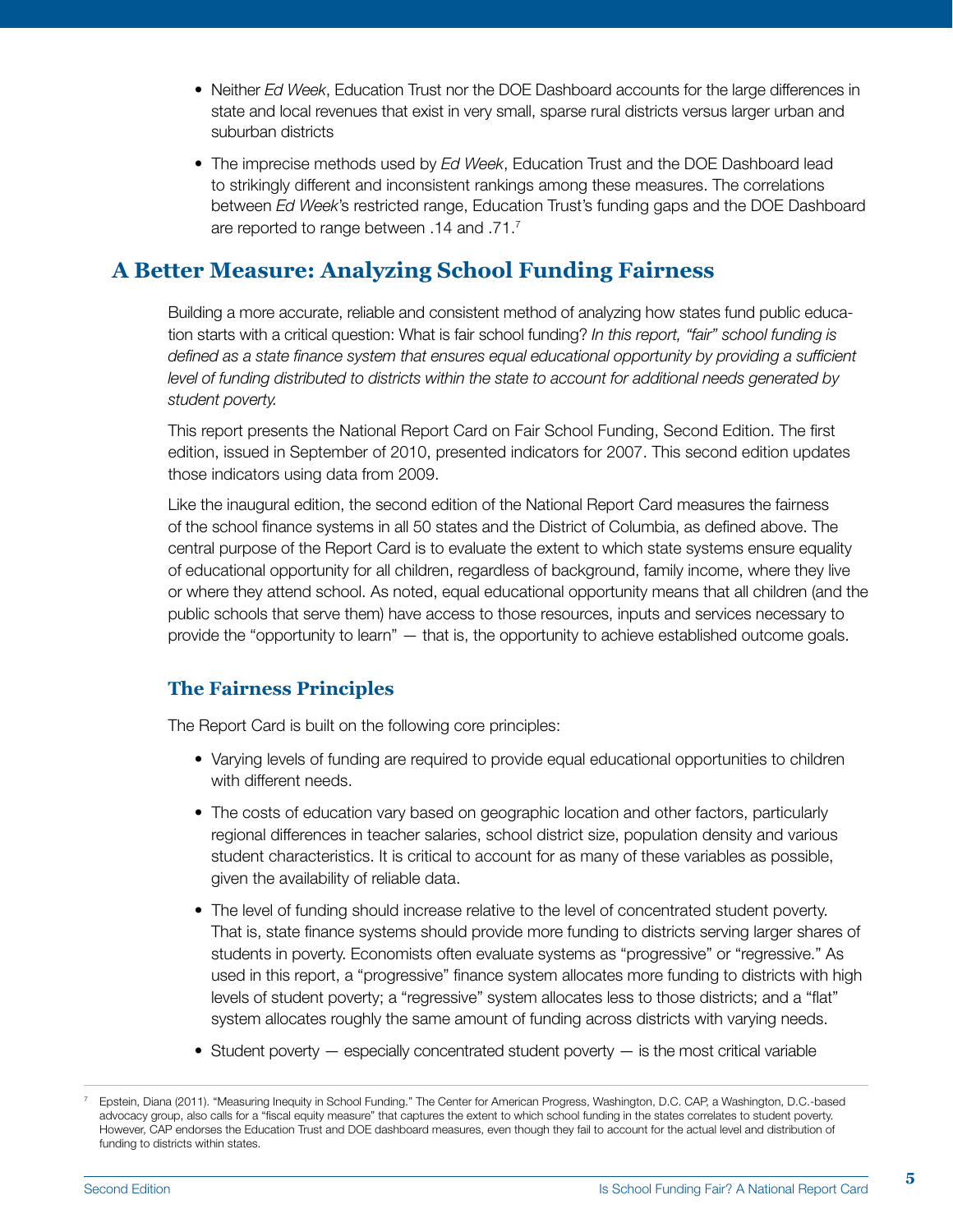- •  Neither *Ed Week*, Education Trust nor the DOE Dashboard accounts for the large differences in state and local revenues that exist in very small, sparse rural districts versus larger urban and suburban districts
- The imprecise methods used by *Ed Week*, Education Trust and the DOE Dashboard lead to strikingly different and inconsistent rankings among these measures. The correlations between *Ed Week*'s restricted range, Education Trust's funding gaps and the DOE Dashboard are reported to range between .14 and .71.7

### **A Better Measure: Analyzing School Funding Fairness**

Building a more accurate, reliable and consistent method of analyzing how states fund public education starts with a critical question: What is fair school funding? *In this report, "fair" school funding is defined as a state finance system that ensures equal educational opportunity by providing a sufficient level of funding distributed to districts within the state to account for additional needs generated by student poverty.* 

This report presents the National Report Card on Fair School Funding, Second Edition. The first edition, issued in September of 2010, presented indicators for 2007. This second edition updates those indicators using data from 2009.

Like the inaugural edition, the second edition of the National Report Card measures the fairness of the school finance systems in all 50 states and the District of Columbia, as defined above. The central purpose of the Report Card is to evaluate the extent to which state systems ensure equality of educational opportunity for all children, regardless of background, family income, where they live or where they attend school. As noted, equal educational opportunity means that all children (and the public schools that serve them) have access to those resources, inputs and services necessary to provide the "opportunity to learn" — that is, the opportunity to achieve established outcome goals.

#### **The Fairness Principles**

The Report Card is built on the following core principles:

- Varying levels of funding are required to provide equal educational opportunities to children with different needs.
- The costs of education vary based on geographic location and other factors, particularly regional differences in teacher salaries, school district size, population density and various student characteristics. It is critical to account for as many of these variables as possible, given the availability of reliable data.
- The level of funding should increase relative to the level of concentrated student poverty. That is, state finance systems should provide more funding to districts serving larger shares of students in poverty. Economists often evaluate systems as "progressive" or "regressive." As used in this report, a "progressive" finance system allocates more funding to districts with high levels of student poverty; a "regressive" system allocates less to those districts; and a "flat" system allocates roughly the same amount of funding across districts with varying needs.
- Student poverty especially concentrated student poverty is the most critical variable

<sup>7</sup> Epstein, Diana (2011). "Measuring Inequity in School Funding." The Center for American Progress, Washington, D.C. CAP, a Washington, D.C.-based advocacy group, also calls for a "fiscal equity measure" that captures the extent to which school funding in the states correlates to student poverty. However, CAP endorses the Education Trust and DOE dashboard measures, even though they fail to account for the actual level and distribution of funding to districts within states.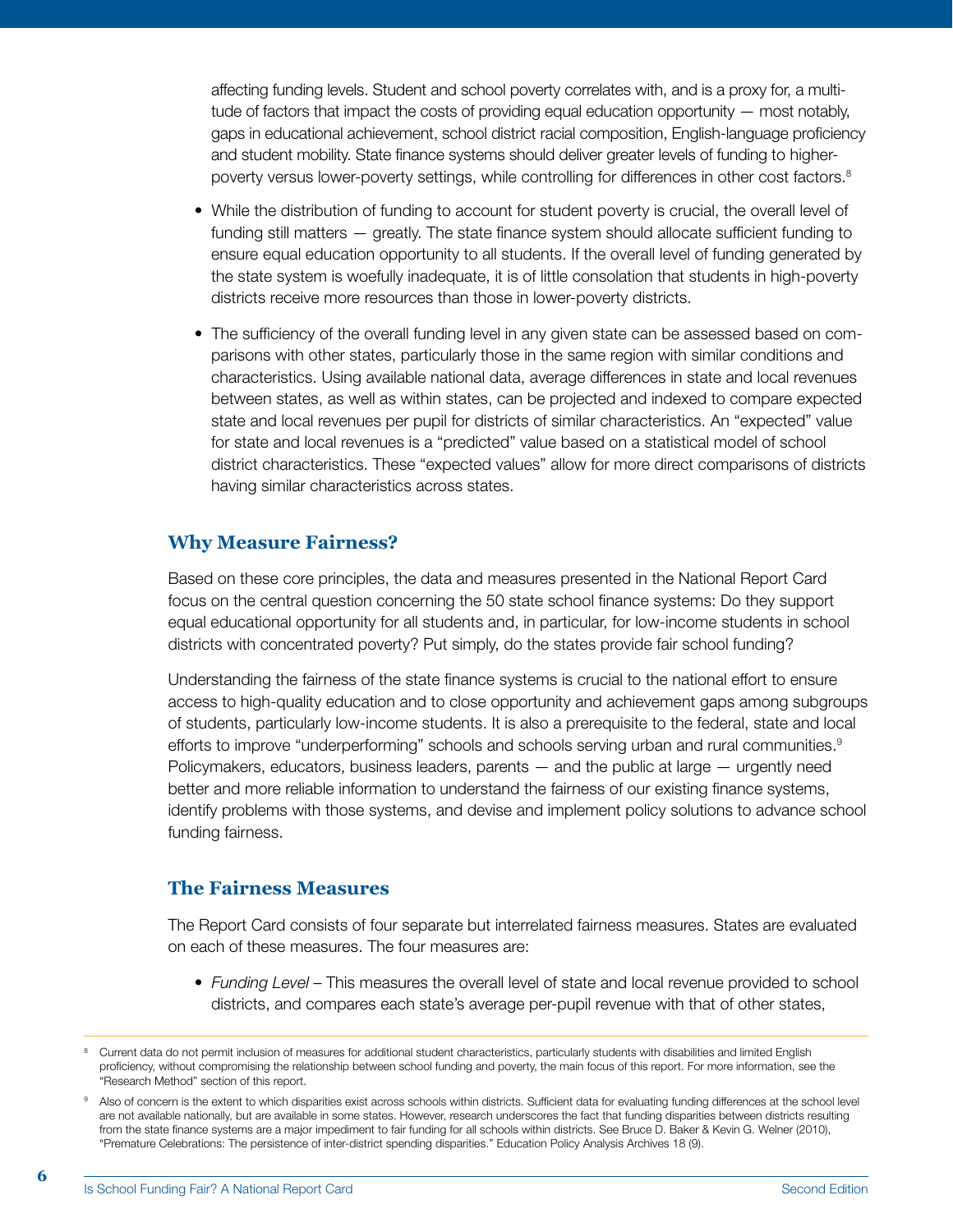affecting funding levels. Student and school poverty correlates with, and is a proxy for, a multitude of factors that impact the costs of providing equal education opportunity — most notably, gaps in educational achievement, school district racial composition, English-language proficiency and student mobility. State finance systems should deliver greater levels of funding to higherpoverty versus lower-poverty settings, while controlling for differences in other cost factors.<sup>8</sup>

- While the distribution of funding to account for student poverty is crucial, the overall level of funding still matters — greatly. The state finance system should allocate sufficient funding to ensure equal education opportunity to all students. If the overall level of funding generated by the state system is woefully inadequate, it is of little consolation that students in high-poverty districts receive more resources than those in lower-poverty districts.
- The sufficiency of the overall funding level in any given state can be assessed based on comparisons with other states, particularly those in the same region with similar conditions and characteristics. Using available national data, average differences in state and local revenues between states, as well as within states, can be projected and indexed to compare expected state and local revenues per pupil for districts of similar characteristics. An "expected" value for state and local revenues is a "predicted" value based on a statistical model of school district characteristics. These "expected values" allow for more direct comparisons of districts having similar characteristics across states.

#### **Why Measure Fairness?**

Based on these core principles, the data and measures presented in the National Report Card focus on the central question concerning the 50 state school finance systems: Do they support equal educational opportunity for all students and, in particular, for low-income students in school districts with concentrated poverty? Put simply, do the states provide fair school funding?

Understanding the fairness of the state finance systems is crucial to the national effort to ensure access to high-quality education and to close opportunity and achievement gaps among subgroups of students, particularly low-income students. It is also a prerequisite to the federal, state and local efforts to improve "underperforming" schools and schools serving urban and rural communities.<sup>9</sup> Policymakers, educators, business leaders, parents — and the public at large — urgently need better and more reliable information to understand the fairness of our existing finance systems, identify problems with those systems, and devise and implement policy solutions to advance school funding fairness.

#### **The Fairness Measures**

The Report Card consists of four separate but interrelated fairness measures. States are evaluated on each of these measures. The four measures are:

•  *Funding Level* – This measures the overall level of state and local revenue provided to school districts, and compares each state's average per-pupil revenue with that of other states,

<sup>8</sup> Current data do not permit inclusion of measures for additional student characteristics, particularly students with disabilities and limited English proficiency, without compromising the relationship between school funding and poverty, the main focus of this report. For more information, see the "Research Method" section of this report.

<sup>&</sup>lt;sup>9</sup> Also of concern is the extent to which disparities exist across schools within districts. Sufficient data for evaluating funding differences at the school level are not available nationally, but are available in some states. However, research underscores the fact that funding disparities between districts resulting from the state finance systems are a major impediment to fair funding for all schools within districts. See Bruce D. Baker & Kevin G. Welner (2010), "Premature Celebrations: The persistence of inter-district spending disparities." Education Policy Analysis Archives 18 (9).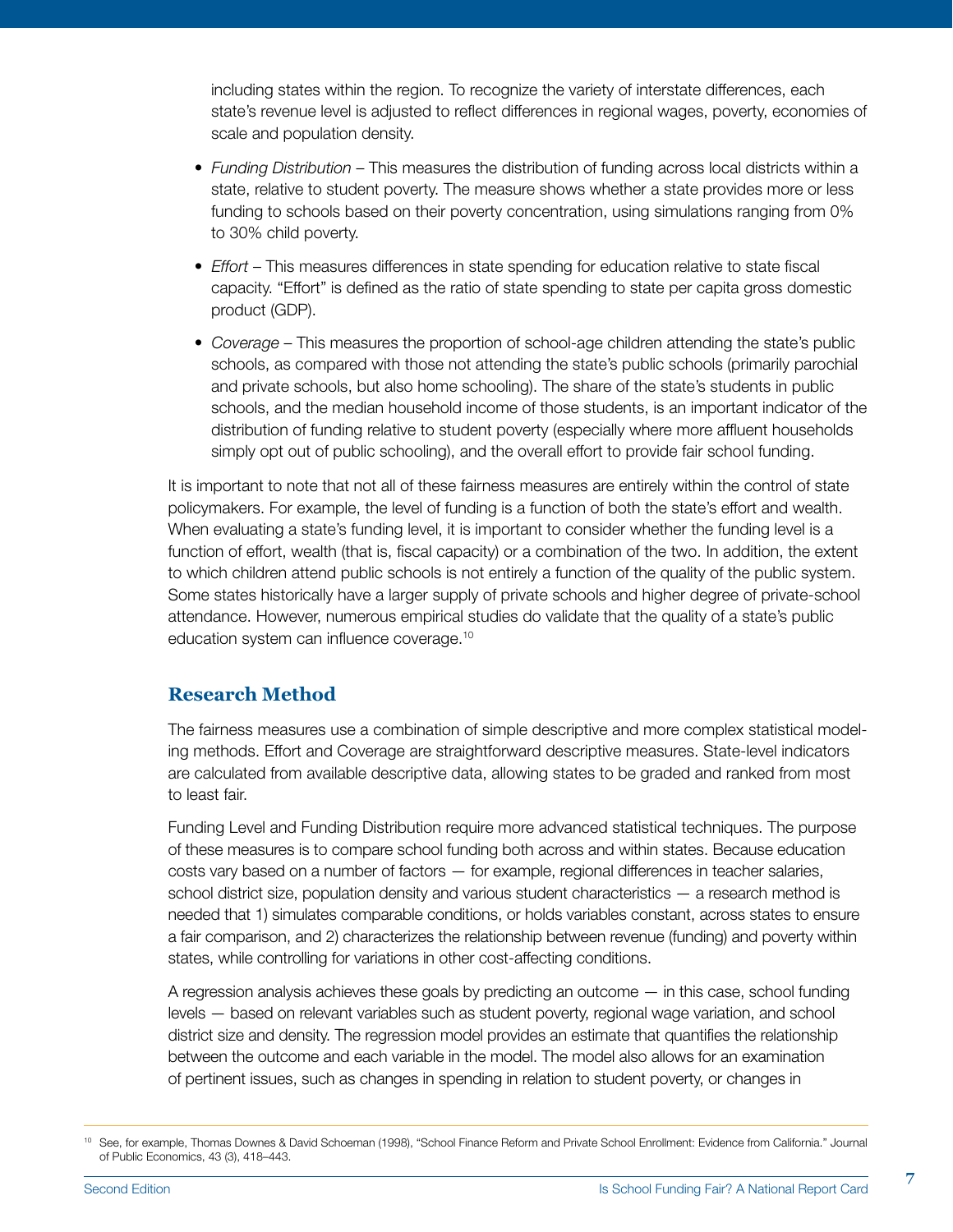including states within the region. To recognize the variety of interstate differences, each state's revenue level is adjusted to reflect differences in regional wages, poverty, economies of scale and population density.

- •  *Funding Distribution* This measures the distribution of funding across local districts within a state, relative to student poverty. The measure shows whether a state provides more or less funding to schools based on their poverty concentration, using simulations ranging from 0% to 30% child poverty.
- •  *Effort* This measures differences in state spending for education relative to state fiscal capacity. "Effort" is defined as the ratio of state spending to state per capita gross domestic product (GDP).
- •  *Coverage* This measures the proportion of school-age children attending the state's public schools, as compared with those not attending the state's public schools (primarily parochial and private schools, but also home schooling). The share of the state's students in public schools, and the median household income of those students, is an important indicator of the distribution of funding relative to student poverty (especially where more affluent households simply opt out of public schooling), and the overall effort to provide fair school funding.

It is important to note that not all of these fairness measures are entirely within the control of state policymakers. For example, the level of funding is a function of both the state's effort and wealth. When evaluating a state's funding level, it is important to consider whether the funding level is a function of effort, wealth (that is, fiscal capacity) or a combination of the two. In addition, the extent to which children attend public schools is not entirely a function of the quality of the public system. Some states historically have a larger supply of private schools and higher degree of private-school attendance. However, numerous empirical studies do validate that the quality of a state's public education system can influence coverage.10

#### **Research Method**

The fairness measures use a combination of simple descriptive and more complex statistical modeling methods. Effort and Coverage are straightforward descriptive measures. State-level indicators are calculated from available descriptive data, allowing states to be graded and ranked from most to least fair.

Funding Level and Funding Distribution require more advanced statistical techniques. The purpose of these measures is to compare school funding both across and within states. Because education costs vary based on a number of factors — for example, regional differences in teacher salaries, school district size, population density and various student characteristics — a research method is needed that 1) simulates comparable conditions, or holds variables constant, across states to ensure a fair comparison, and 2) characterizes the relationship between revenue (funding) and poverty within states, while controlling for variations in other cost-affecting conditions.

A regression analysis achieves these goals by predicting an outcome — in this case, school funding levels — based on relevant variables such as student poverty, regional wage variation, and school district size and density. The regression model provides an estimate that quantifies the relationship between the outcome and each variable in the model. The model also allows for an examination of pertinent issues, such as changes in spending in relation to student poverty, or changes in

<sup>10</sup> See, for example, Thomas Downes & David Schoeman (1998), "School Finance Reform and Private School Enrollment: Evidence from California." Journal of Public Economics, 43 (3), 418–443.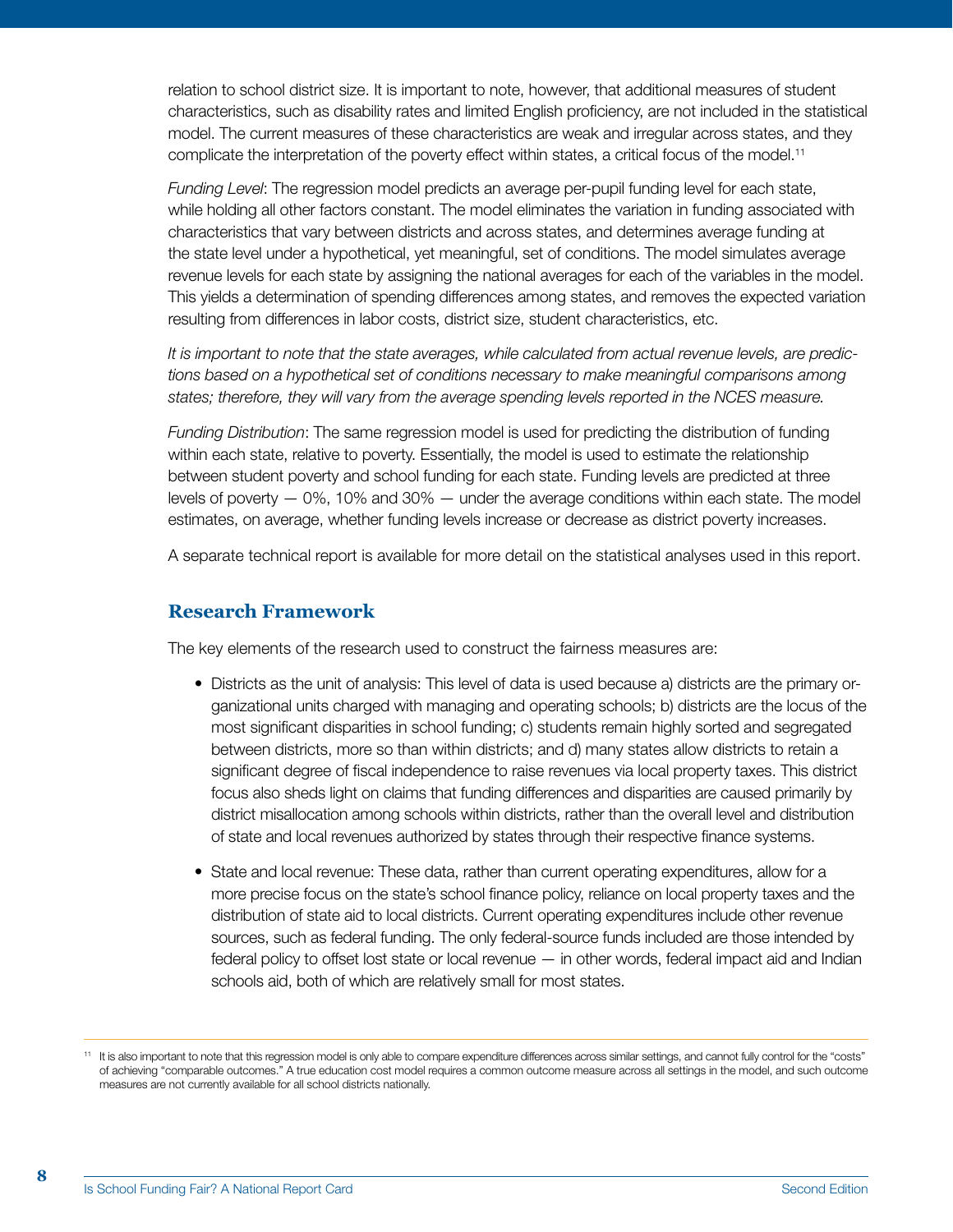relation to school district size. It is important to note, however, that additional measures of student characteristics, such as disability rates and limited English proficiency, are not included in the statistical model. The current measures of these characteristics are weak and irregular across states, and they complicate the interpretation of the poverty effect within states, a critical focus of the model.<sup>11</sup>

*Funding Level*: The regression model predicts an average per-pupil funding level for each state, while holding all other factors constant. The model eliminates the variation in funding associated with characteristics that vary between districts and across states, and determines average funding at the state level under a hypothetical, yet meaningful, set of conditions. The model simulates average revenue levels for each state by assigning the national averages for each of the variables in the model. This yields a determination of spending differences among states, and removes the expected variation resulting from differences in labor costs, district size, student characteristics, etc.

*It is important to note that the state averages, while calculated from actual revenue levels, are predictions based on a hypothetical set of conditions necessary to make meaningful comparisons among*  states; therefore, they will vary from the average spending levels reported in the NCES measure.

*Funding Distribution*: The same regression model is used for predicting the distribution of funding within each state, relative to poverty. Essentially, the model is used to estimate the relationship between student poverty and school funding for each state. Funding levels are predicted at three levels of poverty — 0%, 10% and 30% — under the average conditions within each state. The model estimates, on average, whether funding levels increase or decrease as district poverty increases.

A separate technical report is available for more detail on the statistical analyses used in this report.

#### **Research Framework**

The key elements of the research used to construct the fairness measures are:

- Districts as the unit of analysis: This level of data is used because a) districts are the primary organizational units charged with managing and operating schools; b) districts are the locus of the most significant disparities in school funding; c) students remain highly sorted and segregated between districts, more so than within districts; and d) many states allow districts to retain a significant degree of fiscal independence to raise revenues via local property taxes. This district focus also sheds light on claims that funding differences and disparities are caused primarily by district misallocation among schools within districts, rather than the overall level and distribution of state and local revenues authorized by states through their respective finance systems.
- State and local revenue: These data, rather than current operating expenditures, allow for a more precise focus on the state's school finance policy, reliance on local property taxes and the distribution of state aid to local districts. Current operating expenditures include other revenue sources, such as federal funding. The only federal-source funds included are those intended by federal policy to offset lost state or local revenue — in other words, federal impact aid and Indian schools aid, both of which are relatively small for most states.

<sup>11</sup> It is also important to note that this regression model is only able to compare expenditure differences across similar settings, and cannot fully control for the "costs" of achieving "comparable outcomes." A true education cost model requires a common outcome measure across all settings in the model, and such outcome measures are not currently available for all school districts nationally.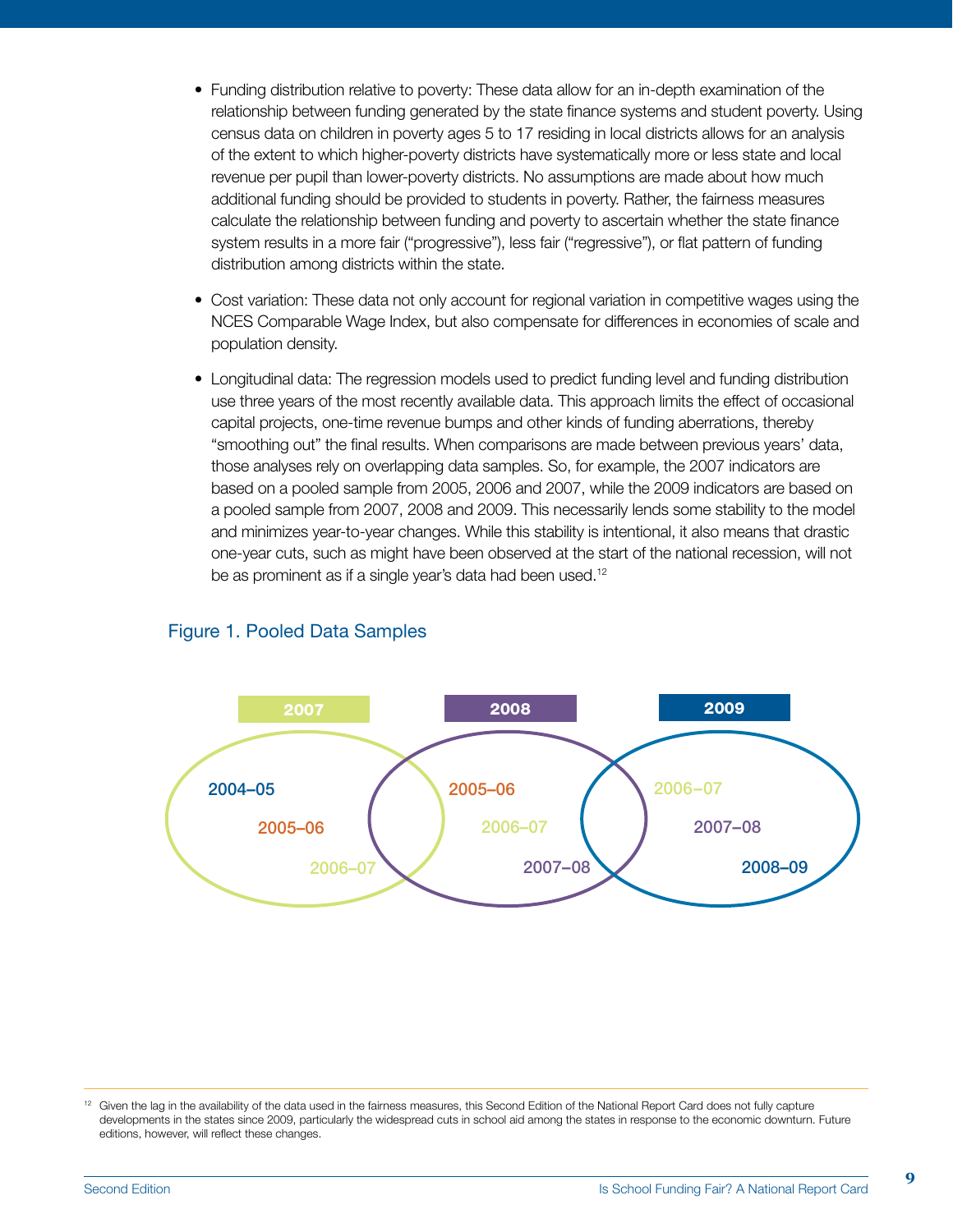- Funding distribution relative to poverty: These data allow for an in-depth examination of the relationship between funding generated by the state finance systems and student poverty. Using census data on children in poverty ages 5 to 17 residing in local districts allows for an analysis of the extent to which higher-poverty districts have systematically more or less state and local revenue per pupil than lower-poverty districts. No assumptions are made about how much additional funding should be provided to students in poverty. Rather, the fairness measures calculate the relationship between funding and poverty to ascertain whether the state finance system results in a more fair ("progressive"), less fair ("regressive"), or flat pattern of funding distribution among districts within the state.
- Cost variation: These data not only account for regional variation in competitive wages using the NCES Comparable Wage Index, but also compensate for differences in economies of scale and population density.
- Longitudinal data: The regression models used to predict funding level and funding distribution use three years of the most recently available data. This approach limits the effect of occasional capital projects, one-time revenue bumps and other kinds of funding aberrations, thereby "smoothing out" the final results. When comparisons are made between previous years' data, those analyses rely on overlapping data samples. So, for example, the 2007 indicators are based on a pooled sample from 2005, 2006 and 2007, while the 2009 indicators are based on a pooled sample from 2007, 2008 and 2009. This necessarily lends some stability to the model and minimizes year-to-year changes. While this stability is intentional, it also means that drastic one-year cuts, such as might have been observed at the start of the national recession, will not be as prominent as if a single year's data had been used.<sup>12</sup>



#### Figure 1. Pooled Data Samples

<sup>&</sup>lt;sup>12</sup> Given the lag in the availability of the data used in the fairness measures, this Second Edition of the National Report Card does not fully capture developments in the states since 2009, particularly the widespread cuts in school aid among the states in response to the economic downturn. Future editions, however, will reflect these changes.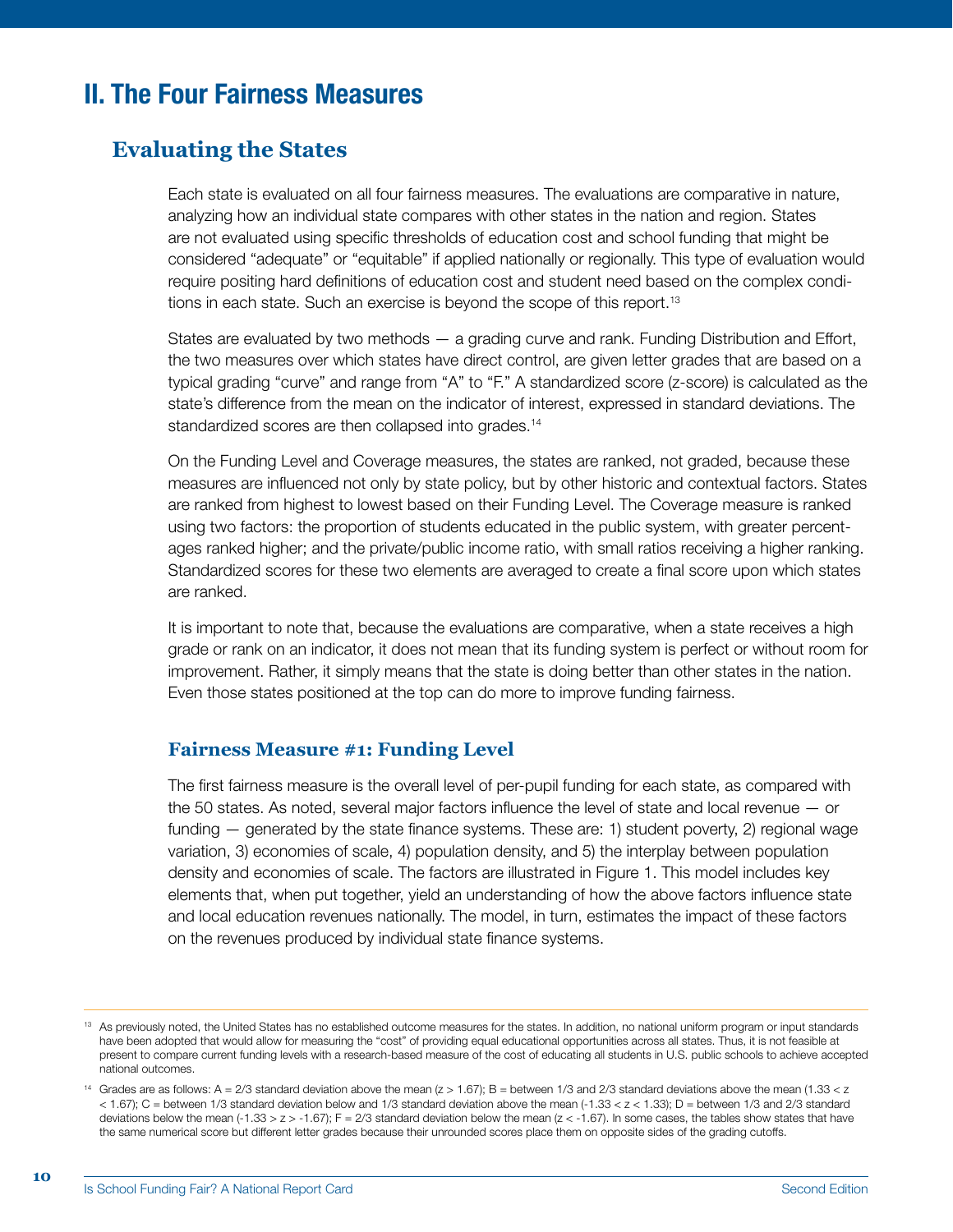## II. The Four Fairness Measures

#### **Evaluating the States**

Each state is evaluated on all four fairness measures. The evaluations are comparative in nature, analyzing how an individual state compares with other states in the nation and region. States are not evaluated using specific thresholds of education cost and school funding that might be considered "adequate" or "equitable" if applied nationally or regionally. This type of evaluation would require positing hard definitions of education cost and student need based on the complex conditions in each state. Such an exercise is beyond the scope of this report.<sup>13</sup>

States are evaluated by two methods — a grading curve and rank. Funding Distribution and Effort, the two measures over which states have direct control, are given letter grades that are based on a typical grading "curve" and range from "A" to "F." A standardized score (z-score) is calculated as the state's difference from the mean on the indicator of interest, expressed in standard deviations. The standardized scores are then collapsed into grades.<sup>14</sup>

On the Funding Level and Coverage measures, the states are ranked, not graded, because these measures are influenced not only by state policy, but by other historic and contextual factors. States are ranked from highest to lowest based on their Funding Level. The Coverage measure is ranked using two factors: the proportion of students educated in the public system, with greater percentages ranked higher; and the private/public income ratio, with small ratios receiving a higher ranking. Standardized scores for these two elements are averaged to create a final score upon which states are ranked.

It is important to note that, because the evaluations are comparative, when a state receives a high grade or rank on an indicator, it does not mean that its funding system is perfect or without room for improvement. Rather, it simply means that the state is doing better than other states in the nation. Even those states positioned at the top can do more to improve funding fairness.

#### **Fairness Measure #1: Funding Level**

The first fairness measure is the overall level of per-pupil funding for each state, as compared with the 50 states. As noted, several major factors influence the level of state and local revenue — or funding — generated by the state finance systems. These are: 1) student poverty, 2) regional wage variation, 3) economies of scale, 4) population density, and 5) the interplay between population density and economies of scale. The factors are illustrated in Figure 1. This model includes key elements that, when put together, yield an understanding of how the above factors influence state and local education revenues nationally. The model, in turn, estimates the impact of these factors on the revenues produced by individual state finance systems.

<sup>13</sup> As previously noted, the United States has no established outcome measures for the states. In addition, no national uniform program or input standards have been adopted that would allow for measuring the "cost" of providing equal educational opportunities across all states. Thus, it is not feasible at present to compare current funding levels with a research-based measure of the cost of educating all students in U.S. public schools to achieve accepted national outcomes.

<sup>&</sup>lt;sup>14</sup> Grades are as follows: A =  $2/3$  standard deviation above the mean  $(z > 1.67)$ ; B = between 1/3 and  $2/3$  standard deviations above the mean (1.33 < z < 1.67); C = between 1/3 standard deviation below and 1/3 standard deviation above the mean (-1.33 < z < 1.33); D = between 1/3 and 2/3 standard deviations below the mean (-1.33 > z > -1.67);  $F = 2/3$  standard deviation below the mean (z < -1.67). In some cases, the tables show states that have the same numerical score but different letter grades because their unrounded scores place them on opposite sides of the grading cutoffs.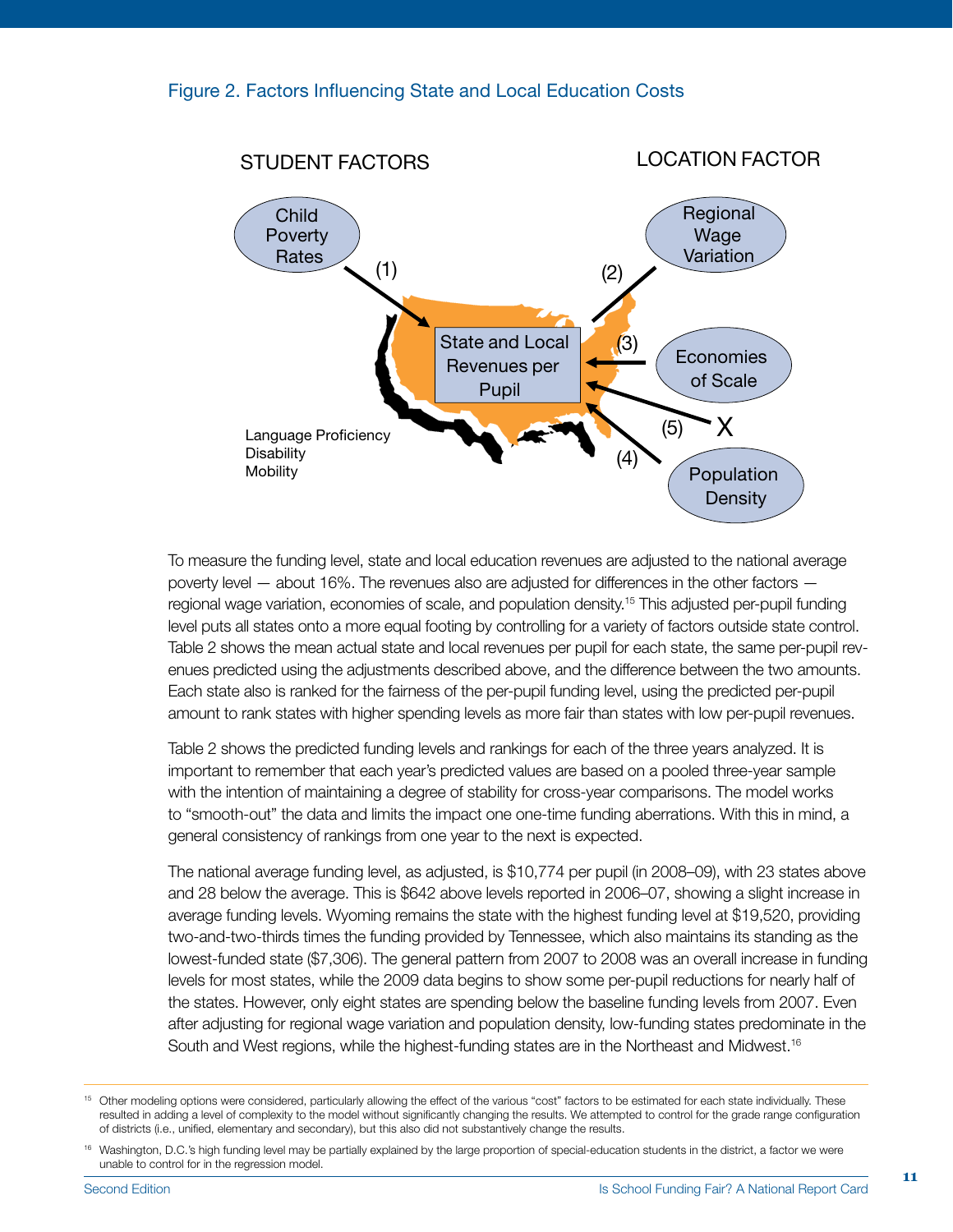

To measure the funding level, state and local education revenues are adjusted to the national average poverty level — about 16%. The revenues also are adjusted for differences in the other factors regional wage variation, economies of scale, and population density.15 This adjusted per-pupil funding level puts all states onto a more equal footing by controlling for a variety of factors outside state control. Table 2 shows the mean actual state and local revenues per pupil for each state, the same per-pupil revenues predicted using the adjustments described above, and the difference between the two amounts. Each state also is ranked for the fairness of the per-pupil funding level, using the predicted per-pupil amount to rank states with higher spending levels as more fair than states with low per-pupil revenues.

Table 2 shows the predicted funding levels and rankings for each of the three years analyzed. It is important to remember that each year's predicted values are based on a pooled three-year sample with the intention of maintaining a degree of stability for cross-year comparisons. The model works to "smooth-out" the data and limits the impact one one-time funding aberrations. With this in mind, a general consistency of rankings from one year to the next is expected.

The national average funding level, as adjusted, is \$10,774 per pupil (in 2008–09), with 23 states above and 28 below the average. This is \$642 above levels reported in 2006–07, showing a slight increase in average funding levels. Wyoming remains the state with the highest funding level at \$19,520, providing two-and-two-thirds times the funding provided by Tennessee, which also maintains its standing as the lowest-funded state (\$7,306). The general pattern from 2007 to 2008 was an overall increase in funding levels for most states, while the 2009 data begins to show some per-pupil reductions for nearly half of the states. However, only eight states are spending below the baseline funding levels from 2007. Even after adjusting for regional wage variation and population density, low-funding states predominate in the South and West regions, while the highest-funding states are in the Northeast and Midwest.<sup>16</sup>

<sup>&</sup>lt;sup>15</sup> Other modeling options were considered, particularly allowing the effect of the various "cost" factors to be estimated for each state individually. These resulted in adding a level of complexity to the model without significantly changing the results. We attempted to control for the grade range configuration of districts (i.e., unified, elementary and secondary), but this also did not substantively change the results.

<sup>&</sup>lt;sup>16</sup> Washington, D.C.'s high funding level may be partially explained by the large proportion of special-education students in the district, a factor we were unable to control for in the regression model.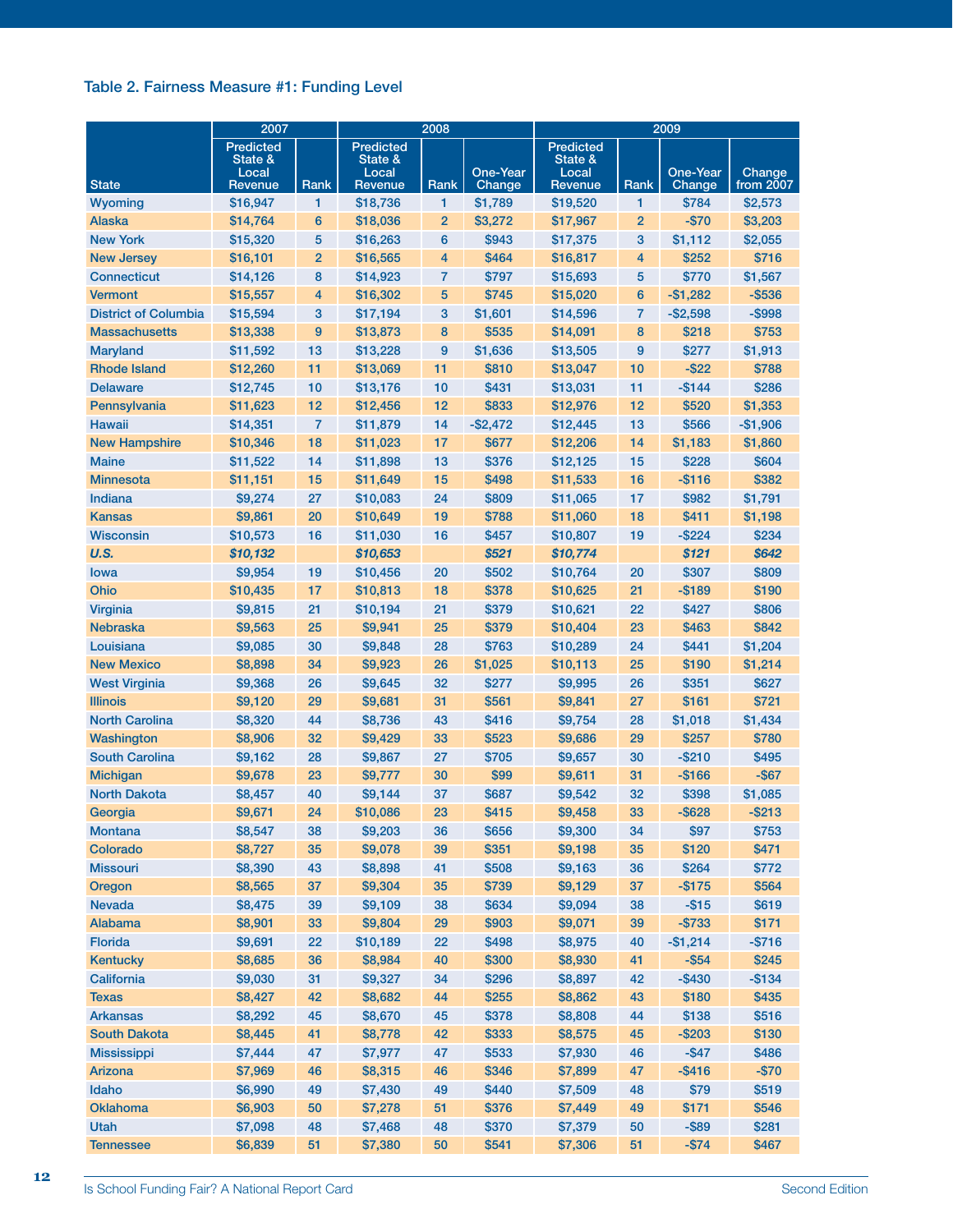#### Table 2. Fairness Measure #1: Funding Level

|                             | 2007                                 |                |                                                 | 2008           |                    | 2009                                            |                |                    |                     |  |
|-----------------------------|--------------------------------------|----------------|-------------------------------------------------|----------------|--------------------|-------------------------------------------------|----------------|--------------------|---------------------|--|
| <b>State</b>                | <b>Predicted</b><br>State &<br>Local | Rank           | <b>Predicted</b><br>State &<br>Local<br>Revenue | Rank           | One-Year<br>Change | <b>Predicted</b><br>State &<br>Local<br>Revenue | Rank           | One-Year<br>Change | Change<br>from 2007 |  |
| Wyoming                     | Revenue<br>\$16,947                  | 1              | \$18,736                                        | 1              | \$1,789            | \$19,520                                        | 1              | \$784              | \$2,573             |  |
| <b>Alaska</b>               | \$14,764                             | 6              | \$18,036                                        | $\overline{2}$ | \$3,272            | \$17,967                                        | $\overline{2}$ | $-$70$             | \$3,203             |  |
| <b>New York</b>             | \$15,320                             | 5              | \$16,263                                        | 6              | \$943              | \$17,375                                        | 3              | \$1,112            | \$2,055             |  |
| <b>New Jersey</b>           | \$16,101                             | $\overline{2}$ | \$16,565                                        | 4              | \$464              | \$16,817                                        | 4              | \$252              | \$716               |  |
| <b>Connecticut</b>          | \$14,126                             | 8              | \$14,923                                        | 7              | \$797              | \$15,693                                        | 5              | \$770              | \$1,567             |  |
| <b>Vermont</b>              | \$15,557                             | 4              | \$16,302                                        | 5              | \$745              | \$15,020                                        | 6              | $-$1,282$          | $-$ \$536           |  |
| <b>District of Columbia</b> | \$15,594                             | 3              | \$17,194                                        | 3              | \$1,601            | \$14,596                                        | 7              | $-$2,598$          | $-$ \$998           |  |
| <b>Massachusetts</b>        | \$13,338                             | 9              | \$13,873                                        | 8              | \$535              | \$14,091                                        | 8              | \$218              | \$753               |  |
| Maryland                    | \$11,592                             | 13             | \$13,228                                        | 9              | \$1,636            | \$13,505                                        | 9              | \$277              | \$1,913             |  |
| <b>Rhode Island</b>         | \$12,260                             | 11             | \$13,069                                        | 11             | \$810              | \$13,047                                        | 10             | $-$ \$22           | \$788               |  |
| <b>Delaware</b>             | \$12,745                             | 10             | \$13,176                                        | 10             | \$431              | \$13,031                                        | 11             | $-$ \$144          | \$286               |  |
| Pennsylvania                | \$11,623                             | 12             | \$12,456                                        | 12             | \$833              | \$12,976                                        | 12             | \$520              | \$1,353             |  |
| <b>Hawaii</b>               | \$14,351                             | 7              | \$11,879                                        | 14             | $-$2,472$          | \$12,445                                        | 13             | \$566              | $-$1,906$           |  |
| <b>New Hampshire</b>        | \$10,346                             | 18             | \$11,023                                        | 17             | \$677              | \$12,206                                        | 14             | \$1,183            | \$1,860             |  |
| <b>Maine</b>                | \$11,522                             | 14             | \$11,898                                        | 13             | \$376              | \$12,125                                        | 15             | \$228              | \$604               |  |
| <b>Minnesota</b>            | \$11,151                             | 15             | \$11,649                                        | 15             | \$498              | \$11,533                                        | 16             | $-$116$            | \$382               |  |
| Indiana                     | \$9,274                              | 27             | \$10,083                                        | 24             | \$809              | \$11,065                                        | 17             | \$982              | \$1,791             |  |
| <b>Kansas</b>               | \$9,861                              | 20             | \$10,649                                        | 19             | \$788              | \$11,060                                        | 18             | \$411              | \$1,198             |  |
| <b>Wisconsin</b>            | \$10,573                             | 16             | \$11,030                                        | 16             | \$457              | \$10,807                                        | 19             | $-$ \$224          | \$234               |  |
| U.S.                        | \$10,132                             |                | \$10,653                                        |                | \$521              | \$10,774                                        |                | \$121              | \$642               |  |
| lowa                        | \$9,954                              | 19             | \$10,456                                        | 20             | \$502              | \$10,764                                        | 20             | \$307              | \$809               |  |
| Ohio                        | \$10,435                             | 17             | \$10,813                                        | 18             | \$378              | \$10,625                                        | 21             | $-$189$            | \$190               |  |
| <b>Virginia</b>             | \$9,815                              | 21             | \$10,194                                        | 21             | \$379              | \$10,621                                        | 22             | \$427              | \$806               |  |
| <b>Nebraska</b>             | \$9,563                              | 25             | \$9,941                                         | 25             | \$379              | \$10,404                                        | 23             | \$463              | \$842               |  |
| Louisiana                   | \$9,085                              | 30             | \$9,848                                         | 28             | \$763              | \$10,289                                        | 24             | \$441              | \$1,204             |  |
| <b>New Mexico</b>           | \$8,898                              | 34             | \$9,923                                         | 26             | \$1,025            | \$10,113                                        | 25             | \$190              | \$1,214             |  |
| <b>West Virginia</b>        | \$9,368                              | 26             | \$9,645                                         | 32             | \$277              | \$9,995                                         | 26             | \$351              | \$627               |  |
| <b>Illinois</b>             | \$9,120                              | 29             | \$9,681                                         | 31             | \$561              | \$9,841                                         | 27             | \$161              | \$721               |  |
| <b>North Carolina</b>       | \$8,320                              | 44             | \$8,736                                         | 43             | \$416              | \$9,754                                         | 28             | \$1,018            | \$1,434             |  |
| Washington                  | \$8,906                              | 32             | \$9,429                                         | 33             | \$523              | \$9,686                                         | 29             | \$257              | \$780               |  |
| <b>South Carolina</b>       | \$9,162                              | 28             | \$9,867                                         | 27             | \$705              | \$9,657                                         | 30             | $-$ \$210          | \$495               |  |
| <b>Michigan</b>             | \$9,678                              | 23             | \$9,777                                         | 30             | \$99               | \$9,611                                         | 31             | $-$166$            | $-$ \$67            |  |
| <b>North Dakota</b>         | \$8,457                              | 40             | \$9,144                                         | 37             | \$687              | \$9,542                                         | 32             | \$398              | \$1,085             |  |
| Georgia                     | \$9,671                              | 24             | \$10,086                                        | 23             | \$415              | \$9,458                                         | 33             | $-$ \$628          | $-$ \$213           |  |
| Montana                     | \$8,547                              | 38             | \$9,203                                         | 36             | \$656              | \$9,300                                         | 34             | \$97               | \$753               |  |
| Colorado                    | \$8,727                              | 35             | \$9,078                                         | 39             | \$351              | \$9,198                                         | 35             | \$120              | \$471               |  |
| <b>Missouri</b>             | \$8,390                              | 43             | \$8,898                                         | 41             | \$508              | \$9,163                                         | 36             | \$264              | \$772               |  |
| Oregon                      | \$8,565                              | 37             | \$9,304                                         | 35             | \$739              | \$9,129                                         | 37             | $-$175$            | \$564               |  |
| <b>Nevada</b>               | \$8,475                              | 39             | \$9,109                                         | 38             | \$634              | \$9,094                                         | 38             | $-$15$             | \$619               |  |
| Alabama                     | \$8,901                              | 33             | \$9,804                                         | 29             | \$903              | \$9,071                                         | 39             | $- $733$           | \$171               |  |
| <b>Florida</b>              | \$9,691                              | 22             | \$10,189                                        | 22             | \$498              | \$8,975                                         | 40             | $-$1,214$          | $-$716$             |  |
| <b>Kentucky</b>             | \$8,685                              | 36             | \$8,984                                         | 40             | \$300              | \$8,930                                         | 41             | $-$ \$54           | \$245               |  |
| California                  | \$9,030                              | 31             | \$9,327                                         | 34             | \$296              | \$8,897                                         | 42             | $-$ \$430          | $-$134$             |  |
| <b>Texas</b>                | \$8,427                              | 42             | \$8,682                                         | 44             | \$255              | \$8,862                                         | 43             | \$180              | \$435               |  |
| <b>Arkansas</b>             | \$8,292                              | 45             | \$8,670                                         | 45             | \$378              | \$8,808                                         | 44             | \$138              | \$516               |  |
| <b>South Dakota</b>         | \$8,445                              | 41             | \$8,778                                         | 42             | \$333              | \$8,575                                         | 45             | $-$203$            | \$130               |  |
| <b>Mississippi</b>          | \$7,444                              | 47             | \$7,977                                         | 47             | \$533              | \$7,930                                         | 46             | $-$ \$47           | \$486               |  |
| Arizona                     | \$7,969                              | 46             | \$8,315                                         | 46             | \$346              | \$7,899                                         | 47             | $-$ \$416          | $-$70$              |  |
| Idaho                       | \$6,990                              | 49             | \$7,430                                         | 49             | \$440              | \$7,509                                         | 48             | \$79               | \$519               |  |
| <b>Oklahoma</b>             | \$6,903                              | 50             | \$7,278                                         | 51             | \$376              | \$7,449                                         | 49             | \$171              | \$546               |  |
| Utah                        | \$7,098                              | 48             | \$7,468                                         | 48             | \$370              | \$7,379                                         | 50             | $-$ \$89           | \$281               |  |
| <b>Tennessee</b>            | \$6,839                              | 51             | \$7,380                                         | 50             | \$541              | \$7,306                                         | 51             | $-$ \$74           | \$467               |  |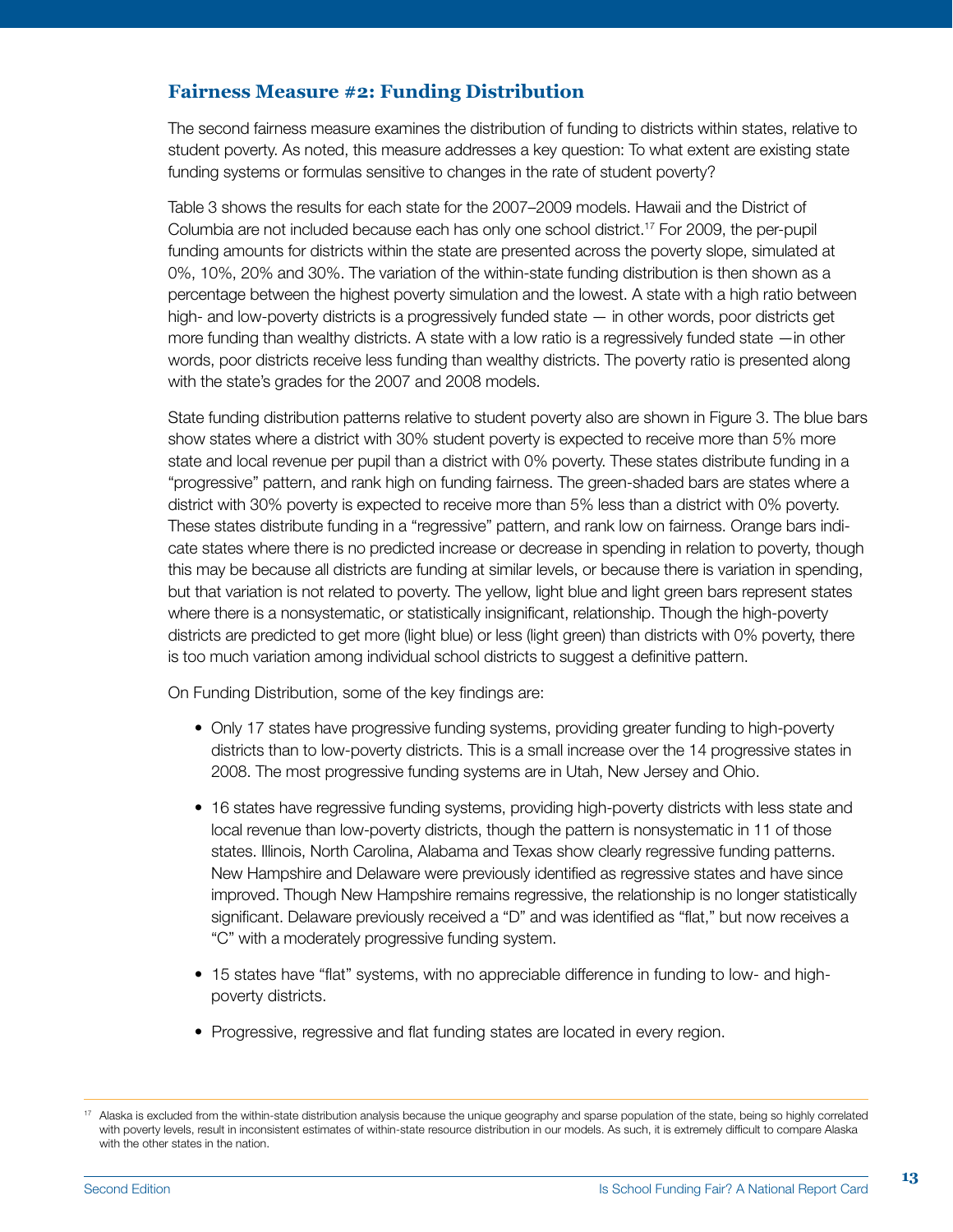#### **Fairness Measure #2: Funding Distribution**

The second fairness measure examines the distribution of funding to districts within states, relative to student poverty. As noted, this measure addresses a key question: To what extent are existing state funding systems or formulas sensitive to changes in the rate of student poverty?

Table 3 shows the results for each state for the 2007–2009 models. Hawaii and the District of Columbia are not included because each has only one school district.17 For 2009, the per-pupil funding amounts for districts within the state are presented across the poverty slope, simulated at 0%, 10%, 20% and 30%. The variation of the within-state funding distribution is then shown as a percentage between the highest poverty simulation and the lowest. A state with a high ratio between high- and low-poverty districts is a progressively funded state — in other words, poor districts get more funding than wealthy districts. A state with a low ratio is a regressively funded state —in other words, poor districts receive less funding than wealthy districts. The poverty ratio is presented along with the state's grades for the 2007 and 2008 models.

State funding distribution patterns relative to student poverty also are shown in Figure 3. The blue bars show states where a district with 30% student poverty is expected to receive more than 5% more state and local revenue per pupil than a district with 0% poverty. These states distribute funding in a "progressive" pattern, and rank high on funding fairness. The green-shaded bars are states where a district with 30% poverty is expected to receive more than 5% less than a district with 0% poverty. These states distribute funding in a "regressive" pattern, and rank low on fairness. Orange bars indicate states where there is no predicted increase or decrease in spending in relation to poverty, though this may be because all districts are funding at similar levels, or because there is variation in spending, but that variation is not related to poverty. The yellow, light blue and light green bars represent states where there is a nonsystematic, or statistically insignificant, relationship. Though the high-poverty districts are predicted to get more (light blue) or less (light green) than districts with 0% poverty, there is too much variation among individual school districts to suggest a definitive pattern.

On Funding Distribution, some of the key findings are:

- Only 17 states have progressive funding systems, providing greater funding to high-poverty districts than to low-poverty districts. This is a small increase over the 14 progressive states in 2008. The most progressive funding systems are in Utah, New Jersey and Ohio.
- 16 states have regressive funding systems, providing high-poverty districts with less state and local revenue than low-poverty districts, though the pattern is nonsystematic in 11 of those states. Illinois, North Carolina, Alabama and Texas show clearly regressive funding patterns. New Hampshire and Delaware were previously identified as regressive states and have since improved. Though New Hampshire remains regressive, the relationship is no longer statistically significant. Delaware previously received a "D" and was identified as "flat," but now receives a "C" with a moderately progressive funding system.
- 15 states have "flat" systems, with no appreciable difference in funding to low- and highpoverty districts.
- Progressive, regressive and flat funding states are located in every region.

<sup>&</sup>lt;sup>17</sup> Alaska is excluded from the within-state distribution analysis because the unique geography and sparse population of the state, being so highly correlated with poverty levels, result in inconsistent estimates of within-state resource distribution in our models. As such, it is extremely difficult to compare Alaska with the other states in the nation.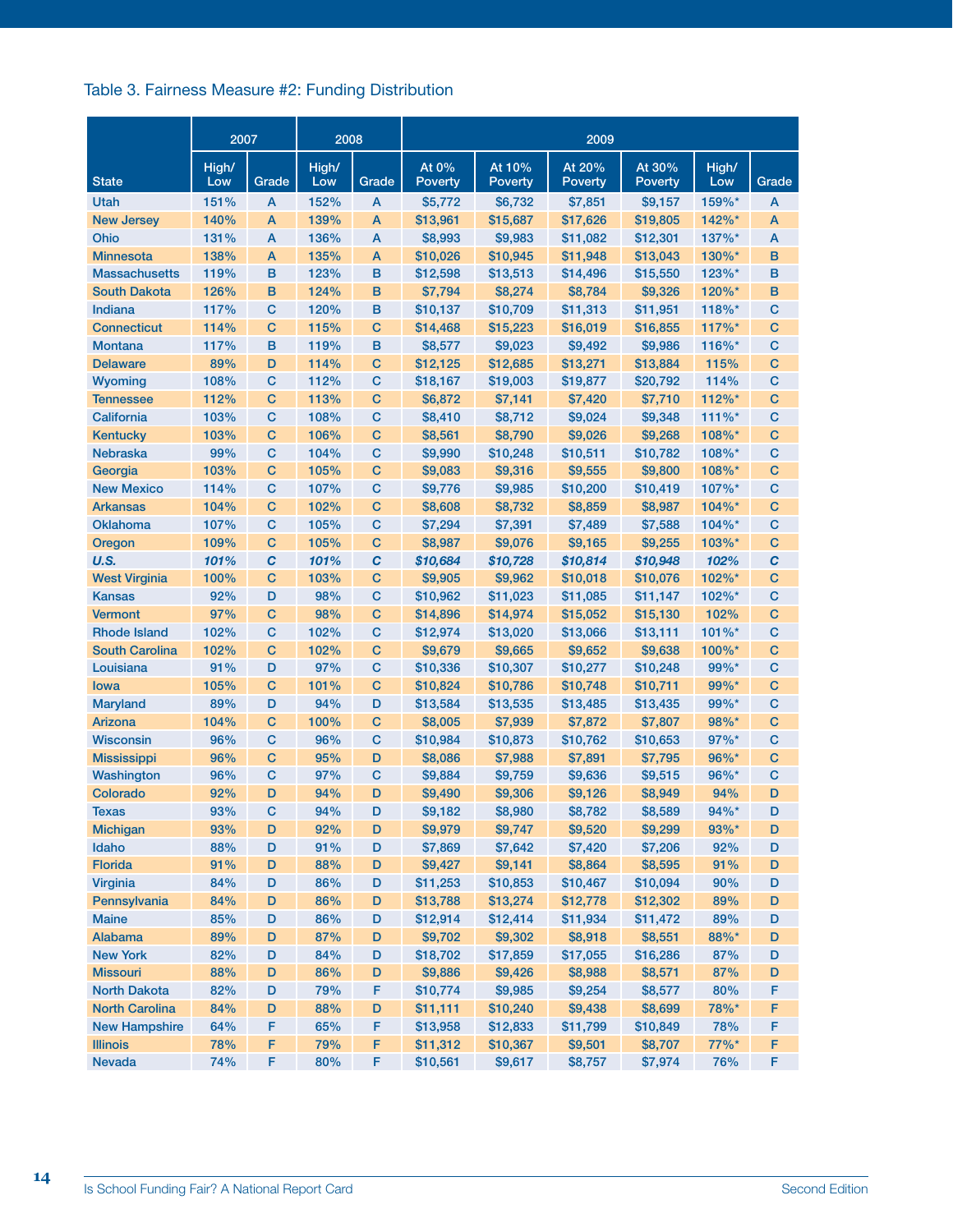#### Table 3. Fairness Measure #2: Funding Distribution

|                           | 2007         |             | 2008         |             | 2009                 |                     |                          |                          |                      |             |
|---------------------------|--------------|-------------|--------------|-------------|----------------------|---------------------|--------------------------|--------------------------|----------------------|-------------|
| <b>State</b>              | High/<br>Low | Grade       | High/<br>Low | Grade       | At 0%<br>Poverty     | At 10%<br>Poverty   | At 20%<br><b>Poverty</b> | At 30%<br><b>Poverty</b> | High/<br>Low         | Grade       |
| Utah                      | 151%         | A           | 152%         | A           | \$5,772              | \$6,732             | \$7,851                  | \$9,157                  | 159%*                | A           |
| <b>New Jersey</b>         | 140%         | A           | 139%         | A           | \$13,961             | \$15,687            | \$17,626                 | \$19,805                 | $142\%$ <sup>*</sup> | A           |
| Ohio                      | 131%         | A           | 136%         | A           | \$8,993              | \$9,983             | \$11,082                 | \$12,301                 | $137\%$ <sup>*</sup> | A           |
| <b>Minnesota</b>          | 138%         | A           | 135%         | A           | \$10,026             | \$10,945            | \$11,948                 | \$13,043                 | $130\%$ <sup>*</sup> | в           |
| <b>Massachusetts</b>      | 119%         | B           | 123%         | в           | \$12,598             | \$13,513            | \$14,496                 | \$15,550                 | 123%*                | в           |
| <b>South Dakota</b>       | 126%         | B           | 124%         | в           | \$7,794              | \$8,274             | \$8,784                  | \$9,326                  | $120\%$ <sup>*</sup> | в           |
| <b>Indiana</b>            | 117%         | C           | 120%         | в           | \$10,137             | \$10,709            | \$11,313                 | \$11,951                 | 118%*                | $\mathbf C$ |
| <b>Connecticut</b>        | 114%         | $\mathbf C$ | 115%         | $\mathbf C$ | \$14,468             | \$15,223            | \$16,019                 | \$16,855                 | 117%*                | $\mathbf C$ |
| Montana                   | 117%         | B           | 119%         | в           | \$8,577              | \$9,023             | \$9,492                  | \$9,986                  | $116\%$ <sup>*</sup> | $\mathbf C$ |
| <b>Delaware</b>           | 89%          | D           | 114%         | $\mathbf C$ | \$12,125             | \$12,685            | \$13,271                 | \$13,884                 | 115%                 | $\mathbf C$ |
| Wyoming                   | 108%         | $\mathbf C$ | 112%         | $\mathbf C$ | \$18,167             | \$19,003            | \$19,877                 | \$20,792                 | 114%                 | C           |
| <b>Tennessee</b>          | 112%         | $\mathbf C$ | 113%         | $\mathbf C$ | \$6,872              | \$7,141             | \$7,420                  | \$7,710                  | $112\%$ <sup>*</sup> | C           |
| California                | 103%         | $\mathbf C$ | 108%         | $\mathbf C$ | \$8,410              | \$8,712             | \$9,024                  | \$9,348                  | $111\%$ <sup>*</sup> | C           |
| <b>Kentucky</b>           | 103%         | $\mathbf C$ | 106%         | $\mathbf C$ | \$8,561              | \$8,790             | \$9,026                  | \$9,268                  | $108\%$ <sup>*</sup> | $\mathbf C$ |
| <b>Nebraska</b>           | 99%          | C           | 104%         | С           | \$9,990              | \$10,248            | \$10,511                 | \$10,782                 | 108%*                | $\mathbf C$ |
| Georgia                   | 103%         | C           | 105%         | $\mathbf C$ | \$9,083              | \$9,316             | \$9,555                  | \$9,800                  | $108\%$ <sup>*</sup> | $\mathbf C$ |
| <b>New Mexico</b>         | 114%         | $\mathbf C$ | 107%         | С           | \$9,776              | \$9,985             | \$10,200                 | \$10,419                 | 107%*                | C           |
| <b>Arkansas</b>           | 104%         | C           | 102%         | $\mathbf C$ | \$8,608              | \$8,732             | \$8,859                  | \$8,987                  | $104\%$ *            | C           |
| <b>Oklahoma</b>           | 107%         | C           | 105%         | С           | \$7,294              | \$7,391             | \$7,489                  | \$7,588                  | $104\%$ *            | C           |
| Oregon                    | 109%         | $\mathbf C$ | 105%         | С           | \$8,987              | \$9,076             | \$9,165                  | \$9,255                  | $103\%$ <sup>*</sup> | с           |
| U.S.                      | 101%         | C           | 101%         | C           | \$10,684             | \$10,728            | \$10,814                 | \$10,948                 | 102%                 | C           |
| <b>West Virginia</b>      | 100%         | $\mathbf C$ | 103%         | $\mathbf C$ | \$9,905              | \$9,962             | \$10,018                 | \$10,076                 | 102%*                | $\mathbf C$ |
| Kansas                    | 92%          | D           | 98%          | $\mathbf C$ | \$10,962             | \$11,023            | \$11,085                 | \$11,147                 | 102%*                | C           |
| Vermont                   | 97%          | C           | 98%          | с           | \$14,896             | \$14,974            | \$15,052                 | \$15,130                 | 102%                 | $\mathbf C$ |
| <b>Rhode Island</b>       | 102%         | C           | 102%         | С           | \$12,974             | \$13,020            | \$13,066                 | \$13,111                 | $101\%$ *            | с           |
| <b>South Carolina</b>     | 102%         | $\mathbf C$ | 102%         | $\mathbf C$ | \$9,679              | \$9,665             | \$9,652                  | \$9,638                  | $100\%$ <sup>*</sup> | $\mathbf C$ |
| Louisiana                 | 91%          | D           | 97%          | $\mathbf C$ | \$10,336             | \$10,307            | \$10,277                 | \$10,248                 | 99%*                 | $\mathbf C$ |
| lowa                      | 105%         | $\mathbf C$ | 101%         | $\mathbf C$ | \$10,824             | \$10,786            | \$10,748                 | \$10,711                 | 99%*                 | $\mathbf C$ |
| <b>Maryland</b>           | 89%          | D           | 94%          | D           | \$13,584             | \$13,535            | \$13,485                 | \$13,435                 | 99%*                 | C           |
| <b>Arizona</b>            | 104%         | $\mathbf C$ | 100%         | $\mathbf C$ | \$8,005              | \$7,939             | \$7,872                  | \$7,807                  | 98%*                 | $\mathbf C$ |
| <b>Wisconsin</b>          | 96%          | $\mathbf C$ | 96%          | С           | \$10,984             | \$10,873            | \$10,762                 | \$10,653                 | 97%*                 | C           |
| <b>Mississippi</b>        | 96%          | $\mathbf C$ | 95%          | D           | \$8,086              | \$7,988             | \$7,891                  | \$7,795                  | 96%*                 | $\mathbf C$ |
| Washington                | 96%          | C           | 97%          | С           | \$9,884              | \$9,759             | \$9,636                  | \$9,515                  | 96%*                 | с           |
| <b>Colorado</b>           | 92%          | D           | 94%          | D           | \$9,490              | \$9,306             | \$9,126                  | \$8,949                  | 94%                  | D           |
| <b>Texas</b>              | 93%          | C           | 94%          | D           | \$9,182              | \$8,980             | \$8,782                  | \$8,589                  | 94%*                 | D           |
| <b>Michigan</b>           | 93%          | D           | 92%          | D           | \$9,979              | \$9,747             | \$9,520                  | \$9,299                  | 93%*                 | D           |
| Idaho                     | 88%          | D           | 91%          | D           | \$7,869              | \$7,642             | \$7,420                  | \$7,206                  | 92%                  | D           |
| <b>Florida</b>            | 91%          | D           | 88%          | D           | \$9,427              | \$9,141             | \$8,864                  | \$8,595                  | 91%                  | D           |
| Virginia                  | 84%          | D           | 86%          | D           | \$11,253             | \$10,853            | \$10,467                 | \$10,094                 | 90%                  | D           |
| Pennsylvania              | 84%          | D           | 86%          | D           | \$13,788             | \$13,274            | \$12,778                 | \$12,302                 | 89%                  | D           |
| <b>Maine</b>              | 85%          | D           | 86%          | D           | \$12,914             | \$12,414            | \$11,934                 | \$11,472                 | 89%                  | D           |
| <b>Alabama</b>            | 89%          | D           | 87%          | D           | \$9,702              | \$9,302             | \$8,918                  | \$8,551                  | 88%*                 | D           |
| <b>New York</b>           | 82%          |             | 84%          |             |                      | \$17,859            |                          |                          | 87%                  | D           |
| <b>Missouri</b>           | 88%          | D<br>D      | 86%          | D<br>D      | \$18,702<br>\$9,886  | \$9,426             | \$17,055<br>\$8,988      | \$16,286<br>\$8,571      | 87%                  | D           |
| <b>North Dakota</b>       | 82%          | D           | 79%          |             | \$10,774             | \$9,985             |                          |                          |                      |             |
|                           |              |             |              | F           |                      |                     | \$9,254                  | \$8,577                  | 80%<br><b>78%*</b>   | F           |
| <b>North Carolina</b>     | 84%          | D           | 88%          | D           | \$11,111             | \$10,240            | \$9,438                  | \$8,699                  |                      | F           |
| <b>New Hampshire</b>      | 64%<br>78%   | F<br>F      | 65%<br>79%   | F           | \$13,958             | \$12,833            | \$11,799                 | \$10,849                 | 78%<br>77%*          | F           |
| <b>Illinois</b><br>Nevada | 74%          | F           | 80%          | F<br>F      | \$11,312<br>\$10,561 | \$10,367<br>\$9,617 | \$9,501<br>\$8,757       | \$8,707<br>\$7,974       | 76%                  | F<br>F      |
|                           |              |             |              |             |                      |                     |                          |                          |                      |             |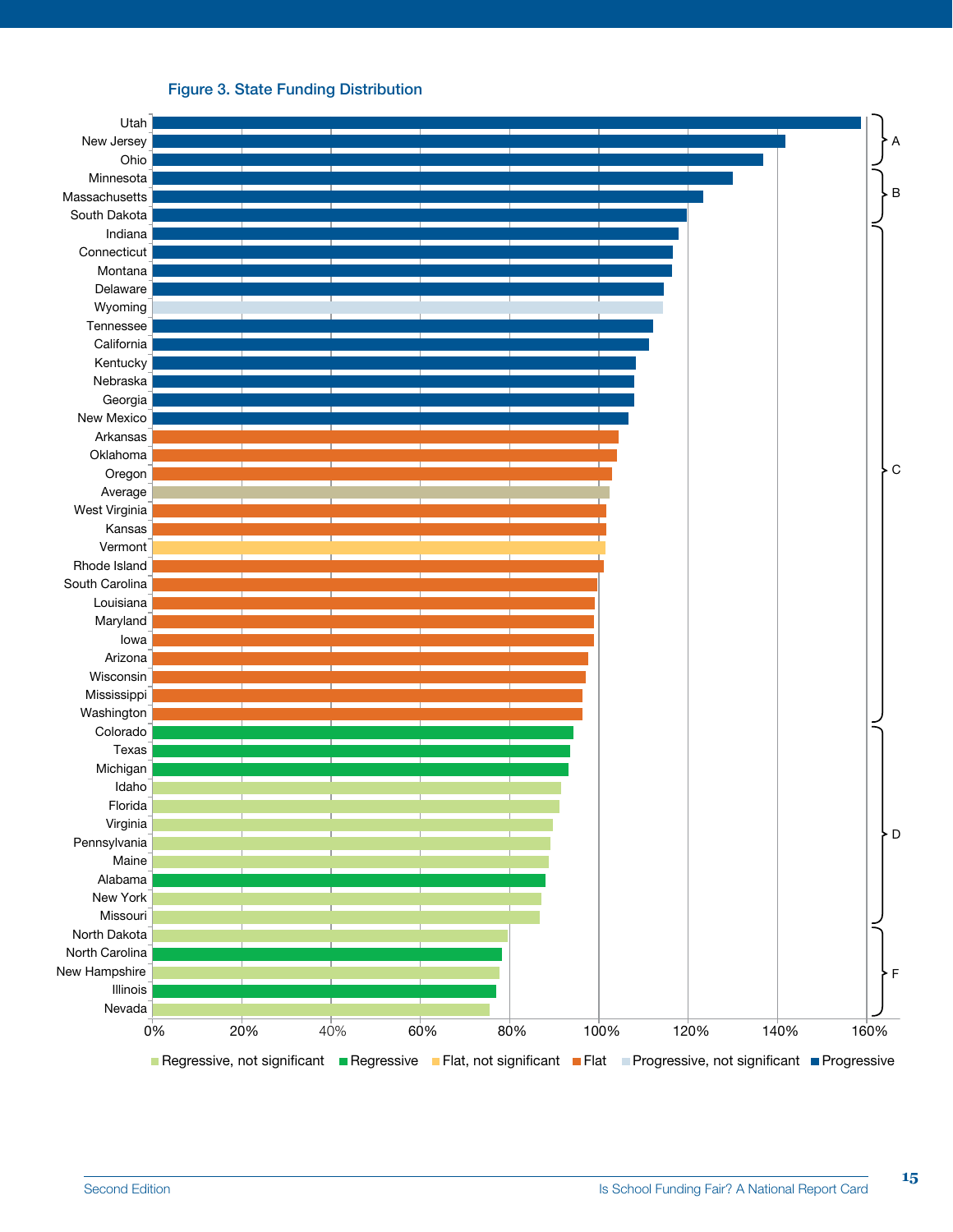#### Figure 3. State Funding Distribution

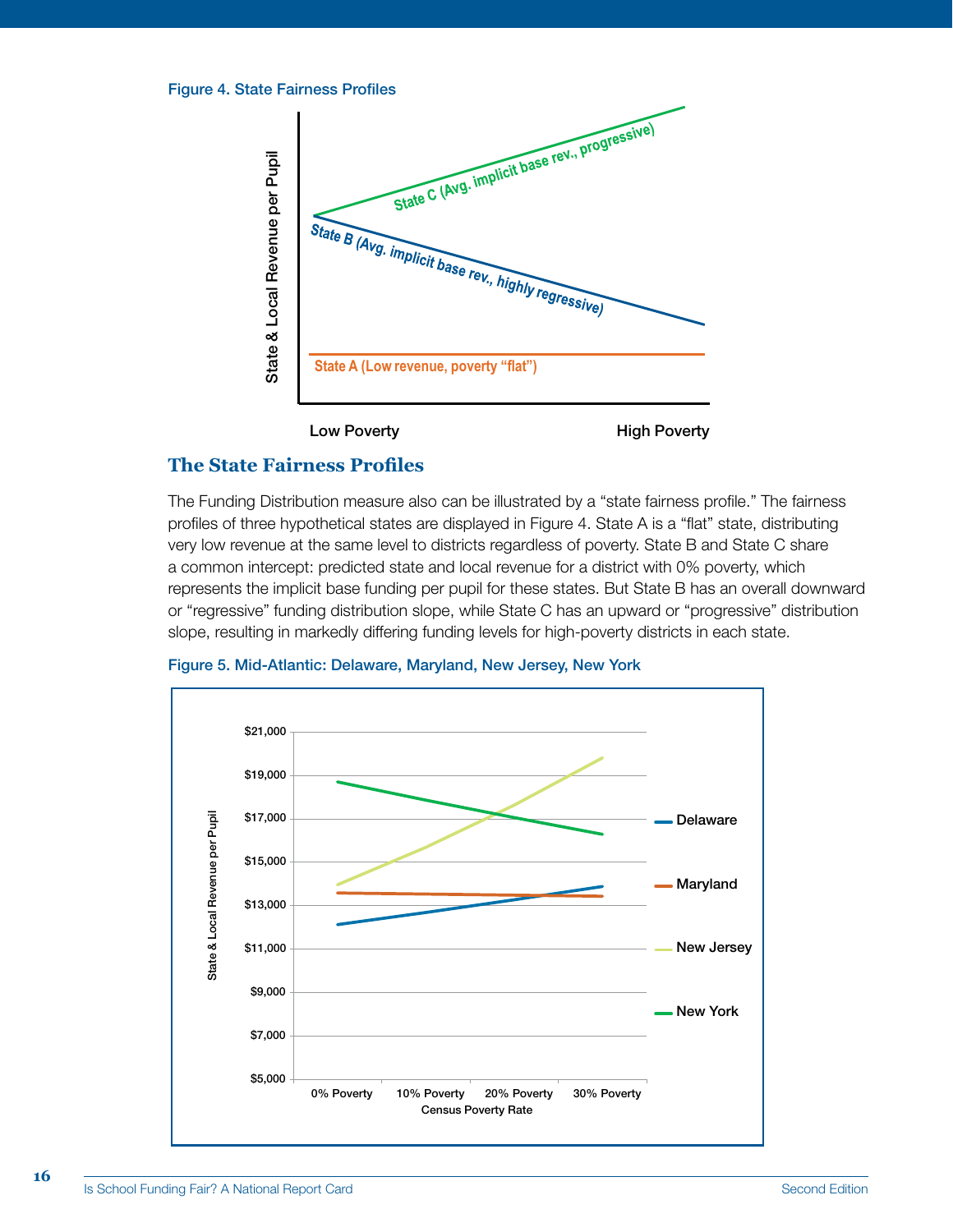



**High Poverty** 

#### **The State Fairness Profiles**

The Funding Distribution measure also can be illustrated by a "state fairness profile." The fairness profiles of three hypothetical states are displayed in Figure 4. State A is a "flat" state, distributing very low revenue at the same level to districts regardless of poverty. State B and State C share a common intercept: predicted state and local revenue for a district with 0% poverty, which represents the implicit base funding per pupil for these states. But State B has an overall downward or "regressive" funding distribution slope, while State C has an upward or "progressive" distribution slope, resulting in markedly differing funding levels for high-poverty districts in each state.



**16**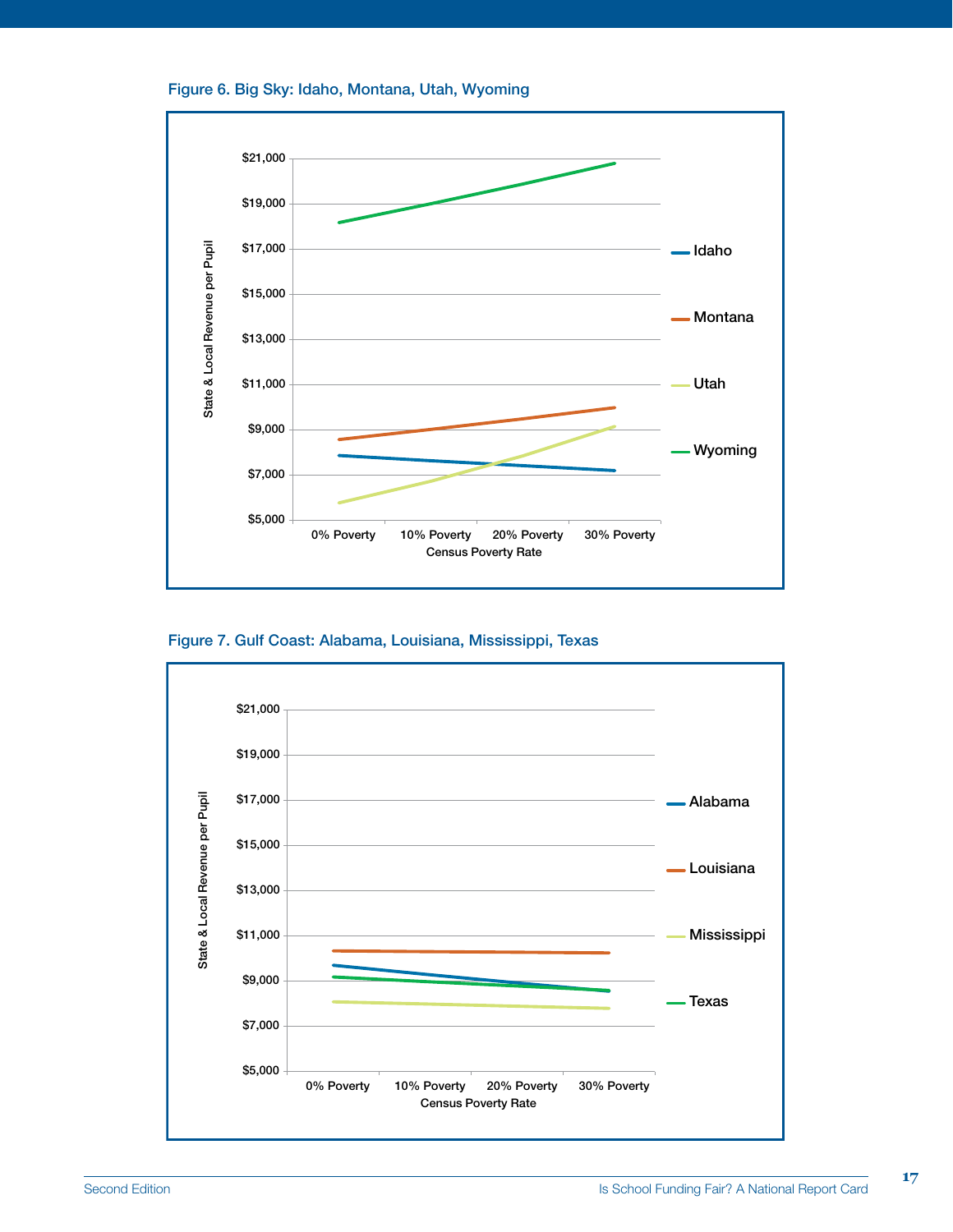



Figure 7. Gulf Coast: Alabama, Louisiana, Mississippi, Texas

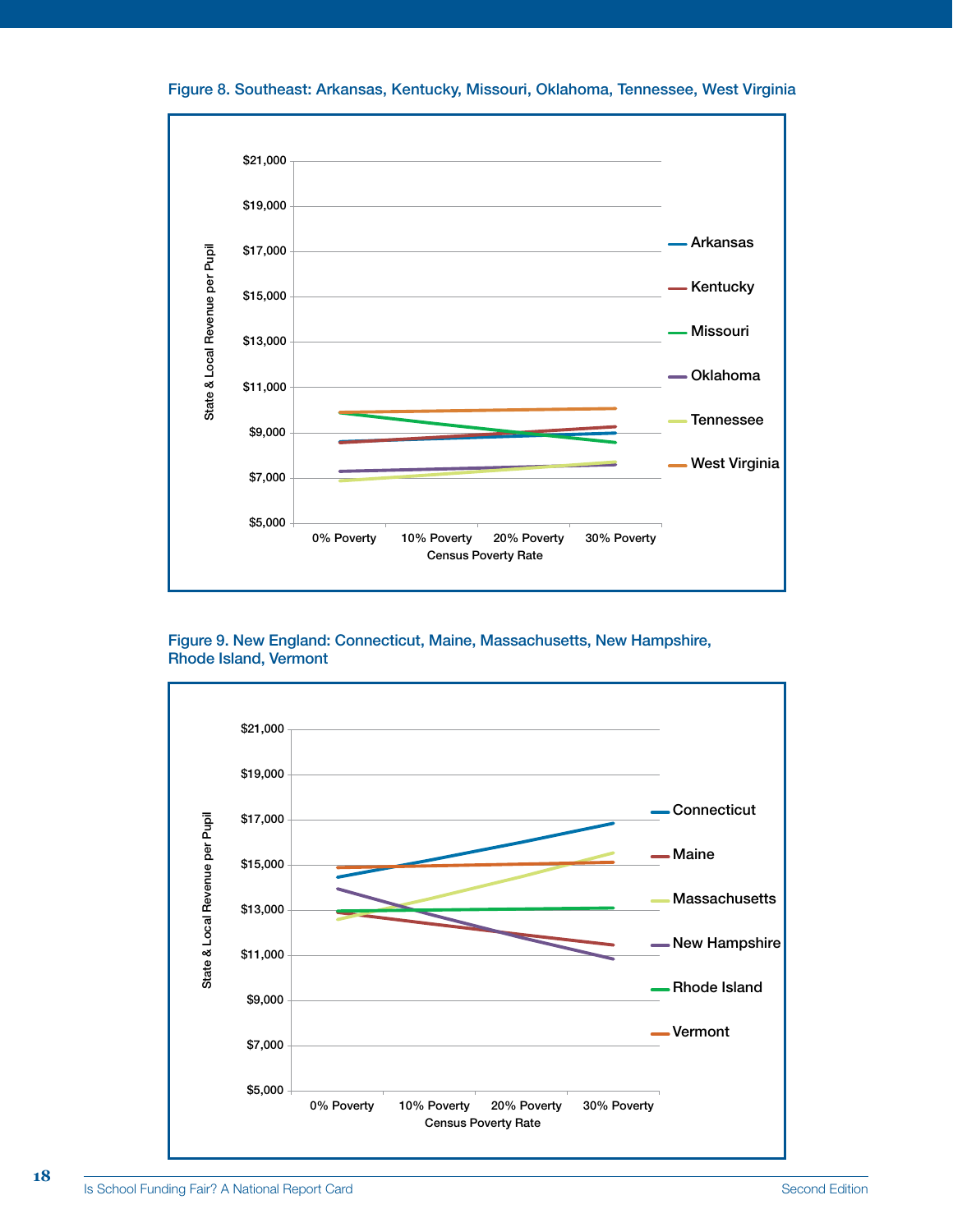Figure 8. Southeast: Arkansas, Kentucky, Missouri, Oklahoma, Tennessee, West Virginia



Figure 9. New England: Connecticut, Maine, Massachusetts, New Hampshire, Rhode Island, Vermont



**18**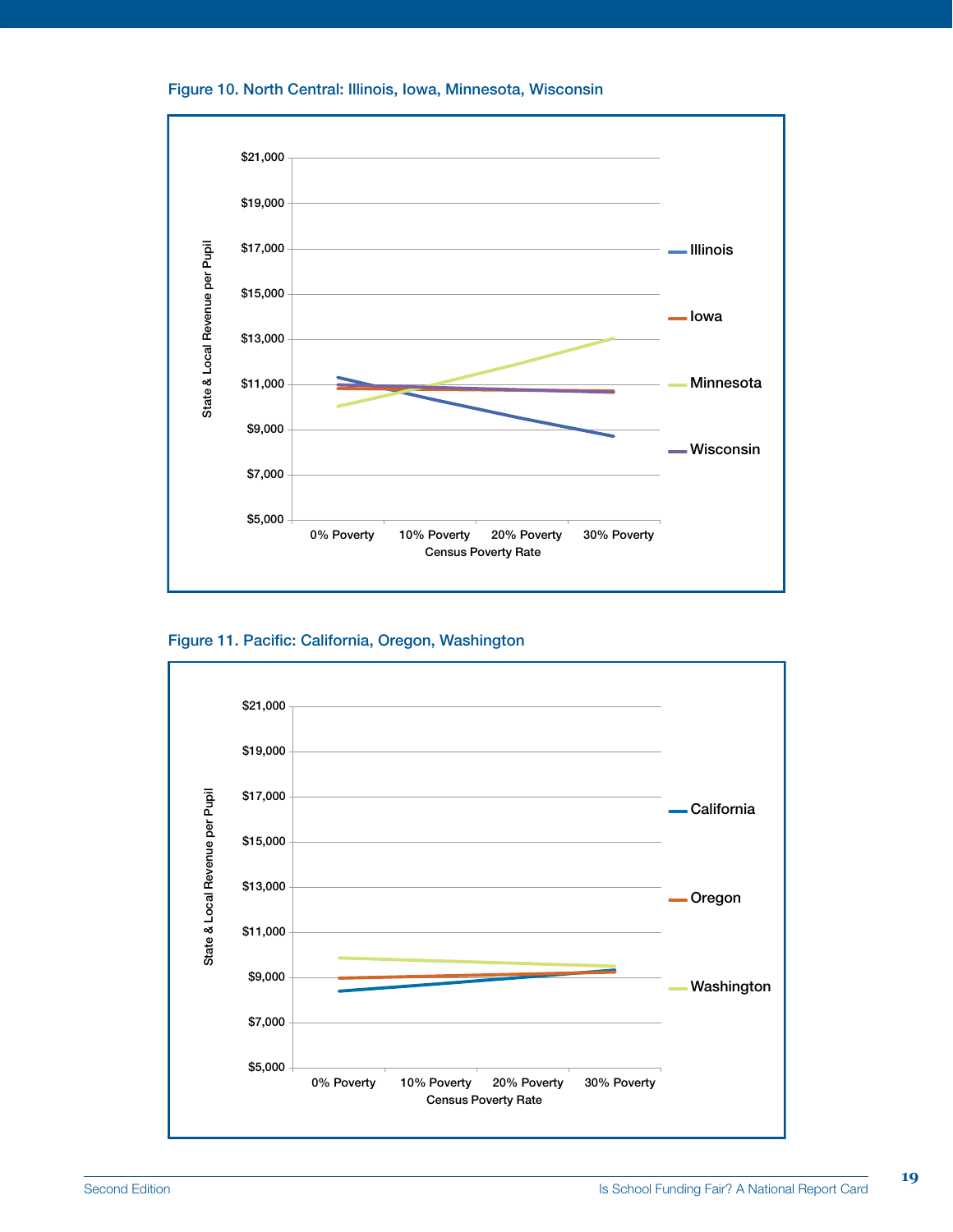#### Figure 10. North Central: Illinois, Iowa, Minnesota, Wisconsin



Figure 11. Pacific: California, Oregon, Washington

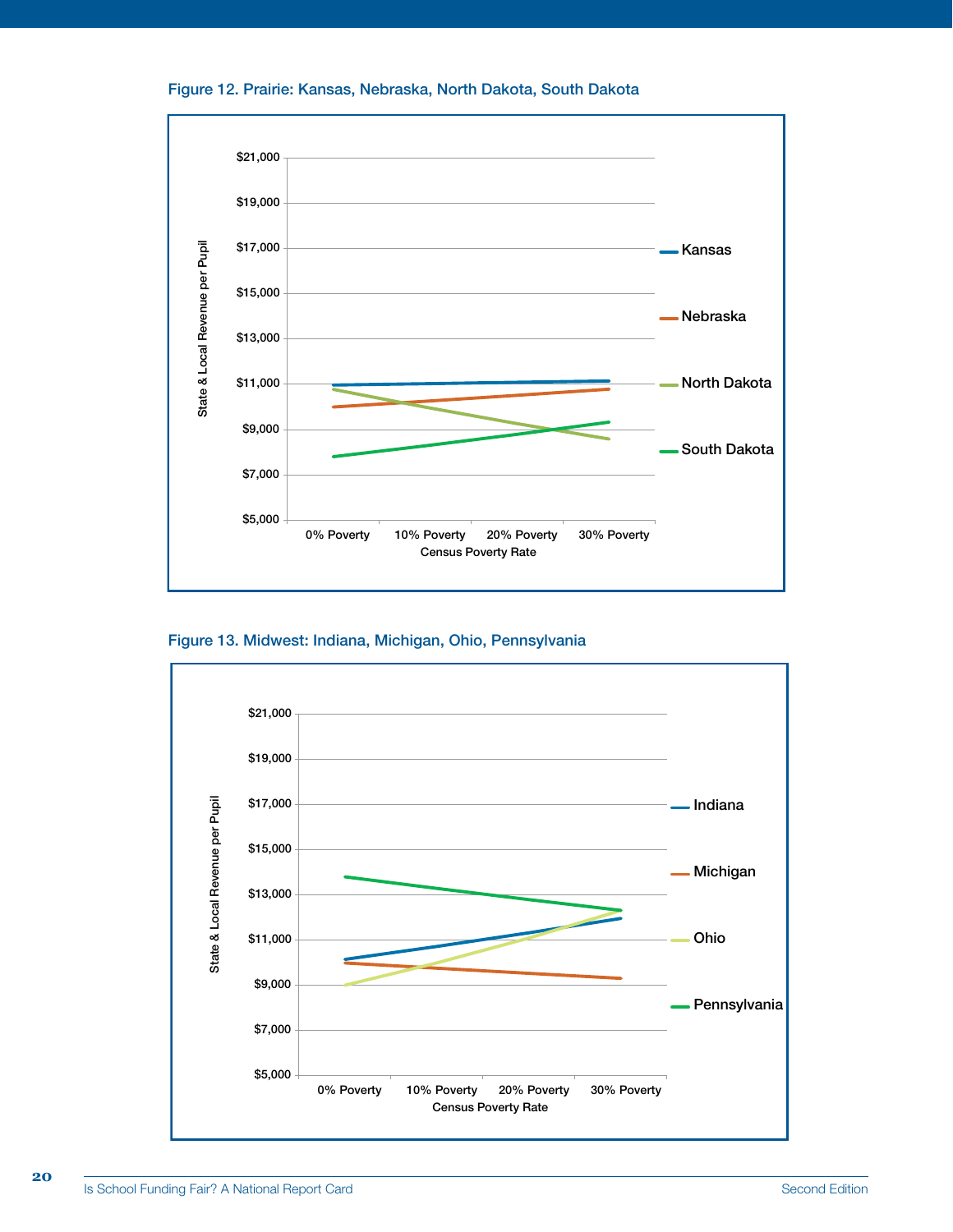



Figure 13. Midwest: Indiana, Michigan, Ohio, Pennsylvania



**20**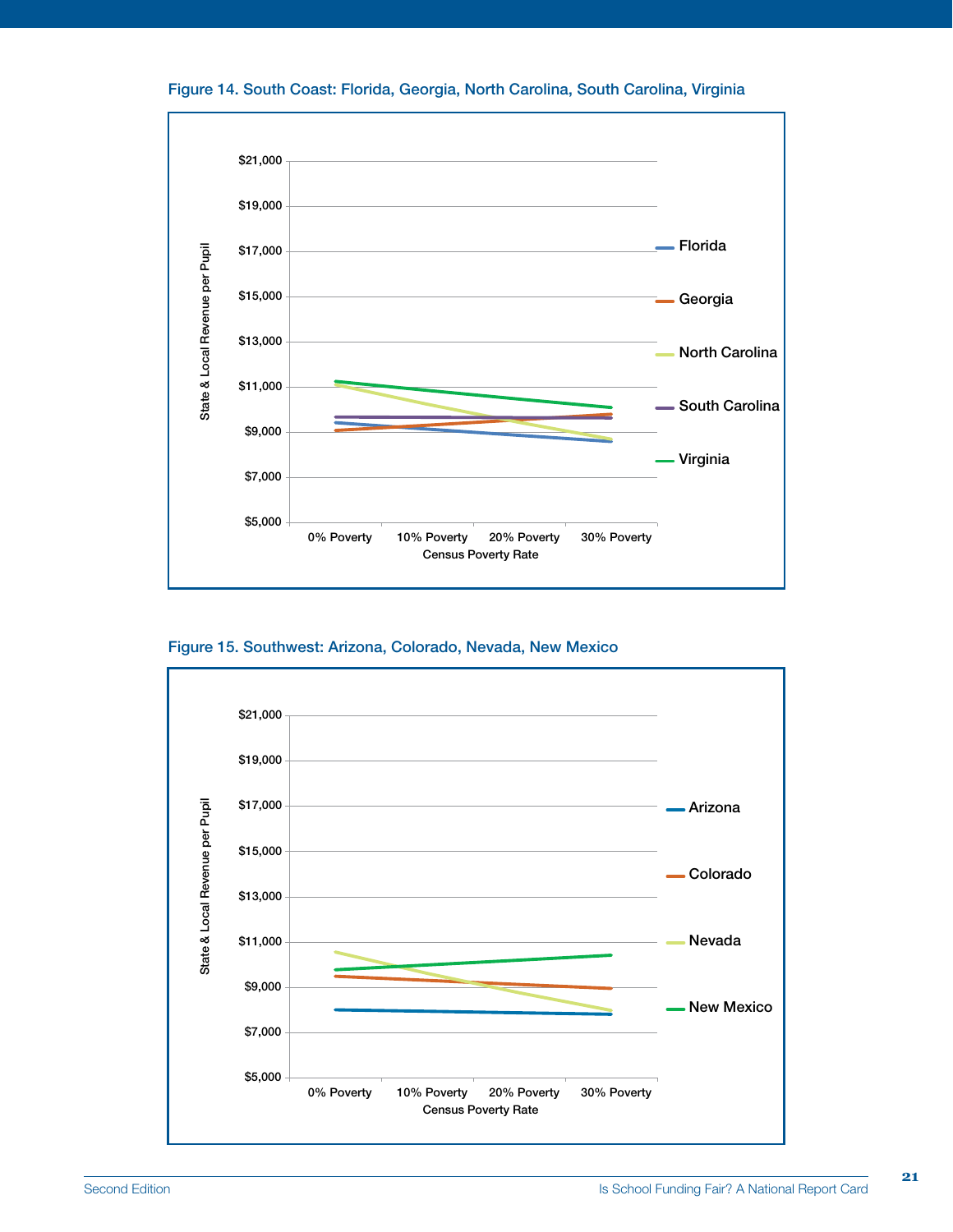



Figure 15. Southwest: Arizona, Colorado, Nevada, New Mexico



**21**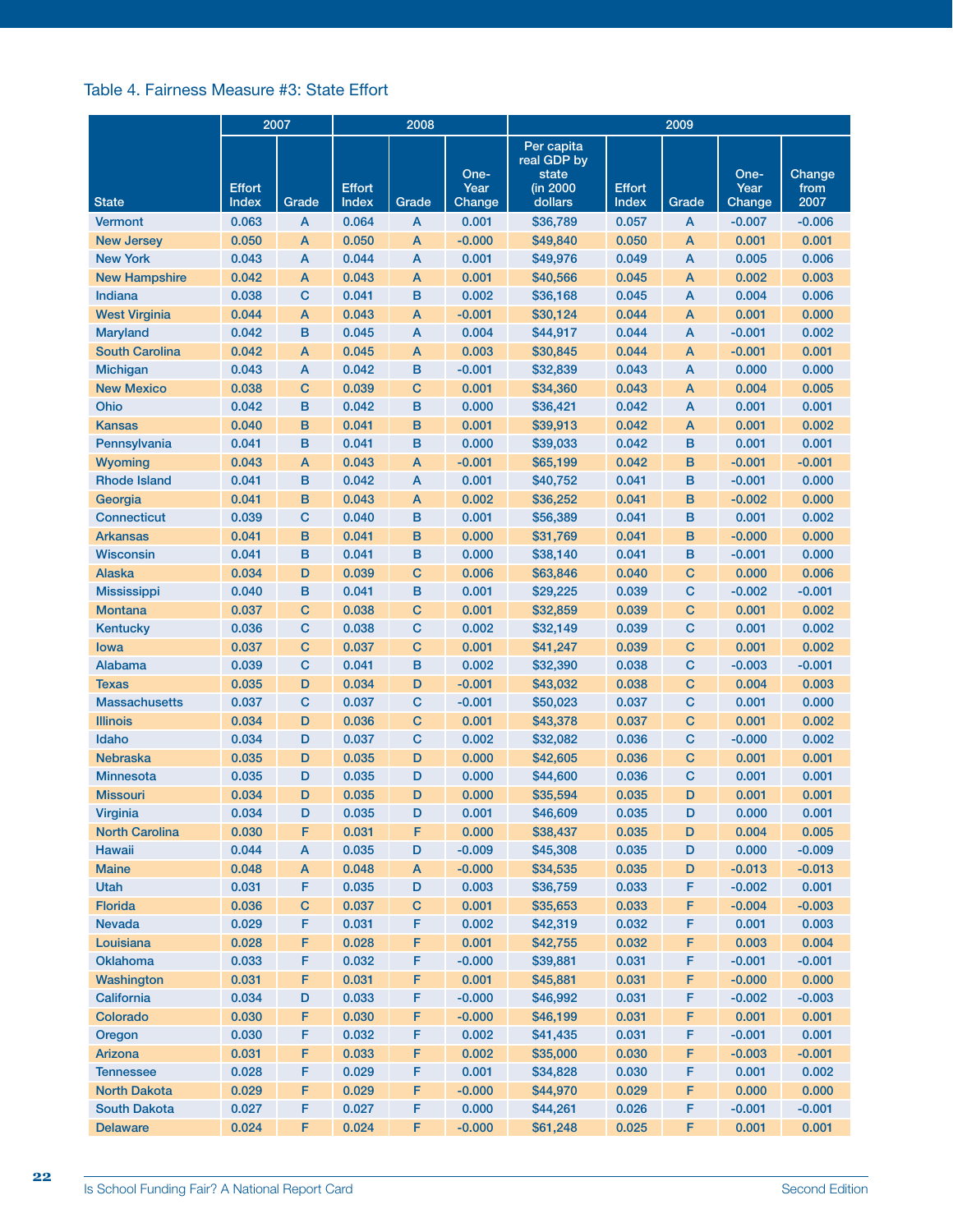#### Table 4. Fairness Measure #3: State Effort

|                       |                        | 2007<br>2008 |                        |             |                        |                                                           | 2009                   |             |                        |                        |
|-----------------------|------------------------|--------------|------------------------|-------------|------------------------|-----------------------------------------------------------|------------------------|-------------|------------------------|------------------------|
| <b>State</b>          | <b>Effort</b><br>Index | Grade        | <b>Effort</b><br>Index | Grade       | One-<br>Year<br>Change | Per capita<br>real GDP by<br>state<br>(in 2000<br>dollars | <b>Effort</b><br>Index | Grade       | One-<br>Year<br>Change | Change<br>from<br>2007 |
| <b>Vermont</b>        | 0.063                  | A            | 0.064                  | A           | 0.001                  | \$36,789                                                  | 0.057                  | A           | $-0.007$               | $-0.006$               |
| <b>New Jersey</b>     | 0.050                  | A            | 0.050                  | A           | $-0.000$               | \$49,840                                                  | 0.050                  | A           | 0.001                  | 0.001                  |
| <b>New York</b>       | 0.043                  | A            | 0.044                  | A           | 0.001                  | \$49,976                                                  | 0.049                  | A           | 0.005                  | 0.006                  |
| <b>New Hampshire</b>  | 0.042                  | A            | 0.043                  | А           | 0.001                  | \$40,566                                                  | 0.045                  | A           | 0.002                  | 0.003                  |
| Indiana               | 0.038                  | С            | 0.041                  | в           | 0.002                  | \$36,168                                                  | 0.045                  | A           | 0.004                  | 0.006                  |
| <b>West Virginia</b>  | 0.044                  | A            | 0.043                  | А           | $-0.001$               | \$30,124                                                  | 0.044                  | A           | 0.001                  | 0.000                  |
| <b>Maryland</b>       | 0.042                  | в            | 0.045                  | A           | 0.004                  | \$44,917                                                  | 0.044                  | A           | $-0.001$               | 0.002                  |
| <b>South Carolina</b> | 0.042                  | A            | 0.045                  | А           | 0.003                  | \$30,845                                                  | 0.044                  | A           | $-0.001$               | 0.001                  |
| <b>Michigan</b>       | 0.043                  | A            | 0.042                  | в           | $-0.001$               | \$32,839                                                  | 0.043                  | A           | 0.000                  | 0.000                  |
| <b>New Mexico</b>     | 0.038                  | С            | 0.039                  | с           | 0.001                  | \$34,360                                                  | 0.043                  | A           | 0.004                  | 0.005                  |
| Ohio                  | 0.042                  | в            | 0.042                  | в           | 0.000                  | \$36,421                                                  | 0.042                  | A           | 0.001                  | 0.001                  |
| <b>Kansas</b>         | 0.040                  | в            | 0.041                  | в           | 0.001                  | \$39,913                                                  | 0.042                  | A           | 0.001                  | 0.002                  |
| Pennsylvania          | 0.041                  | в            | 0.041                  | в           | 0.000                  | \$39,033                                                  | 0.042                  | в           | 0.001                  | 0.001                  |
| <b>Wyoming</b>        | 0.043                  | A            | 0.043                  | Α           | $-0.001$               | \$65,199                                                  | 0.042                  | в           | $-0.001$               | $-0.001$               |
| <b>Rhode Island</b>   | 0.041                  | в            | 0.042                  | Α           | 0.001                  | \$40,752                                                  | 0.041                  | в           | $-0.001$               | 0.000                  |
| Georgia               | 0.041                  | B            | 0.043                  | Α           | 0.002                  | \$36,252                                                  | 0.041                  | в           | $-0.002$               | 0.000                  |
| Connecticut           | 0.039                  | C            | 0.040                  | в           | 0.001                  | \$56,389                                                  | 0.041                  | в           | 0.001                  | 0.002                  |
| <b>Arkansas</b>       | 0.041                  | B            | 0.041                  | в           | 0.000                  | \$31,769                                                  | 0.041                  | B           | $-0.000$               | 0.000                  |
| <b>Wisconsin</b>      | 0.041                  | в            | 0.041                  | в           | 0.000                  | \$38,140                                                  | 0.041                  | в           | $-0.001$               | 0.000                  |
| <b>Alaska</b>         | 0.034                  | D            | 0.039                  | C           | 0.006                  | \$63,846                                                  | 0.040                  | C           | 0.000                  | 0.006                  |
| <b>Mississippi</b>    | 0.040                  | в            | 0.041                  | в           | 0.001                  | \$29,225                                                  | 0.039                  | C           | $-0.002$               | $-0.001$               |
| <b>Montana</b>        | 0.037                  | C            | 0.038                  | С           | 0.001                  | \$32,859                                                  | 0.039                  | C           | 0.001                  | 0.002                  |
| <b>Kentucky</b>       | 0.036                  | С            | 0.038                  | с           | 0.002                  | \$32,149                                                  | 0.039                  | $\mathbf C$ | 0.001                  | 0.002                  |
| Iowa                  | 0.037                  | С            | 0.037                  | с           | 0.001                  | \$41,247                                                  | 0.039                  | $\mathbf C$ | 0.001                  | 0.002                  |
| <b>Alabama</b>        | 0.039                  | С            | 0.041                  | в           | 0.002                  | \$32,390                                                  | 0.038                  | $\mathbf C$ | $-0.003$               | $-0.001$               |
| Texas                 | 0.035                  | D            | 0.034                  | D           | $-0.001$               | \$43,032                                                  | 0.038                  | $\mathbf C$ | 0.004                  | 0.003                  |
| <b>Massachusetts</b>  | 0.037                  | С            | 0.037                  | с           | $-0.001$               | \$50,023                                                  | 0.037                  | $\mathbf C$ | 0.001                  | 0.000                  |
| <b>Illinois</b>       | 0.034                  | D            | 0.036                  | с           | 0.001                  | \$43,378                                                  | 0.037                  | $\mathbf C$ | 0.001                  | 0.002                  |
| Idaho                 | 0.034                  | D            | 0.037                  | с           | 0.002                  | \$32,082                                                  | 0.036                  | $\mathbf C$ | $-0.000$               | 0.002                  |
| <b>Nebraska</b>       | 0.035                  | D            | 0.035                  | D           | 0.000                  | \$42,605                                                  | 0.036                  | $\mathbf C$ | 0.001                  | 0.001                  |
| <b>Minnesota</b>      | 0.035                  | D            | 0.035                  | D           | 0.000                  | \$44,600                                                  | 0.036                  | $\mathbf C$ | 0.001                  | 0.001                  |
| <b>Missouri</b>       | 0.034                  | D            | 0.035                  | D           | 0.000                  | \$35,594                                                  | 0.035                  | D           | 0.001                  | 0.001                  |
| Virginia              | 0.034                  | D            | 0.035                  | D           | 0.001                  | \$46,609                                                  | 0.035                  | D           | 0.000                  | 0.001                  |
| <b>North Carolina</b> | 0.030                  | F            | 0.031                  | F           | 0.000                  | \$38,437                                                  | 0.035                  | D           | 0.004                  | 0.005                  |
| Hawaii                | 0.044                  | A            | 0.035                  | D           | $-0.009$               | \$45,308                                                  | 0.035                  | D           | 0.000                  | $-0.009$               |
| <b>Maine</b>          | 0.048                  | A            | 0.048                  | A           | $-0.000$               | \$34,535                                                  | 0.035                  | D           | $-0.013$               | $-0.013$               |
| Utah                  | 0.031                  | F            | 0.035                  | D           | 0.003                  | \$36,759                                                  | 0.033                  | F           | $-0.002$               | 0.001                  |
| <b>Florida</b>        | 0.036                  | $\mathbf C$  | 0.037                  | $\mathbf C$ | 0.001                  | \$35,653                                                  | 0.033                  | F           | $-0.004$               | $-0.003$               |
| <b>Nevada</b>         | 0.029                  | F            | 0.031                  | F           | 0.002                  | \$42,319                                                  | 0.032                  | F           | 0.001                  | 0.003                  |
| Louisiana             | 0.028                  | F            | 0.028                  | F           | 0.001                  | \$42,755                                                  | 0.032                  | F           | 0.003                  | 0.004                  |
| <b>Oklahoma</b>       | 0.033                  | F            | 0.032                  | F           | $-0.000$               | \$39,881                                                  | 0.031                  | F           | $-0.001$               | $-0.001$               |
| Washington            | 0.031                  | F            | 0.031                  | F           | 0.001                  | \$45,881                                                  | 0.031                  | F           | $-0.000$               | 0.000                  |
| California            | 0.034                  | D            | 0.033                  | F           | $-0.000$               | \$46,992                                                  | 0.031                  | F           | $-0.002$               | $-0.003$               |
| Colorado              | 0.030                  | F            | 0.030                  | F           | $-0.000$               | \$46,199                                                  | 0.031                  | F           | 0.001                  | 0.001                  |
| Oregon                | 0.030                  | F            | 0.032                  | F           | 0.002                  | \$41,435                                                  | 0.031                  | F           | $-0.001$               | 0.001                  |
| <b>Arizona</b>        | 0.031                  | F            | 0.033                  | F           | 0.002                  | \$35,000                                                  | 0.030                  | F           | $-0.003$               | $-0.001$               |
| <b>Tennessee</b>      | 0.028                  | F            | 0.029                  | F           | 0.001                  | \$34,828                                                  | 0.030                  | F           | 0.001                  | 0.002                  |
| <b>North Dakota</b>   | 0.029                  | F            | 0.029                  | F           | $-0.000$               | \$44,970                                                  | 0.029                  | F           | 0.000                  | 0.000                  |
| <b>South Dakota</b>   | 0.027                  | F            | 0.027                  | F           | 0.000                  | \$44,261                                                  | 0.026                  | F           | $-0.001$               | $-0.001$               |
| <b>Delaware</b>       | 0.024                  | F            | 0.024                  | F           | $-0.000$               | \$61,248                                                  | 0.025                  | F           | 0.001                  | 0.001                  |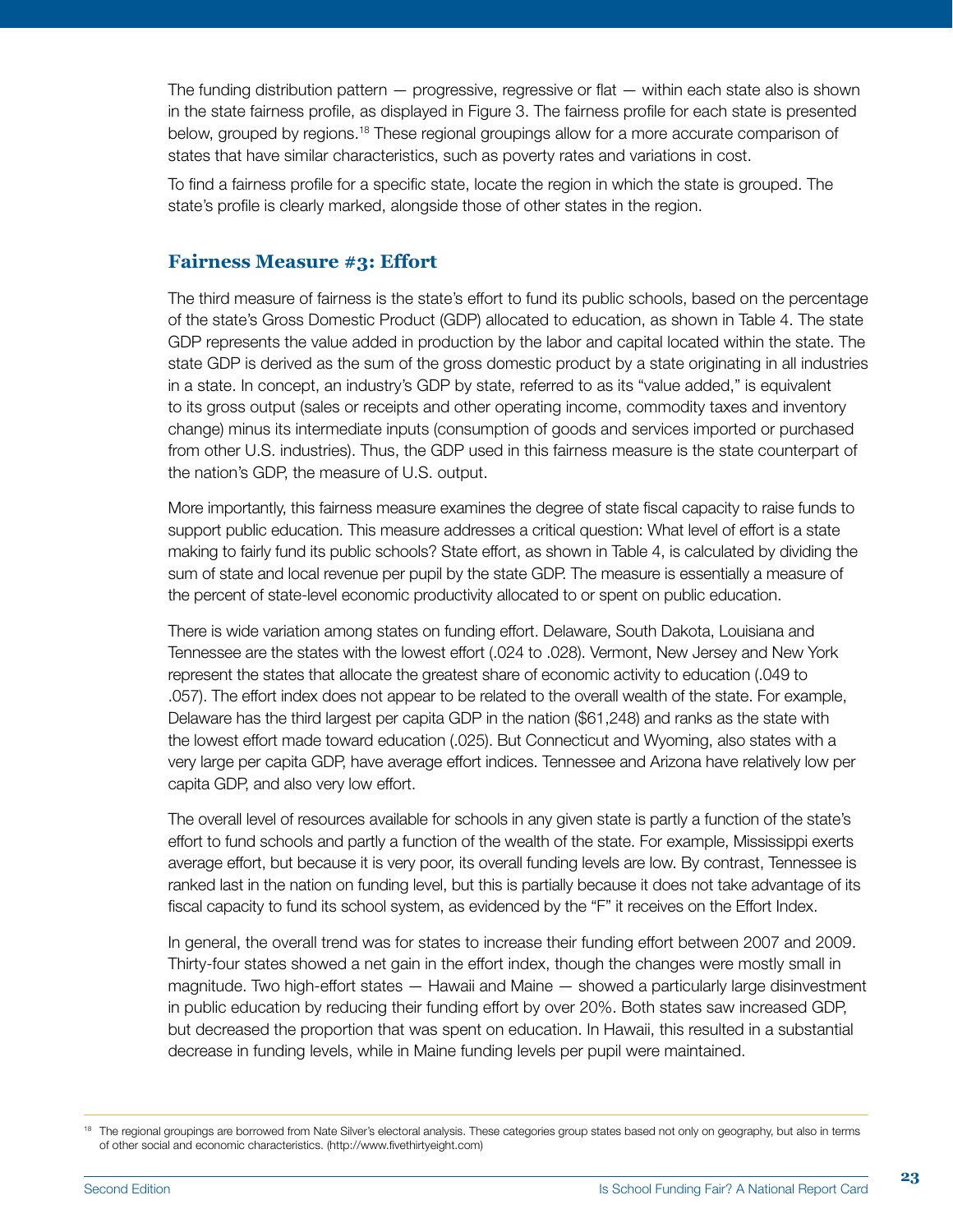The funding distribution pattern — progressive, regressive or flat — within each state also is shown in the state fairness profile, as displayed in Figure 3. The fairness profile for each state is presented below, grouped by regions.<sup>18</sup> These regional groupings allow for a more accurate comparison of states that have similar characteristics, such as poverty rates and variations in cost.

To find a fairness profile for a specific state, locate the region in which the state is grouped. The state's profile is clearly marked, alongside those of other states in the region.

#### **Fairness Measure #3: Effort**

The third measure of fairness is the state's effort to fund its public schools, based on the percentage of the state's Gross Domestic Product (GDP) allocated to education, as shown in Table 4. The state GDP represents the value added in production by the labor and capital located within the state. The state GDP is derived as the sum of the gross domestic product by a state originating in all industries in a state. In concept, an industry's GDP by state, referred to as its "value added," is equivalent to its gross output (sales or receipts and other operating income, commodity taxes and inventory change) minus its intermediate inputs (consumption of goods and services imported or purchased from other U.S. industries). Thus, the GDP used in this fairness measure is the state counterpart of the nation's GDP, the measure of U.S. output.

More importantly, this fairness measure examines the degree of state fiscal capacity to raise funds to support public education. This measure addresses a critical question: What level of effort is a state making to fairly fund its public schools? State effort, as shown in Table 4, is calculated by dividing the sum of state and local revenue per pupil by the state GDP. The measure is essentially a measure of the percent of state-level economic productivity allocated to or spent on public education.

There is wide variation among states on funding effort. Delaware, South Dakota, Louisiana and Tennessee are the states with the lowest effort (.024 to .028). Vermont, New Jersey and New York represent the states that allocate the greatest share of economic activity to education (.049 to .057). The effort index does not appear to be related to the overall wealth of the state. For example, Delaware has the third largest per capita GDP in the nation (\$61,248) and ranks as the state with the lowest effort made toward education (.025). But Connecticut and Wyoming, also states with a very large per capita GDP, have average effort indices. Tennessee and Arizona have relatively low per capita GDP, and also very low effort.

The overall level of resources available for schools in any given state is partly a function of the state's effort to fund schools and partly a function of the wealth of the state. For example, Mississippi exerts average effort, but because it is very poor, its overall funding levels are low. By contrast, Tennessee is ranked last in the nation on funding level, but this is partially because it does not take advantage of its fiscal capacity to fund its school system, as evidenced by the "F" it receives on the Effort Index.

In general, the overall trend was for states to increase their funding effort between 2007 and 2009. Thirty-four states showed a net gain in the effort index, though the changes were mostly small in magnitude. Two high-effort states — Hawaii and Maine — showed a particularly large disinvestment in public education by reducing their funding effort by over 20%. Both states saw increased GDP, but decreased the proportion that was spent on education. In Hawaii, this resulted in a substantial decrease in funding levels, while in Maine funding levels per pupil were maintained.

<sup>&</sup>lt;sup>18</sup> The regional groupings are borrowed from Nate Silver's electoral analysis. These categories group states based not only on geography, but also in terms of other social and economic characteristics. (http://www.fivethirtyeight.com)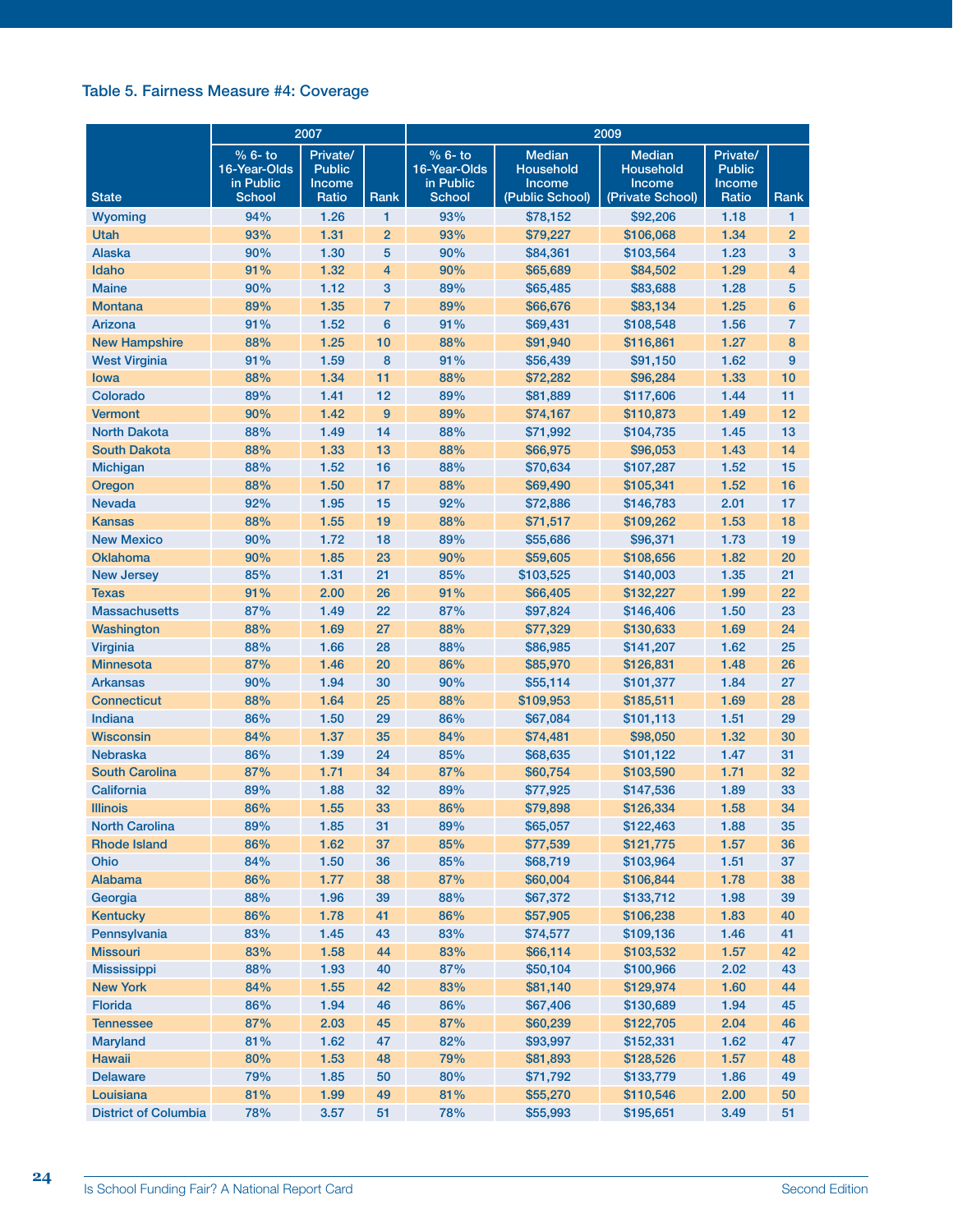#### Table 5. Fairness Measure #4: Coverage

|                             |                                                       | 2007                                         |                | 2009                                                              |                                                         |                                                          |                                              |                |  |  |
|-----------------------------|-------------------------------------------------------|----------------------------------------------|----------------|-------------------------------------------------------------------|---------------------------------------------------------|----------------------------------------------------------|----------------------------------------------|----------------|--|--|
| <b>State</b>                | % 6- to<br>16-Year-Olds<br>in Public<br><b>School</b> | Private/<br><b>Public</b><br>Income<br>Ratio | Rank           | $\frac{9}{6}$ 6- to<br>16-Year-Olds<br>in Public<br><b>School</b> | <b>Median</b><br>Household<br>Income<br>(Public School) | <b>Median</b><br>Household<br>Income<br>(Private School) | Private/<br><b>Public</b><br>Income<br>Ratio | Rank           |  |  |
| Wyoming                     | 94%                                                   | 1.26                                         | 1              | 93%                                                               | \$78,152                                                | \$92,206                                                 | 1.18                                         | 1              |  |  |
| Utah                        | 93%                                                   | 1.31                                         | $\overline{2}$ | 93%                                                               | \$79,227                                                | \$106,068                                                | 1.34                                         | $\overline{2}$ |  |  |
| <b>Alaska</b>               | 90%                                                   | 1.30                                         | 5              | 90%                                                               | \$84,361                                                | \$103,564                                                | 1.23                                         | 3              |  |  |
| Idaho                       | 91%                                                   | 1.32                                         | 4              | 90%                                                               | \$65,689                                                | \$84,502                                                 | 1.29                                         | $\overline{4}$ |  |  |
| <b>Maine</b>                | 90%                                                   | 1.12                                         | 3              | 89%                                                               | \$65,485                                                | \$83,688                                                 | 1.28                                         | 5              |  |  |
| <b>Montana</b>              | 89%                                                   | 1.35                                         | 7              | 89%                                                               | \$66,676                                                | \$83,134                                                 | 1.25                                         | $6\phantom{1}$ |  |  |
| Arizona                     | 91%                                                   | 1.52                                         | 6              | 91%                                                               | \$69,431                                                | \$108,548                                                | 1.56                                         | $\overline{7}$ |  |  |
| <b>New Hampshire</b>        | 88%                                                   | 1.25                                         | 10             | 88%                                                               | \$91,940                                                | \$116,861                                                | 1.27                                         | 8              |  |  |
| <b>West Virginia</b>        | 91%                                                   | 1.59                                         | 8              | 91%                                                               | \$56,439                                                | \$91,150                                                 | 1.62                                         | 9              |  |  |
| lowa                        | 88%                                                   | 1.34                                         | 11             | 88%                                                               | \$72,282                                                | \$96,284                                                 | 1.33                                         | 10             |  |  |
| Colorado                    | 89%                                                   | 1.41                                         | 12             | 89%                                                               | \$81,889                                                | \$117,606                                                | 1.44                                         | 11             |  |  |
| <b>Vermont</b>              | 90%                                                   | 1.42                                         | 9              | 89%                                                               | \$74,167                                                | \$110,873                                                | 1.49                                         | 12             |  |  |
| <b>North Dakota</b>         | 88%                                                   | 1.49                                         | 14             | 88%                                                               | \$71,992                                                | \$104,735                                                | 1.45                                         | 13             |  |  |
| <b>South Dakota</b>         | 88%                                                   | 1.33                                         | 13             | 88%                                                               | \$66,975                                                | \$96,053                                                 | 1.43                                         | 14             |  |  |
| <b>Michigan</b>             | 88%                                                   | 1.52                                         | 16             | 88%                                                               | \$70,634                                                | \$107,287                                                | 1.52                                         | 15             |  |  |
| Oregon                      | 88%                                                   | 1.50                                         | 17             | 88%                                                               | \$69,490                                                | \$105,341                                                | 1.52                                         | 16             |  |  |
| <b>Nevada</b>               | 92%                                                   | 1.95                                         | 15             | 92%                                                               | \$72,886                                                | \$146,783                                                | 2.01                                         | 17             |  |  |
| <b>Kansas</b>               | 88%                                                   | 1.55                                         | 19             | 88%                                                               | \$71,517                                                | \$109,262                                                | 1.53                                         | 18             |  |  |
| <b>New Mexico</b>           | 90%                                                   | 1.72                                         | 18             | 89%                                                               | \$55,686                                                | \$96,371                                                 | 1.73                                         | 19             |  |  |
| <b>Oklahoma</b>             | 90%                                                   | 1.85                                         | 23             | 90%                                                               |                                                         |                                                          | 1.82                                         | 20             |  |  |
|                             |                                                       |                                              |                |                                                                   | \$59,605                                                | \$108,656                                                |                                              |                |  |  |
| <b>New Jersey</b>           | 85%                                                   | 1.31                                         | 21             | 85%                                                               | \$103,525                                               | \$140,003                                                | 1.35                                         | 21             |  |  |
| <b>Texas</b>                | 91%                                                   | 2.00                                         | 26             | 91%                                                               | \$66,405                                                | \$132,227                                                | 1.99                                         | 22             |  |  |
| <b>Massachusetts</b>        | 87%                                                   | 1.49                                         | 22             | 87%                                                               | \$97,824                                                | \$146,406                                                | 1.50                                         | 23             |  |  |
| Washington                  | 88%                                                   | 1.69                                         | 27             | 88%                                                               | \$77,329                                                | \$130,633                                                | 1.69                                         | 24             |  |  |
| <b>Virginia</b>             | 88%                                                   | 1.66                                         | 28             | 88%                                                               | \$86,985                                                | \$141,207                                                | 1.62                                         | 25             |  |  |
| <b>Minnesota</b>            | 87%                                                   | 1.46                                         | 20             | 86%                                                               | \$85,970                                                | \$126,831                                                | 1.48                                         | 26             |  |  |
| <b>Arkansas</b>             | 90%                                                   | 1.94                                         | 30             | 90%                                                               | \$55,114                                                | \$101,377                                                | 1.84                                         | 27             |  |  |
| <b>Connecticut</b>          | 88%                                                   | 1.64                                         | 25             | 88%                                                               | \$109,953                                               | \$185,511                                                | 1.69                                         | 28             |  |  |
| <b>Indiana</b>              | 86%                                                   | 1.50                                         | 29             | 86%                                                               | \$67,084                                                | \$101,113                                                | 1.51                                         | 29             |  |  |
| <b>Wisconsin</b>            | 84%                                                   | 1.37                                         | 35             | 84%                                                               | \$74,481                                                | \$98,050                                                 | 1.32                                         | 30             |  |  |
| <b>Nebraska</b>             | 86%                                                   | 1.39                                         | 24             | 85%                                                               | \$68,635                                                | \$101,122                                                | 1.47                                         | 31             |  |  |
| <b>South Carolina</b>       | 87%                                                   | 1.71                                         | 34             | 87%                                                               | \$60,754                                                | \$103,590                                                | 1.71                                         | 32             |  |  |
| California                  | 89%                                                   | 1.88                                         | 32             | 89%                                                               | \$77,925                                                | \$147,536                                                | 1.89                                         | 33             |  |  |
| <b>Illinois</b>             | 86%                                                   | 1.55                                         | 33             | 86%                                                               | \$79,898                                                | \$126,334                                                | 1.58                                         | 34             |  |  |
| <b>North Carolina</b>       | 89%                                                   | 1.85                                         | 31             | 89%                                                               | \$65,057                                                | \$122,463                                                | 1.88                                         | 35             |  |  |
| <b>Rhode Island</b>         | 86%                                                   | 1.62                                         | 37             | 85%                                                               | \$77,539                                                | \$121,775                                                | 1.57                                         | 36             |  |  |
| Ohio                        | 84%                                                   | 1.50                                         | 36             | 85%                                                               | \$68,719                                                | \$103,964                                                | 1.51                                         | 37             |  |  |
| Alabama                     | 86%                                                   | 1.77                                         | 38             | 87%                                                               | \$60,004                                                | \$106,844                                                | 1.78                                         | 38             |  |  |
| Georgia                     | 88%                                                   | 1.96                                         | 39             | 88%                                                               | \$67,372                                                | \$133,712                                                | 1.98                                         | 39             |  |  |
| <b>Kentucky</b>             | 86%                                                   | 1.78                                         | 41             | 86%                                                               | \$57,905                                                | \$106,238                                                | 1.83                                         | 40             |  |  |
| Pennsylvania                | 83%                                                   | 1.45                                         | 43             | 83%                                                               | \$74,577                                                | \$109,136                                                | 1.46                                         | 41             |  |  |
| <b>Missouri</b>             | 83%                                                   | 1.58                                         | 44             | 83%                                                               | \$66,114                                                | \$103,532                                                | 1.57                                         | 42             |  |  |
| <b>Mississippi</b>          | 88%                                                   | 1.93                                         | 40             | 87%                                                               | \$50,104                                                | \$100,966                                                | 2.02                                         | 43             |  |  |
| <b>New York</b>             | 84%                                                   | 1.55                                         | 42             | 83%                                                               | \$81,140                                                | \$129,974                                                | 1.60                                         | 44             |  |  |
| Florida                     | 86%                                                   | 1.94                                         | 46             | 86%                                                               | \$67,406                                                | \$130,689                                                | 1.94                                         | 45             |  |  |
| <b>Tennessee</b>            | 87%                                                   | 2.03                                         | 45             | 87%                                                               | \$60,239                                                | \$122,705                                                | 2.04                                         | 46             |  |  |
| <b>Maryland</b>             | 81%                                                   | 1.62                                         | 47             | 82%                                                               | \$93,997                                                | \$152,331                                                | 1.62                                         | 47             |  |  |
| <b>Hawaii</b>               | 80%                                                   | 1.53                                         | 48             | 79%                                                               | \$81,893                                                | \$128,526                                                | 1.57                                         | 48             |  |  |
| <b>Delaware</b>             | 79%                                                   | 1.85                                         | 50             | 80%                                                               | \$71,792                                                | \$133,779                                                | 1.86                                         | 49             |  |  |
| Louisiana                   | 81%                                                   | 1.99                                         | 49             | 81%                                                               | \$55,270                                                | \$110,546                                                | 2.00                                         | 50             |  |  |
| <b>District of Columbia</b> | 78%                                                   | 3.57                                         | 51             | 78%                                                               | \$55,993                                                | \$195,651                                                | 3.49                                         | 51             |  |  |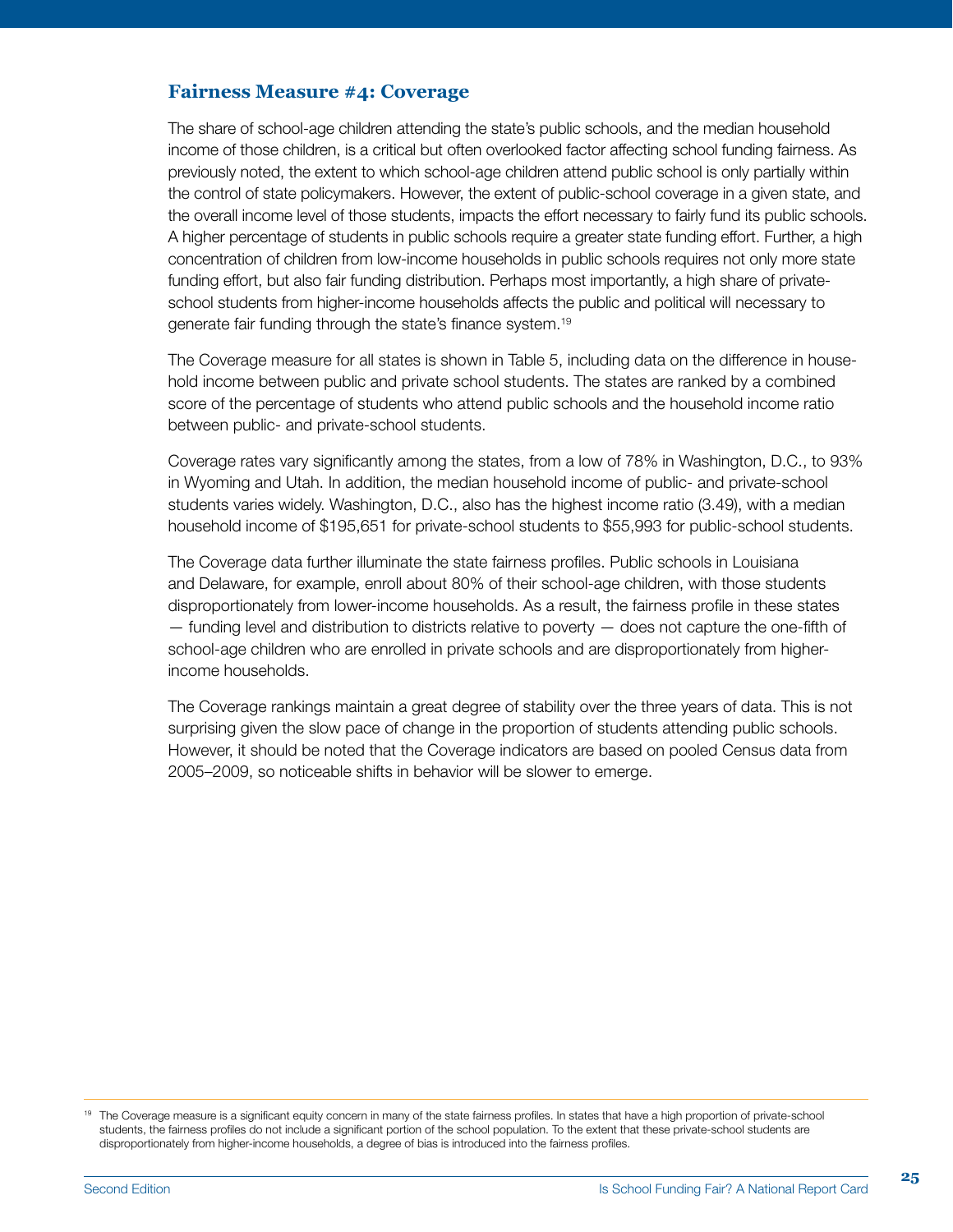#### **Fairness Measure #4: Coverage**

The share of school-age children attending the state's public schools, and the median household income of those children, is a critical but often overlooked factor affecting school funding fairness. As previously noted, the extent to which school-age children attend public school is only partially within the control of state policymakers. However, the extent of public-school coverage in a given state, and the overall income level of those students, impacts the effort necessary to fairly fund its public schools. A higher percentage of students in public schools require a greater state funding effort. Further, a high concentration of children from low-income households in public schools requires not only more state funding effort, but also fair funding distribution. Perhaps most importantly, a high share of privateschool students from higher-income households affects the public and political will necessary to generate fair funding through the state's finance system.19

The Coverage measure for all states is shown in Table 5, including data on the difference in household income between public and private school students. The states are ranked by a combined score of the percentage of students who attend public schools and the household income ratio between public- and private-school students.

Coverage rates vary significantly among the states, from a low of 78% in Washington, D.C., to 93% in Wyoming and Utah. In addition, the median household income of public- and private-school students varies widely. Washington, D.C., also has the highest income ratio (3.49), with a median household income of \$195,651 for private-school students to \$55,993 for public-school students.

The Coverage data further illuminate the state fairness profiles. Public schools in Louisiana and Delaware, for example, enroll about 80% of their school-age children, with those students disproportionately from lower-income households. As a result, the fairness profile in these states — funding level and distribution to districts relative to poverty — does not capture the one-fifth of school-age children who are enrolled in private schools and are disproportionately from higherincome households.

The Coverage rankings maintain a great degree of stability over the three years of data. This is not surprising given the slow pace of change in the proportion of students attending public schools. However, it should be noted that the Coverage indicators are based on pooled Census data from 2005–2009, so noticeable shifts in behavior will be slower to emerge.

<sup>&</sup>lt;sup>19</sup> The Coverage measure is a significant equity concern in many of the state fairness profiles. In states that have a high proportion of private-school students, the fairness profiles do not include a significant portion of the school population. To the extent that these private-school students are disproportionately from higher-income households, a degree of bias is introduced into the fairness profiles.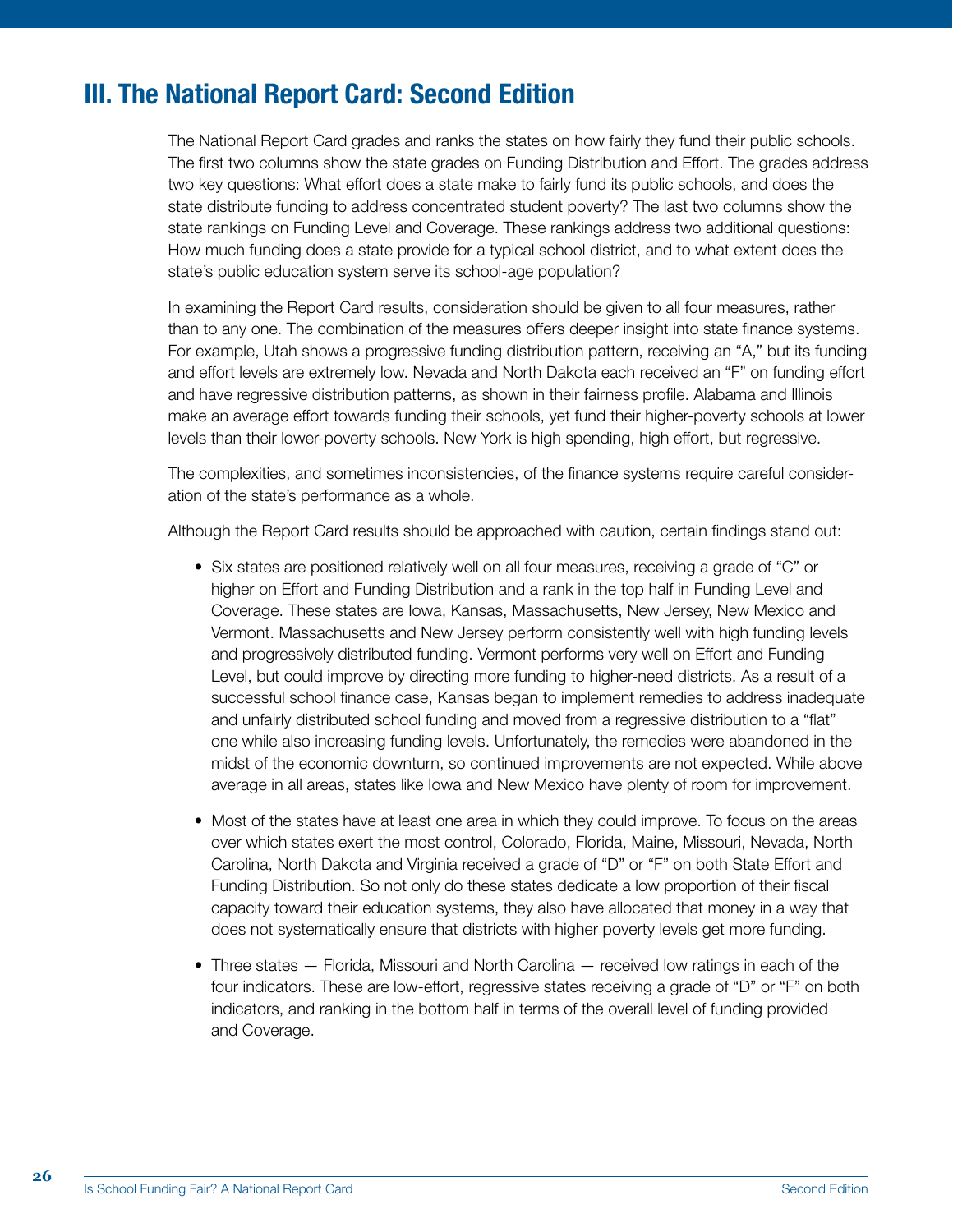## III. The National Report Card: Second Edition

The National Report Card grades and ranks the states on how fairly they fund their public schools. The first two columns show the state grades on Funding Distribution and Effort. The grades address two key questions: What effort does a state make to fairly fund its public schools, and does the state distribute funding to address concentrated student poverty? The last two columns show the state rankings on Funding Level and Coverage. These rankings address two additional questions: How much funding does a state provide for a typical school district, and to what extent does the state's public education system serve its school-age population?

In examining the Report Card results, consideration should be given to all four measures, rather than to any one. The combination of the measures offers deeper insight into state finance systems. For example, Utah shows a progressive funding distribution pattern, receiving an "A," but its funding and effort levels are extremely low. Nevada and North Dakota each received an "F" on funding effort and have regressive distribution patterns, as shown in their fairness profile. Alabama and Illinois make an average effort towards funding their schools, yet fund their higher-poverty schools at lower levels than their lower-poverty schools. New York is high spending, high effort, but regressive.

The complexities, and sometimes inconsistencies, of the finance systems require careful consideration of the state's performance as a whole.

Although the Report Card results should be approached with caution, certain findings stand out:

- Six states are positioned relatively well on all four measures, receiving a grade of "C" or higher on Effort and Funding Distribution and a rank in the top half in Funding Level and Coverage. These states are Iowa, Kansas, Massachusetts, New Jersey, New Mexico and Vermont. Massachusetts and New Jersey perform consistently well with high funding levels and progressively distributed funding. Vermont performs very well on Effort and Funding Level, but could improve by directing more funding to higher-need districts. As a result of a successful school finance case, Kansas began to implement remedies to address inadequate and unfairly distributed school funding and moved from a regressive distribution to a "flat" one while also increasing funding levels. Unfortunately, the remedies were abandoned in the midst of the economic downturn, so continued improvements are not expected. While above average in all areas, states like Iowa and New Mexico have plenty of room for improvement.
- Most of the states have at least one area in which they could improve. To focus on the areas over which states exert the most control, Colorado, Florida, Maine, Missouri, Nevada, North Carolina, North Dakota and Virginia received a grade of "D" or "F" on both State Effort and Funding Distribution. So not only do these states dedicate a low proportion of their fiscal capacity toward their education systems, they also have allocated that money in a way that does not systematically ensure that districts with higher poverty levels get more funding.
- Three states Florida, Missouri and North Carolina received low ratings in each of the four indicators. These are low-effort, regressive states receiving a grade of "D" or "F" on both indicators, and ranking in the bottom half in terms of the overall level of funding provided and Coverage.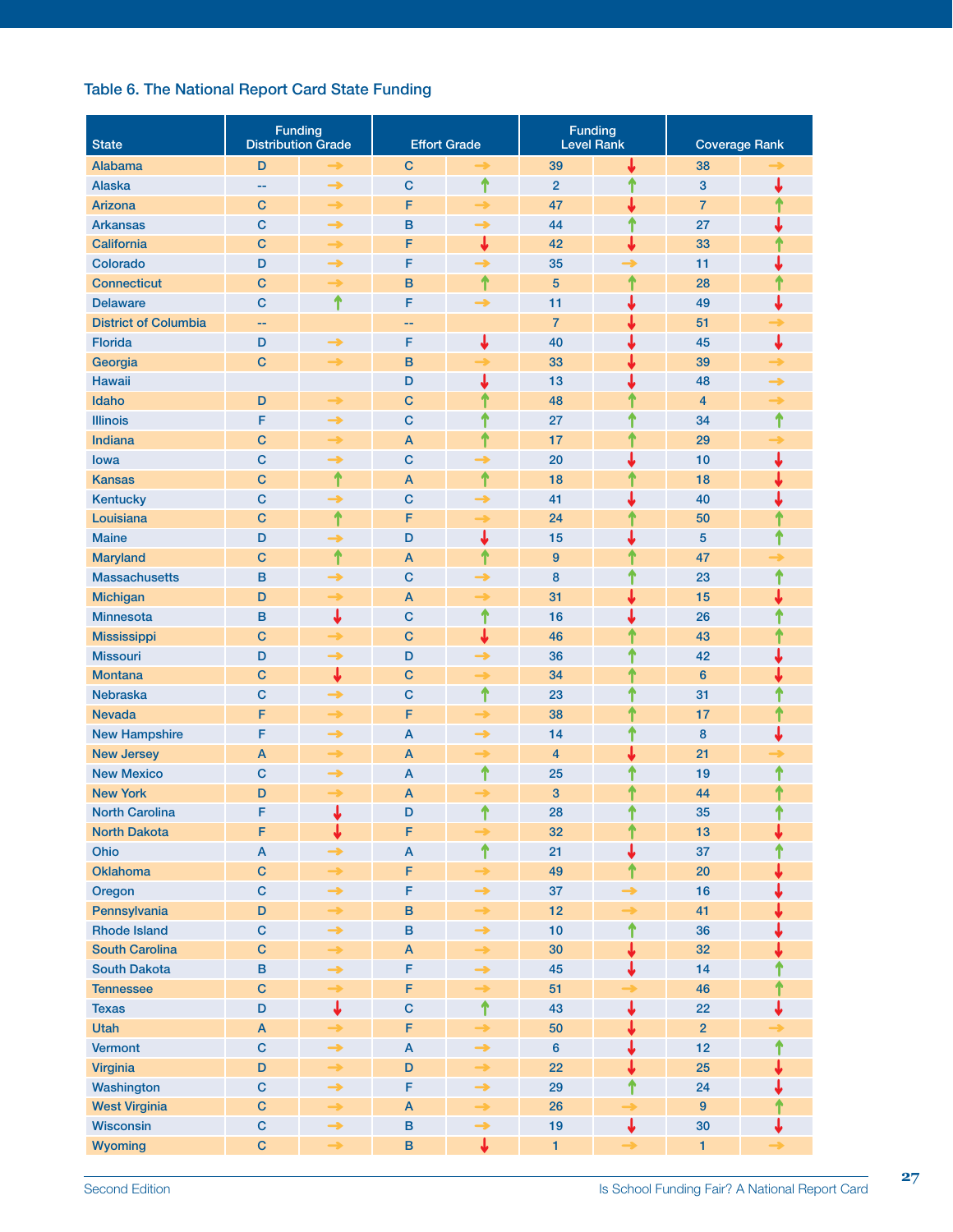#### Table 6. The National Report Card State Funding

| <b>State</b>                | <b>Funding</b><br><b>Distribution Grade</b> |               |                           | <b>Effort Grade</b> | <b>Funding</b><br><b>Level Rank</b> |               | <b>Coverage Rank</b> |   |  |
|-----------------------------|---------------------------------------------|---------------|---------------------------|---------------------|-------------------------------------|---------------|----------------------|---|--|
| <b>Alabama</b>              | D                                           |               | $\mathbf C$               |                     | 39                                  |               | 38                   |   |  |
| <b>Alaska</b>               |                                             | $\rightarrow$ | $\mathbf C$               | ↑                   | $\overline{2}$                      | ↑             | 3                    | ↓ |  |
| <b>Arizona</b>              | --<br>$\mathbf C$                           |               | F                         | ÷                   | 47                                  |               | $\overline{7}$       |   |  |
|                             |                                             | $\rightarrow$ |                           |                     |                                     | ቀ             |                      |   |  |
| <b>Arkansas</b>             | $\mathbf C$<br>$\overline{C}$               | $\rightarrow$ | B<br>F                    | $\rightarrow$       | 44                                  |               | 27                   |   |  |
| California                  |                                             | $\rightarrow$ |                           | ↓                   | 42                                  |               | 33                   |   |  |
| Colorado                    | D                                           | $\rightarrow$ | F                         | $\rightarrow$       | 35                                  | $\rightarrow$ | 11                   |   |  |
| <b>Connecticut</b>          | $\mathbf C$                                 |               | B                         | ↑                   | 5                                   |               | 28                   |   |  |
| <b>Delaware</b>             | $\mathbf C$                                 | ↑             | F                         | $\rightarrow$       | 11                                  |               | 49                   |   |  |
| <b>District of Columbia</b> | $-$                                         |               | --                        |                     | $\overline{7}$                      |               | 51                   |   |  |
| <b>Florida</b>              | D                                           | $\rightarrow$ | F                         |                     | 40                                  |               | 45                   | ↓ |  |
| Georgia                     | $\mathbf C$                                 | →             | $\mathbf B$               |                     | 33                                  |               | 39                   |   |  |
| <b>Hawaii</b>               |                                             |               | D                         |                     | 13                                  |               | 48                   | → |  |
| <b>Idaho</b>                | D                                           | $\rightarrow$ | $\mathbf C$               |                     | 48                                  |               | 4                    | ÷ |  |
| <b>Illinois</b>             | F                                           | $\rightarrow$ | $\mathbf C$               | ሳ                   | 27                                  |               | 34                   | ↑ |  |
| <b>Indiana</b>              | C                                           | →             | A                         | ↑                   | 17                                  |               | 29                   |   |  |
| lowa                        | C                                           | $\rightarrow$ | $\mathbf C$               | $\rightarrow$       | 20                                  |               | 10                   |   |  |
| <b>Kansas</b>               | $\overline{C}$                              | ↑             | A                         | ↑                   | 18                                  |               | 18                   |   |  |
| Kentucky                    | $\mathbf C$                                 | $\rightarrow$ | $\mathbf C$               | $\rightarrow$       | 41                                  |               | 40                   |   |  |
| Louisiana                   | $\mathbf C$                                 | ↑             | F                         | →                   | 24                                  |               | 50                   |   |  |
| <b>Maine</b>                | D                                           | $\rightarrow$ | D                         |                     | 15                                  |               | 5                    |   |  |
| <b>Maryland</b>             | C                                           | ↑             | A                         | ↑                   | 9                                   |               | 47                   |   |  |
| <b>Massachusetts</b>        | B                                           | $\rightarrow$ | $\mathbf C$               | $\rightarrow$       | 8                                   |               | 23                   |   |  |
| Michigan                    | D                                           | →             | $\overline{A}$            |                     | 31                                  |               | 15                   |   |  |
| <b>Minnesota</b>            | $\mathbf B$                                 | $\downarrow$  | $\mathbf C$               | ↑                   | 16                                  |               | 26                   |   |  |
| <b>Mississippi</b>          | $\mathbf C$                                 | ÷             | C                         |                     | 46                                  |               | 43                   |   |  |
| <b>Missouri</b>             | D                                           | $\rightarrow$ | D                         | $\rightarrow$       | 36                                  |               | 42                   |   |  |
| <b>Montana</b>              | $\mathbf C$                                 | ↓             | $\mathbf C$               |                     | 34                                  |               | 6                    |   |  |
| <b>Nebraska</b>             | $\mathbf C$                                 | $\rightarrow$ | $\mathbf C$               | ↑                   | 23                                  |               | 31                   |   |  |
| <b>Nevada</b>               | F                                           | $\rightarrow$ | F                         | →                   | 38                                  |               | 17                   |   |  |
| <b>New Hampshire</b>        | F                                           | $\rightarrow$ | $\overline{A}$            | $\rightarrow$       | 14                                  |               | 8                    |   |  |
| <b>New Jersey</b>           | A                                           | →             | A                         | ÷                   | 4                                   |               | 21                   |   |  |
| <b>New Mexico</b>           | C                                           | $\rightarrow$ | A                         | ↑                   | 25                                  |               | 19                   |   |  |
| <b>New York</b>             | D                                           | د             | $\overline{A}$            |                     | 3                                   |               | 44                   |   |  |
| <b>North Carolina</b>       | F                                           | T             | D                         | $\blacklozenge$     | 28                                  |               | 35                   |   |  |
| <b>North Dakota</b>         | F                                           |               | F                         |                     | 32                                  | ↑             | 13                   |   |  |
| Ohio                        | $\boldsymbol{\mathsf{A}}$                   | $\rightarrow$ | $\boldsymbol{\mathsf{A}}$ | ↑                   | 21                                  | ↓             | 37                   |   |  |
| <b>Oklahoma</b>             | $\mathbf C$                                 | →             | F                         | $\rightarrow$       | 49                                  | ↑             | 20                   |   |  |
| Oregon                      | $\mathbf C$                                 | $\rightarrow$ | F                         | $\rightarrow$       | 37                                  | $\rightarrow$ | 16                   |   |  |
| Pennsylvania                | D                                           | $\rightarrow$ | $\mathbf B$               | $\rightarrow$       | 12                                  | $\rightarrow$ | 41                   |   |  |
| <b>Rhode Island</b>         | $\mathbf C$                                 | $\rightarrow$ | $\, {\bf B}$              | $\rightarrow$       | 10                                  | ↑             | 36                   |   |  |
| <b>South Carolina</b>       | $\mathbf C$                                 | $\rightarrow$ | $\overline{A}$            | $\rightarrow$       | 30                                  |               | 32                   |   |  |
| <b>South Dakota</b>         | $\mathbf B$                                 | $\rightarrow$ | F                         | $\rightarrow$       | 45                                  | ↓             | 14                   |   |  |
| <b>Tennessee</b>            | $\mathbf C$                                 | $\rightarrow$ | F                         | $\rightarrow$       | 51                                  |               | 46                   |   |  |
| <b>Texas</b>                | D                                           | $\downarrow$  | $\mathbf C$               | ↑                   | 43                                  | ↓             | 22                   |   |  |
| <b>Utah</b>                 | $\overline{A}$                              | $\rightarrow$ | F                         | $\rightarrow$       | 50                                  |               | $\overline{2}$       |   |  |
| <b>Vermont</b>              | $\mathbf C$                                 | $\rightarrow$ | $\boldsymbol{\mathsf{A}}$ | $\rightarrow$       | $\bf 6$                             |               | 12                   |   |  |
|                             |                                             |               | D                         | $\rightarrow$       | 22                                  |               |                      |   |  |
| Virginia                    | D                                           | $\rightarrow$ | F                         |                     | 29                                  |               | 25                   |   |  |
| Washington                  | $\mathbf C$                                 | $\rightarrow$ |                           | $\rightarrow$       |                                     | ↑             | 24                   |   |  |
| <b>West Virginia</b>        | $\mathbf C$                                 | $\rightarrow$ | $\overline{A}$            | $\rightarrow$       | 26                                  |               | $\overline{9}$       |   |  |
| <b>Wisconsin</b>            | $\mathbf C$                                 | $\rightarrow$ | в                         | $\rightarrow$<br>↓  | 19                                  | ↓             | 30                   |   |  |
| Wyoming                     | $\mathbf C$                                 | $\rightarrow$ | $\, {\bf B}$              |                     | 1                                   |               | 1                    |   |  |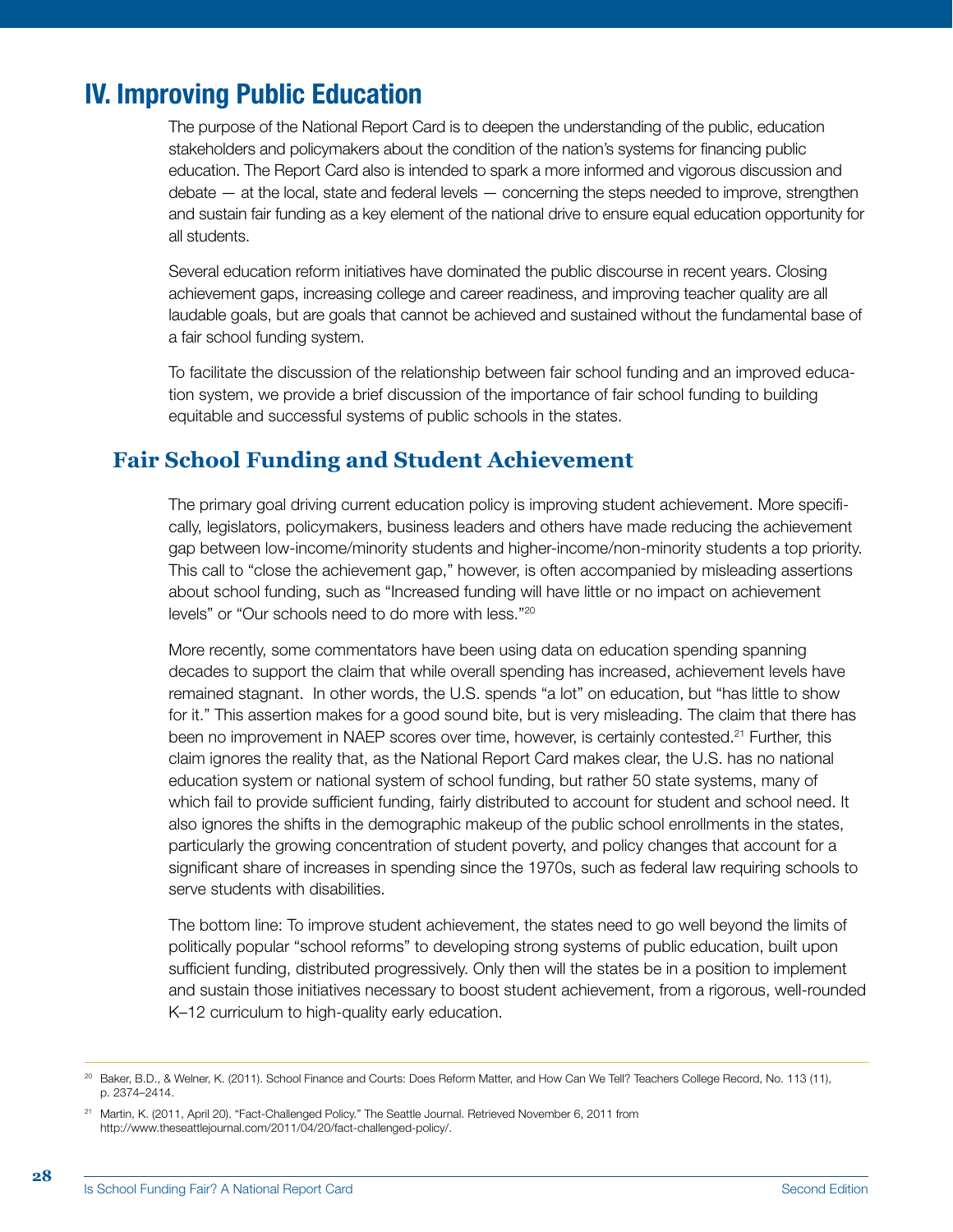## IV. Improving Public Education

The purpose of the National Report Card is to deepen the understanding of the public, education stakeholders and policymakers about the condition of the nation's systems for financing public education. The Report Card also is intended to spark a more informed and vigorous discussion and debate — at the local, state and federal levels — concerning the steps needed to improve, strengthen and sustain fair funding as a key element of the national drive to ensure equal education opportunity for all students.

Several education reform initiatives have dominated the public discourse in recent years. Closing achievement gaps, increasing college and career readiness, and improving teacher quality are all laudable goals, but are goals that cannot be achieved and sustained without the fundamental base of a fair school funding system.

To facilitate the discussion of the relationship between fair school funding and an improved education system, we provide a brief discussion of the importance of fair school funding to building equitable and successful systems of public schools in the states.

## **Fair School Funding and Student Achievement**

The primary goal driving current education policy is improving student achievement. More specifically, legislators, policymakers, business leaders and others have made reducing the achievement gap between low-income/minority students and higher-income/non-minority students a top priority. This call to "close the achievement gap," however, is often accompanied by misleading assertions about school funding, such as "Increased funding will have little or no impact on achievement levels" or "Our schools need to do more with less."20

More recently, some commentators have been using data on education spending spanning decades to support the claim that while overall spending has increased, achievement levels have remained stagnant. In other words, the U.S. spends "a lot" on education, but "has little to show for it." This assertion makes for a good sound bite, but is very misleading. The claim that there has been no improvement in NAEP scores over time, however, is certainly contested.<sup>21</sup> Further, this claim ignores the reality that, as the National Report Card makes clear, the U.S. has no national education system or national system of school funding, but rather 50 state systems, many of which fail to provide sufficient funding, fairly distributed to account for student and school need. It also ignores the shifts in the demographic makeup of the public school enrollments in the states, particularly the growing concentration of student poverty, and policy changes that account for a significant share of increases in spending since the 1970s, such as federal law requiring schools to serve students with disabilities.

The bottom line: To improve student achievement, the states need to go well beyond the limits of politically popular "school reforms" to developing strong systems of public education, built upon sufficient funding, distributed progressively. Only then will the states be in a position to implement and sustain those initiatives necessary to boost student achievement, from a rigorous, well-rounded K–12 curriculum to high-quality early education.

<sup>&</sup>lt;sup>20</sup> Baker, B.D., & Welner, K. (2011). School Finance and Courts: Does Reform Matter, and How Can We Tell? Teachers College Record, No. 113 (11), p. 2374–2414.

<sup>21</sup> Martin, K. (2011, April 20). "Fact-Challenged Policy." The Seattle Journal. Retrieved November 6, 2011 from http://www.theseattlejournal.com/2011/04/20/fact-challenged-policy/.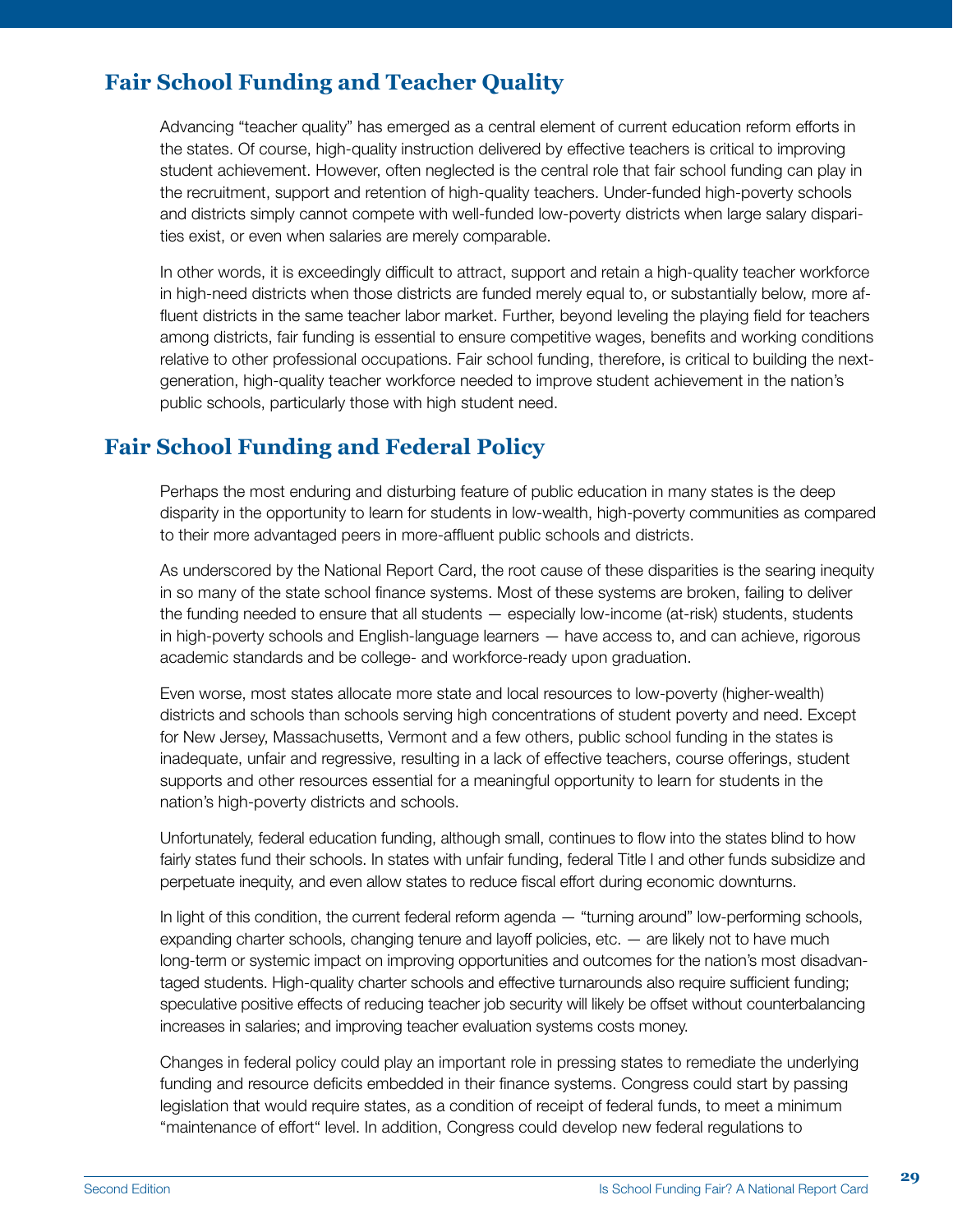## **Fair School Funding and Teacher Quality**

Advancing "teacher quality" has emerged as a central element of current education reform efforts in the states. Of course, high-quality instruction delivered by effective teachers is critical to improving student achievement. However, often neglected is the central role that fair school funding can play in the recruitment, support and retention of high-quality teachers. Under-funded high-poverty schools and districts simply cannot compete with well-funded low-poverty districts when large salary disparities exist, or even when salaries are merely comparable.

In other words, it is exceedingly difficult to attract, support and retain a high-quality teacher workforce in high-need districts when those districts are funded merely equal to, or substantially below, more affluent districts in the same teacher labor market. Further, beyond leveling the playing field for teachers among districts, fair funding is essential to ensure competitive wages, benefits and working conditions relative to other professional occupations. Fair school funding, therefore, is critical to building the nextgeneration, high-quality teacher workforce needed to improve student achievement in the nation's public schools, particularly those with high student need.

### **Fair School Funding and Federal Policy**

Perhaps the most enduring and disturbing feature of public education in many states is the deep disparity in the opportunity to learn for students in low-wealth, high-poverty communities as compared to their more advantaged peers in more-affluent public schools and districts.

As underscored by the National Report Card, the root cause of these disparities is the searing inequity in so many of the state school finance systems. Most of these systems are broken, failing to deliver the funding needed to ensure that all students — especially low-income (at-risk) students, students in high-poverty schools and English-language learners — have access to, and can achieve, rigorous academic standards and be college- and workforce-ready upon graduation.

Even worse, most states allocate more state and local resources to low-poverty (higher-wealth) districts and schools than schools serving high concentrations of student poverty and need. Except for New Jersey, Massachusetts, Vermont and a few others, public school funding in the states is inadequate, unfair and regressive, resulting in a lack of effective teachers, course offerings, student supports and other resources essential for a meaningful opportunity to learn for students in the nation's high-poverty districts and schools.

Unfortunately, federal education funding, although small, continues to flow into the states blind to how fairly states fund their schools. In states with unfair funding, federal Title I and other funds subsidize and perpetuate inequity, and even allow states to reduce fiscal effort during economic downturns.

In light of this condition, the current federal reform agenda — "turning around" low-performing schools, expanding charter schools, changing tenure and layoff policies, etc. — are likely not to have much long-term or systemic impact on improving opportunities and outcomes for the nation's most disadvantaged students. High-quality charter schools and effective turnarounds also require sufficient funding; speculative positive effects of reducing teacher job security will likely be offset without counterbalancing increases in salaries; and improving teacher evaluation systems costs money.

Changes in federal policy could play an important role in pressing states to remediate the underlying funding and resource deficits embedded in their finance systems. Congress could start by passing legislation that would require states, as a condition of receipt of federal funds, to meet a minimum "maintenance of effort" level. In addition, Congress could develop new federal regulations to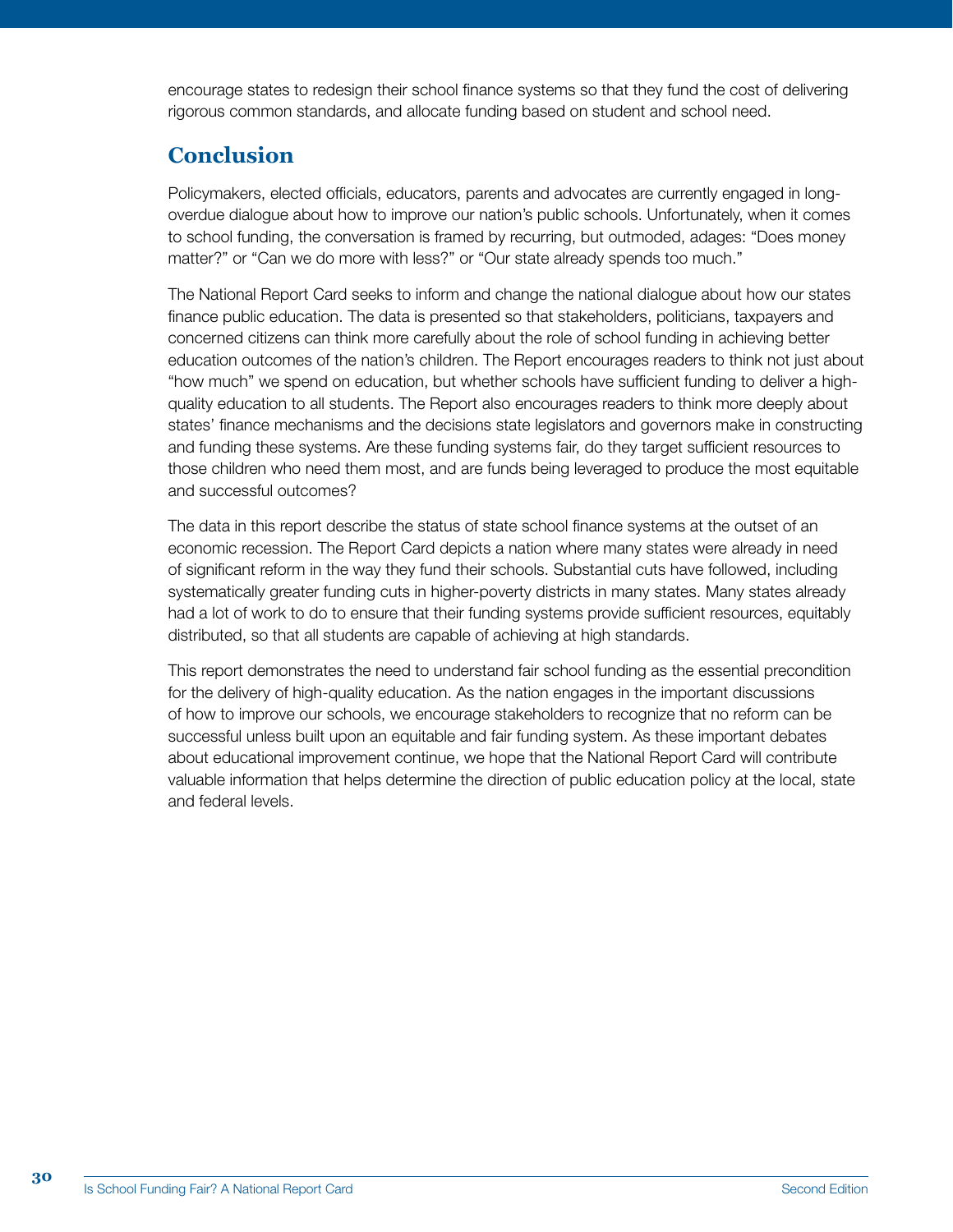encourage states to redesign their school finance systems so that they fund the cost of delivering rigorous common standards, and allocate funding based on student and school need.

## **Conclusion**

Policymakers, elected officials, educators, parents and advocates are currently engaged in longoverdue dialogue about how to improve our nation's public schools. Unfortunately, when it comes to school funding, the conversation is framed by recurring, but outmoded, adages: "Does money matter?" or "Can we do more with less?" or "Our state already spends too much."

The National Report Card seeks to inform and change the national dialogue about how our states finance public education. The data is presented so that stakeholders, politicians, taxpayers and concerned citizens can think more carefully about the role of school funding in achieving better education outcomes of the nation's children. The Report encourages readers to think not just about "how much" we spend on education, but whether schools have sufficient funding to deliver a highquality education to all students. The Report also encourages readers to think more deeply about states' finance mechanisms and the decisions state legislators and governors make in constructing and funding these systems. Are these funding systems fair, do they target sufficient resources to those children who need them most, and are funds being leveraged to produce the most equitable and successful outcomes?

The data in this report describe the status of state school finance systems at the outset of an economic recession. The Report Card depicts a nation where many states were already in need of significant reform in the way they fund their schools. Substantial cuts have followed, including systematically greater funding cuts in higher-poverty districts in many states. Many states already had a lot of work to do to ensure that their funding systems provide sufficient resources, equitably distributed, so that all students are capable of achieving at high standards.

This report demonstrates the need to understand fair school funding as the essential precondition for the delivery of high-quality education. As the nation engages in the important discussions of how to improve our schools, we encourage stakeholders to recognize that no reform can be successful unless built upon an equitable and fair funding system. As these important debates about educational improvement continue, we hope that the National Report Card will contribute valuable information that helps determine the direction of public education policy at the local, state and federal levels.